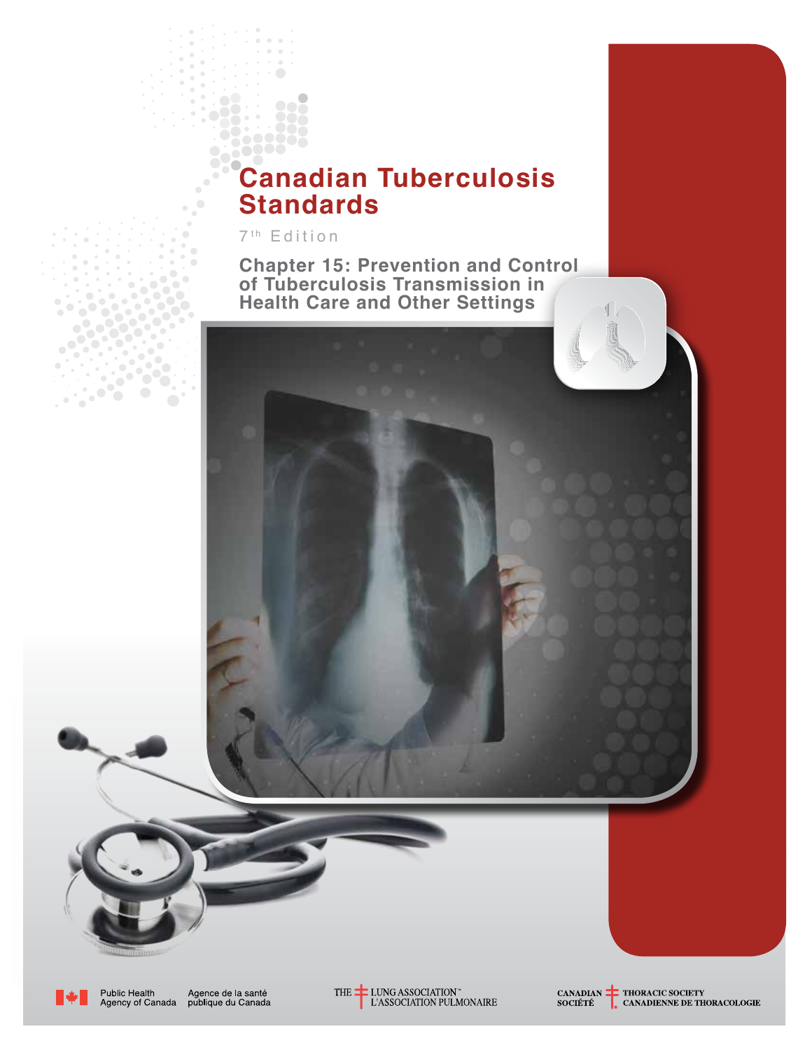# **Canadian Tuberculosis Standards**

7<sup>th</sup> Edition

**Chapter 15: Prevention and Control of Tuberculosis Transmission in Health Care and Other Settings**



Public Health<br>Agency of Canada Agence de la santé<br>publique du Canada



THE LUNG ASSOCIATION"<br>L'ASSOCIATION PULMONAIRE

CANADIAN THORACIC SOCIETY<br>SOCIÉTÉ CANADIENNE DE THORACOLOGIE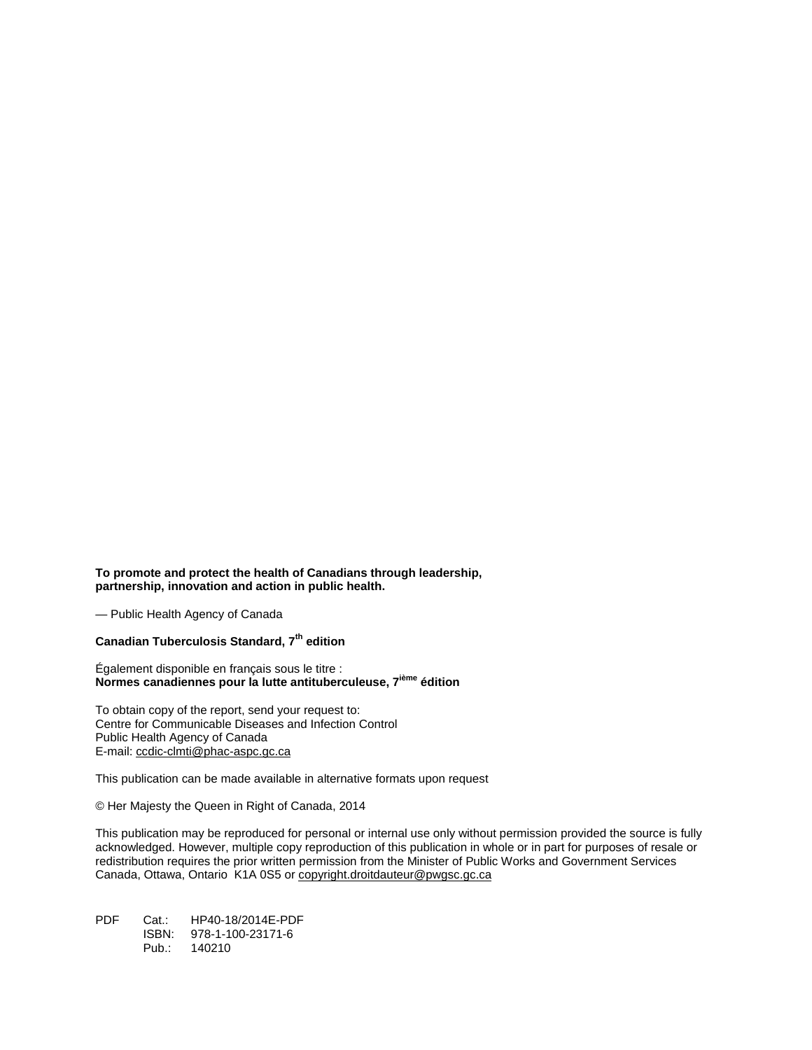**To promote and protect the health of Canadians through leadership, partnership, innovation and action in public health.** 

— Public Health Agency of Canada

#### **Canadian Tuberculosis Standard, 7th edition**

Également disponible en français sous le titre : **Normes canadiennes pour la lutte antituberculeuse, 7ième édition**

To obtain copy of the report, send your request to: Centre for Communicable Diseases and Infection Control Public Health Agency of Canada E-mail[: ccdic-clmti@phac-aspc.gc.ca](mailto:ccdic-clmti@phac-aspc.gc.ca)

This publication can be made available in alternative formats upon request

© Her Majesty the Queen in Right of Canada, 2014

This publication may be reproduced for personal or internal use only without permission provided the source is fully acknowledged. However, multiple copy reproduction of this publication in whole or in part for purposes of resale or redistribution requires the prior written permission from the Minister of Public Works and Government Services Canada, Ottawa, Ontario K1A 0S5 or [copyright.droitdauteur@pwgsc.gc.ca](mailto:copyright.droitdauteur@pwgsc.gc.ca)

PDF Cat.: HP40-18/2014E-PDF ISBN: 978-1-100-23171-6 Pub.: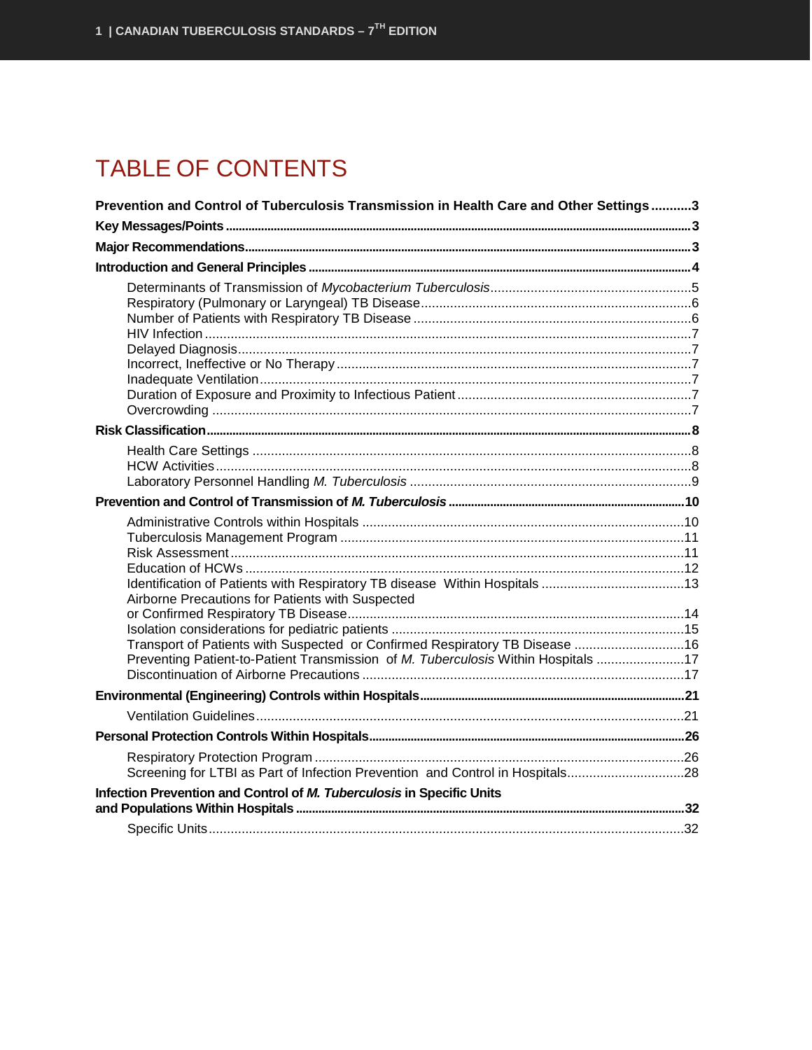## **TABLE OF CONTENTS**

| Prevention and Control of Tuberculosis Transmission in Health Care and Other Settings3                                                                            |  |
|-------------------------------------------------------------------------------------------------------------------------------------------------------------------|--|
|                                                                                                                                                                   |  |
|                                                                                                                                                                   |  |
|                                                                                                                                                                   |  |
|                                                                                                                                                                   |  |
|                                                                                                                                                                   |  |
|                                                                                                                                                                   |  |
|                                                                                                                                                                   |  |
| Airborne Precautions for Patients with Suspected                                                                                                                  |  |
|                                                                                                                                                                   |  |
| Transport of Patients with Suspected or Confirmed Respiratory TB Disease  16<br>Preventing Patient-to-Patient Transmission of M. Tuberculosis Within Hospitals 17 |  |
|                                                                                                                                                                   |  |
|                                                                                                                                                                   |  |
|                                                                                                                                                                   |  |
| Screening for LTBI as Part of Infection Prevention and Control in Hospitals28                                                                                     |  |
| Infection Prevention and Control of M. Tuberculosis in Specific Units                                                                                             |  |
|                                                                                                                                                                   |  |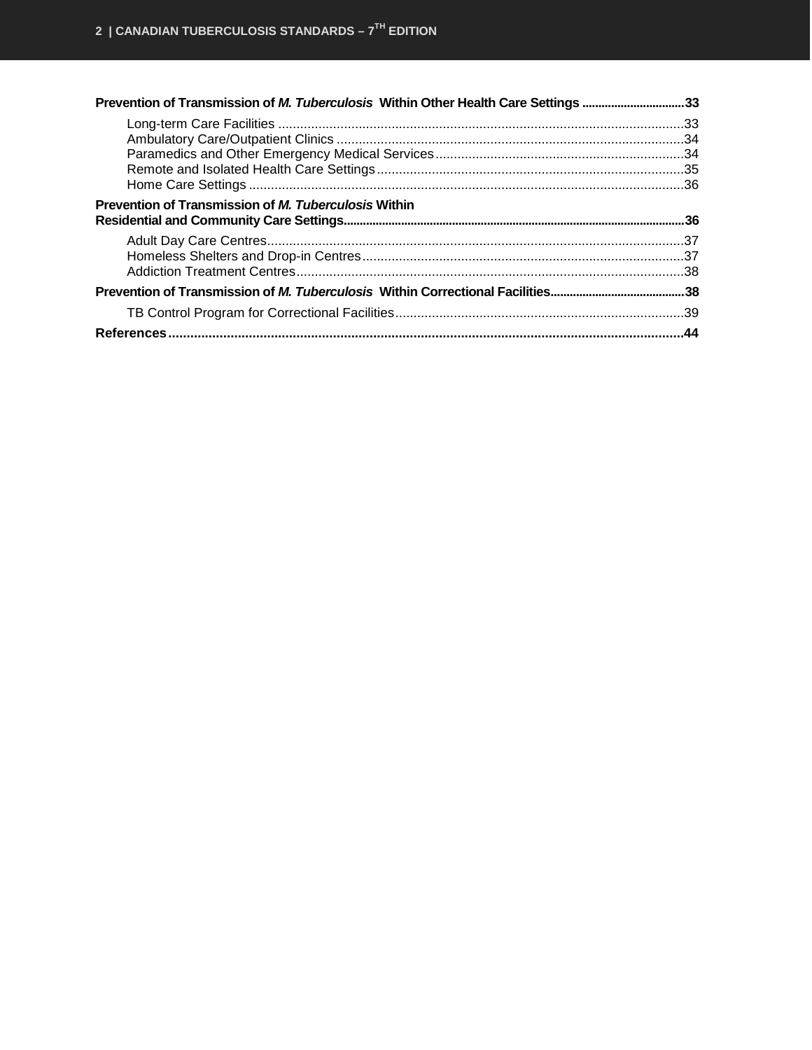| Prevention of Transmission of M. Tuberculosis Within Other Health Care Settings 33 |  |
|------------------------------------------------------------------------------------|--|
|                                                                                    |  |
|                                                                                    |  |
|                                                                                    |  |
|                                                                                    |  |
|                                                                                    |  |
| Prevention of Transmission of <i>M. Tuberculosis</i> Within                        |  |
|                                                                                    |  |
|                                                                                    |  |
|                                                                                    |  |
|                                                                                    |  |
|                                                                                    |  |
|                                                                                    |  |
|                                                                                    |  |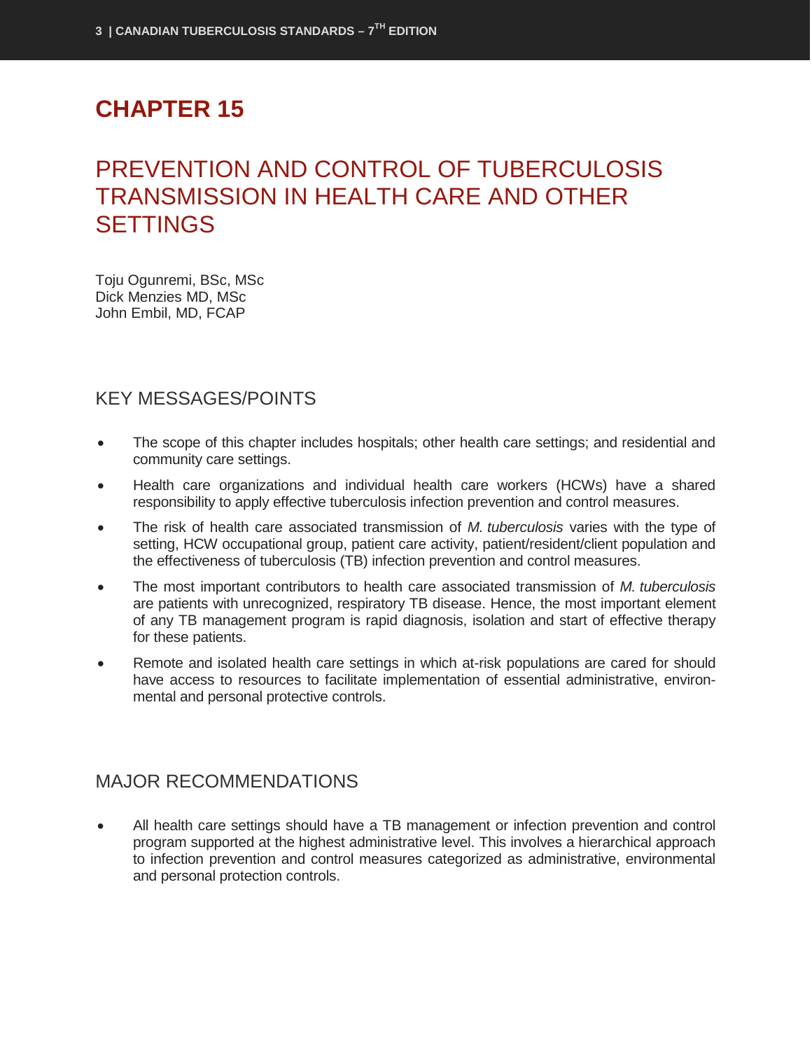## **CHAPTER 15**

## <span id="page-4-0"></span>PREVENTION AND CONTROL OF TUBERCULOSIS TRANSMISSION IN HEALTH CARE AND OTHER **SETTINGS**

Toju Ogunremi, BSc, MSc Dick Menzies MD, MSc John Embil, MD, FCAP

## <span id="page-4-1"></span>KEY MESSAGES/POINTS

- The scope of this chapter includes hospitals; other health care settings; and residential and community care settings.
- Health care organizations and individual health care workers (HCWs) have a shared responsibility to apply effective tuberculosis infection prevention and control measures.
- The risk of health care associated transmission of *M. tuberculosis* varies with the type of setting, HCW occupational group, patient care activity, patient/resident/client population and the effectiveness of tuberculosis (TB) infection prevention and control measures.
- The most important contributors to health care associated transmission of *M. tuberculosis* are patients with unrecognized, respiratory TB disease. Hence, the most important element of any TB management program is rapid diagnosis, isolation and start of effective therapy for these patients.
- Remote and isolated health care settings in which at-risk populations are cared for should have access to resources to facilitate implementation of essential administrative, environmental and personal protective controls.

## <span id="page-4-2"></span>MAJOR RECOMMENDATIONS

• All health care settings should have a TB management or infection prevention and control program supported at the highest administrative level. This involves a hierarchical approach to infection prevention and control measures categorized as administrative, environmental and personal protection controls.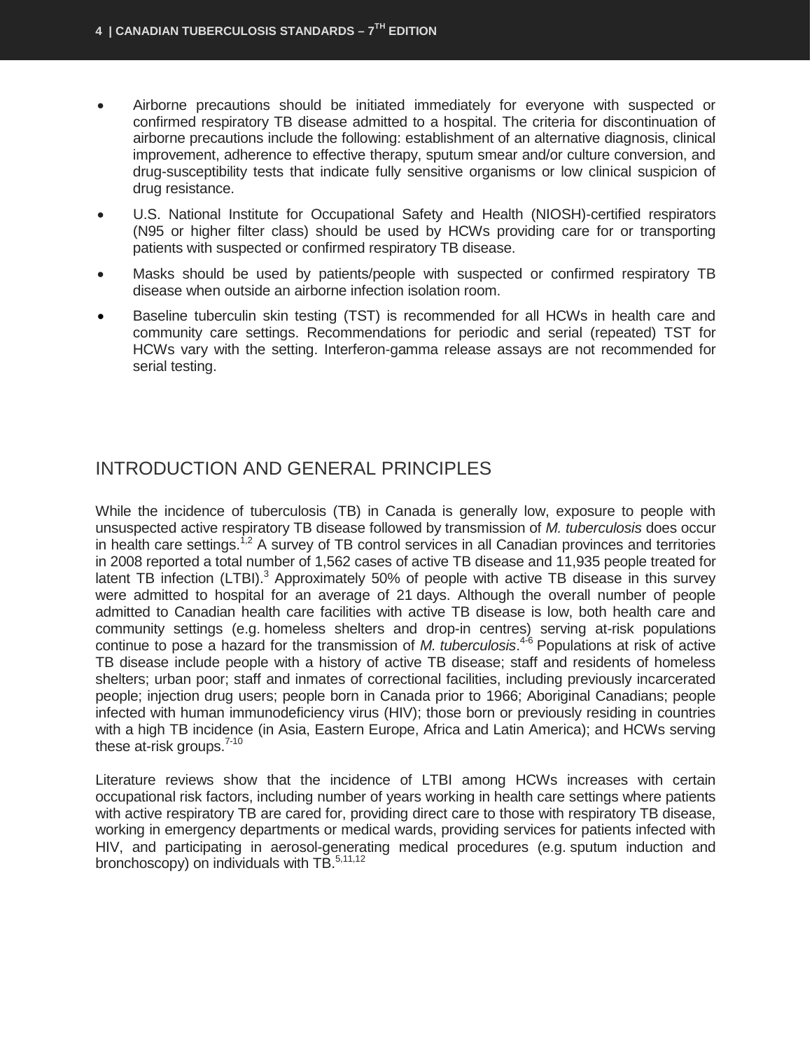- Airborne precautions should be initiated immediately for everyone with suspected or confirmed respiratory TB disease admitted to a hospital. The criteria for discontinuation of airborne precautions include the following: establishment of an alternative diagnosis, clinical improvement, adherence to effective therapy, sputum smear and/or culture conversion, and drug-susceptibility tests that indicate fully sensitive organisms or low clinical suspicion of drug resistance.
- U.S. National Institute for Occupational Safety and Health (NIOSH)-certified respirators (N95 or higher filter class) should be used by HCWs providing care for or transporting patients with suspected or confirmed respiratory TB disease.
- Masks should be used by patients/people with suspected or confirmed respiratory TB disease when outside an airborne infection isolation room.
- Baseline tuberculin skin testing (TST) is recommended for all HCWs in health care and community care settings. Recommendations for periodic and serial (repeated) TST for HCWs vary with the setting. Interferon-gamma release assays are not recommended for serial testing.

## <span id="page-5-0"></span>INTRODUCTION AND GENERAL PRINCIPLES

While the incidence of tuberculosis (TB) in Canada is generally low, exposure to people with unsuspected active respiratory TB disease followed by transmission of *M. tuberculosis* does occur in health care settings.<sup>1,2</sup> A survey of TB control services in all Canadian provinces and territories in 2008 reported a total number of 1,562 cases of active TB disease and 11,935 people treated for latent TB infection (LTBI).<sup>3</sup> Approximately 50% of people with active TB disease in this survey were admitted to hospital for an average of 21 days. Although the overall number of people admitted to Canadian health care facilities with active TB disease is low, both health care and community settings (e.g. homeless shelters and drop-in centres) serving at-risk populations continue to pose a hazard for the transmission of *M. tuberculosis*. 4-6 Populations at risk of active TB disease include people with a history of active TB disease; staff and residents of homeless shelters; urban poor; staff and inmates of correctional facilities, including previously incarcerated people; injection drug users; people born in Canada prior to 1966; Aboriginal Canadians; people infected with human immunodeficiency virus (HIV); those born or previously residing in countries with a high TB incidence (in Asia, Eastern Europe, Africa and Latin America); and HCWs serving these at-risk groups.<sup>7-10</sup>

Literature reviews show that the incidence of LTBI among HCWs increases with certain occupational risk factors, including number of years working in health care settings where patients with active respiratory TB are cared for, providing direct care to those with respiratory TB disease, working in emergency departments or medical wards, providing services for patients infected with HIV, and participating in aerosol-generating medical procedures (e.g. sputum induction and bronchoscopy) on individuals with TB.<sup>5,11,12</sup>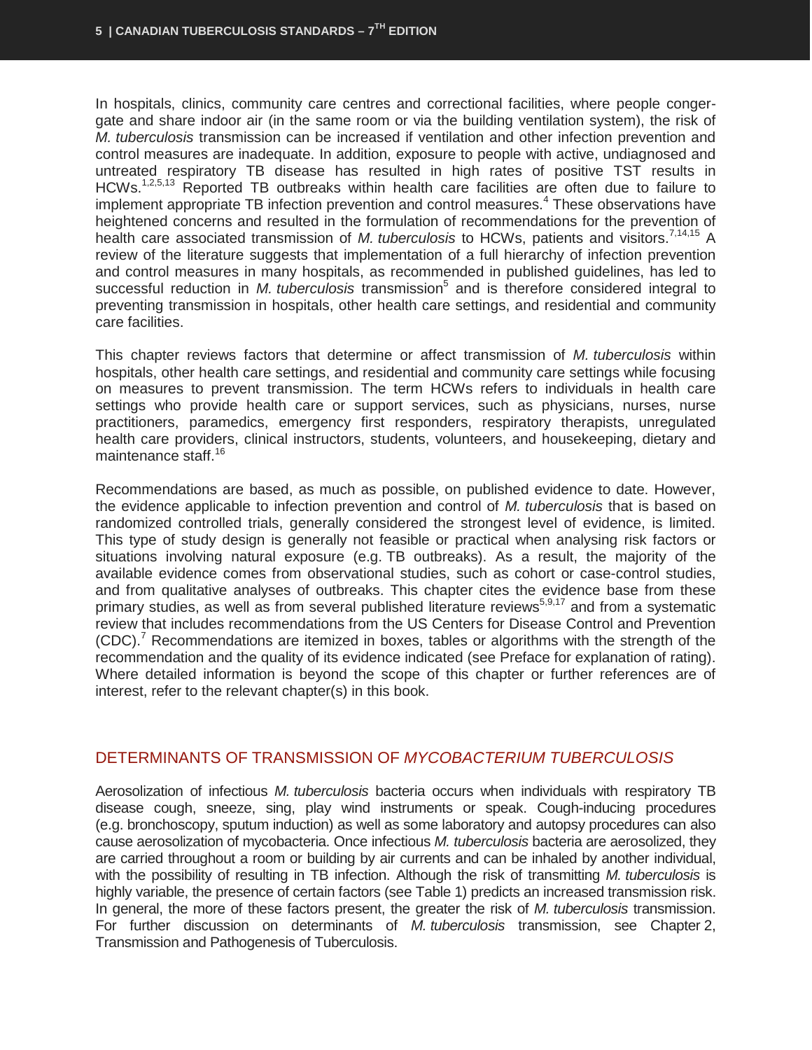In hospitals, clinics, community care centres and correctional facilities, where people congergate and share indoor air (in the same room or via the building ventilation system), the risk of *M. tuberculosis* transmission can be increased if ventilation and other infection prevention and control measures are inadequate. In addition, exposure to people with active, undiagnosed and untreated respiratory TB disease has resulted in high rates of positive TST results in HCWs.<sup>1,2,5,13</sup> Reported TB outbreaks within health care facilities are often due to failure to implement appropriate TB infection prevention and control measures.<sup>4</sup> These observations have heightened concerns and resulted in the formulation of recommendations for the prevention of health care associated transmission of *M. tuberculosis* to HCWs, patients and visitors.7,14,15 A review of the literature suggests that implementation of a full hierarchy of infection prevention and control measures in many hospitals, as recommended in published guidelines, has led to successful reduction in *M. tuberculosis* transmission<sup>5</sup> and is therefore considered integral to preventing transmission in hospitals, other health care settings, and residential and community care facilities.

This chapter reviews factors that determine or affect transmission of *M. tuberculosis* within hospitals, other health care settings, and residential and community care settings while focusing on measures to prevent transmission. The term HCWs refers to individuals in health care settings who provide health care or support services, such as physicians, nurses, nurse practitioners, paramedics, emergency first responders, respiratory therapists, unregulated health care providers, clinical instructors, students, volunteers, and housekeeping, dietary and maintenance staff.<sup>16</sup>

Recommendations are based, as much as possible, on published evidence to date. However, the evidence applicable to infection prevention and control of *M. tuberculosis* that is based on randomized controlled trials, generally considered the strongest level of evidence, is limited. This type of study design is generally not feasible or practical when analysing risk factors or situations involving natural exposure (e.g. TB outbreaks). As a result, the majority of the available evidence comes from observational studies, such as cohort or case-control studies, and from qualitative analyses of outbreaks. This chapter cites the evidence base from these primary studies, as well as from several published literature reviews<sup>5,9,17</sup> and from a systematic review that includes recommendations from the US Centers for Disease Control and Prevention  $(CDC)<sup>7</sup>$  Recommendations are itemized in boxes, tables or algorithms with the strength of the recommendation and the quality of its evidence indicated (see Preface for explanation of rating). Where detailed information is beyond the scope of this chapter or further references are of interest, refer to the relevant chapter(s) in this book.

#### <span id="page-6-0"></span>DETERMINANTS OF TRANSMISSION OF *MYCOBACTERIUM TUBERCULOSIS*

Aerosolization of infectious *M. tuberculosis* bacteria occurs when individuals with respiratory TB disease cough, sneeze, sing, play wind instruments or speak. Cough-inducing procedures (e.g. bronchoscopy, sputum induction) as well as some laboratory and autopsy procedures can also cause aerosolization of mycobacteria. Once infectious *M. tuberculosis* bacteria are aerosolized, they are carried throughout a room or building by air currents and can be inhaled by another individual, with the possibility of resulting in TB infection. Although the risk of transmitting *M. tuberculosis* is highly variable, the presence of certain factors (see Table 1) predicts an increased transmission risk. In general, the more of these factors present, the greater the risk of *M. tuberculosis* transmission. For further discussion on determinants of *M. tuberculosis* transmission, see Chapter 2, Transmission and Pathogenesis of Tuberculosis.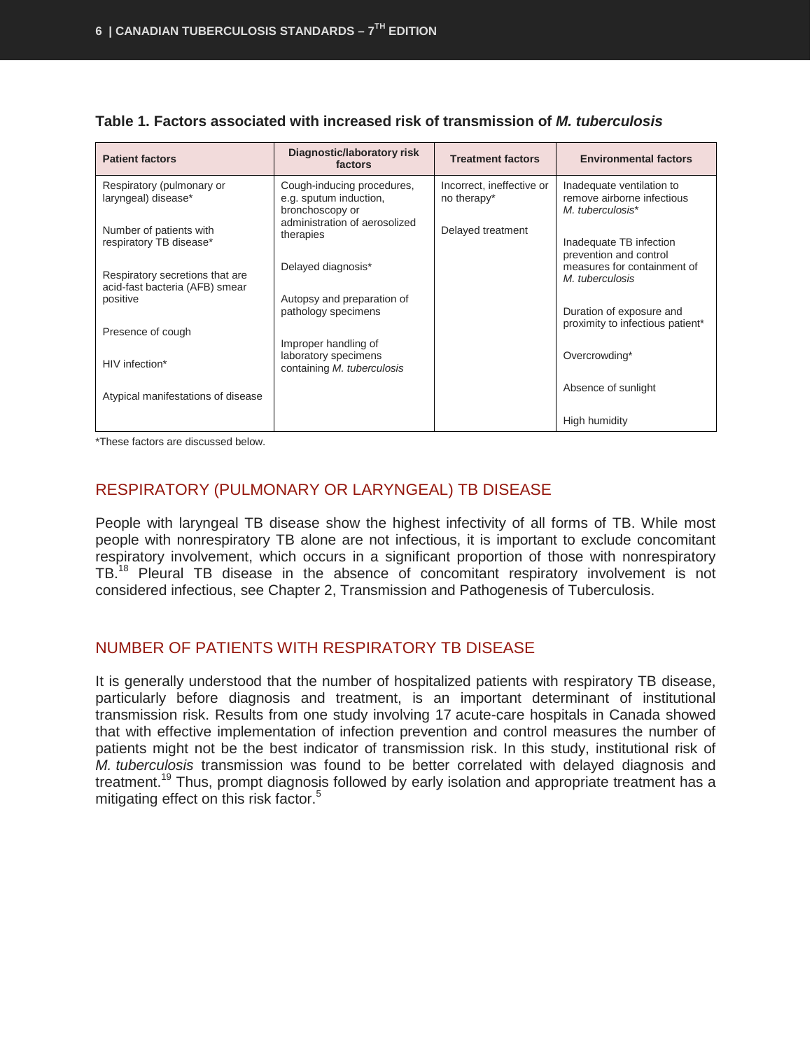| <b>Patient factors</b>                                            | Diagnostic/laboratory risk<br>factors                                      | <b>Treatment factors</b>                 | <b>Environmental factors</b>                                                |
|-------------------------------------------------------------------|----------------------------------------------------------------------------|------------------------------------------|-----------------------------------------------------------------------------|
| Respiratory (pulmonary or<br>laryngeal) disease*                  | Cough-inducing procedures,<br>e.g. sputum induction,<br>bronchoscopy or    | Incorrect, ineffective or<br>no therapy* | Inadequate ventilation to<br>remove airborne infectious<br>M. tuberculosis* |
| Number of patients with<br>respiratory TB disease*                | administration of aerosolized<br>therapies                                 | Delayed treatment                        | Inadequate TB infection<br>prevention and control                           |
| Respiratory secretions that are<br>acid-fast bacteria (AFB) smear | Delayed diagnosis*                                                         |                                          | measures for containment of<br>M. tuberculosis                              |
| positive<br>Presence of cough                                     | Autopsy and preparation of<br>pathology specimens                          |                                          | Duration of exposure and<br>proximity to infectious patient*                |
| HIV infection*                                                    | Improper handling of<br>laboratory specimens<br>containing M. tuberculosis |                                          | Overcrowding*                                                               |
| Atypical manifestations of disease                                |                                                                            |                                          | Absence of sunlight                                                         |
|                                                                   |                                                                            |                                          | High humidity                                                               |

| Table 1. Factors associated with increased risk of transmission of M. tuberculosis |  |  |  |  |
|------------------------------------------------------------------------------------|--|--|--|--|
|------------------------------------------------------------------------------------|--|--|--|--|

\*These factors are discussed below.

## <span id="page-7-0"></span>RESPIRATORY (PULMONARY OR LARYNGEAL) TB DISEASE

People with laryngeal TB disease show the highest infectivity of all forms of TB. While most people with nonrespiratory TB alone are not infectious, it is important to exclude concomitant respiratory involvement, which occurs in a significant proportion of those with nonrespiratory TB.<sup>18</sup> Pleural TB disease in the absence of concomitant respiratory involvement is not considered infectious, see Chapter 2, Transmission and Pathogenesis of Tuberculosis.

## <span id="page-7-1"></span>NUMBER OF PATIENTS WITH RESPIRATORY TB DISEASE

It is generally understood that the number of hospitalized patients with respiratory TB disease, particularly before diagnosis and treatment, is an important determinant of institutional transmission risk. Results from one study involving 17 acute-care hospitals in Canada showed that with effective implementation of infection prevention and control measures the number of patients might not be the best indicator of transmission risk. In this study, institutional risk of *M. tuberculosis* transmission was found to be better correlated with delayed diagnosis and treatment.<sup>19</sup> Thus, prompt diagnosis followed by early isolation and appropriate treatment has a mitigating effect on this risk factor.<sup>5</sup>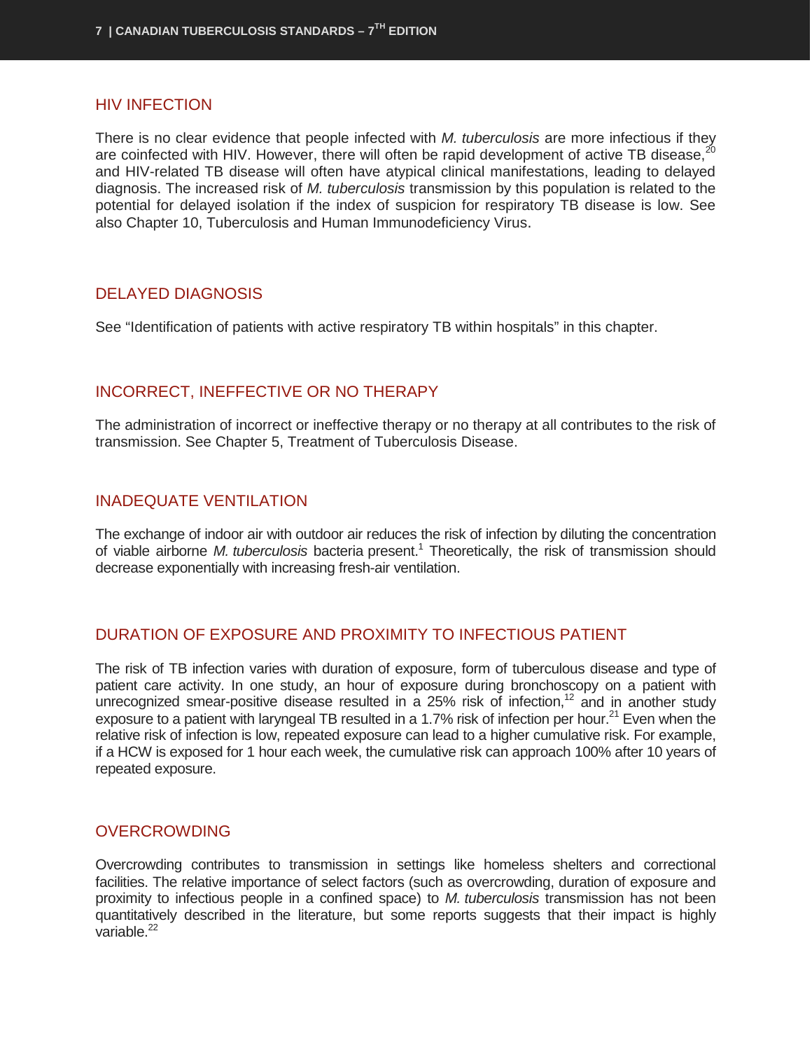#### <span id="page-8-0"></span>HIV INFECTION

There is no clear evidence that people infected with *M. tuberculosis* are more infectious if they are coinfected with HIV. However, there will often be rapid development of active TB disease, and HIV-related TB disease will often have atypical clinical manifestations, leading to delayed diagnosis. The increased risk of *M. tuberculosis* transmission by this population is related to the potential for delayed isolation if the index of suspicion for respiratory TB disease is low. See also Chapter 10, Tuberculosis and Human Immunodeficiency Virus.

#### <span id="page-8-1"></span>DELAYED DIAGNOSIS

See "Identification of patients with active respiratory TB within hospitals" in this chapter.

#### <span id="page-8-2"></span>INCORRECT, INEFFECTIVE OR NO THERAPY

The administration of incorrect or ineffective therapy or no therapy at all contributes to the risk of transmission. See Chapter 5, Treatment of Tuberculosis Disease.

#### <span id="page-8-3"></span>INADEQUATE VENTILATION

The exchange of indoor air with outdoor air reduces the risk of infection by diluting the concentration of viable airborne *M. tuberculosis* bacteria present.1 Theoretically, the risk of transmission should decrease exponentially with increasing fresh-air ventilation.

## <span id="page-8-4"></span>DURATION OF EXPOSURE AND PROXIMITY TO INFECTIOUS PATIENT

The risk of TB infection varies with duration of exposure, form of tuberculous disease and type of patient care activity. In one study, an hour of exposure during bronchoscopy on a patient with unrecognized smear-positive disease resulted in a 25% risk of infection,<sup>12</sup> and in another study exposure to a patient with laryngeal TB resulted in a 1.7% risk of infection per hour.<sup>21</sup> Even when the relative risk of infection is low, repeated exposure can lead to a higher cumulative risk. For example, if a HCW is exposed for 1 hour each week, the cumulative risk can approach 100% after 10 years of repeated exposure.

#### <span id="page-8-5"></span>**OVERCROWDING**

Overcrowding contributes to transmission in settings like homeless shelters and correctional facilities. The relative importance of select factors (such as overcrowding, duration of exposure and proximity to infectious people in a confined space) to *M. tuberculosis* transmission has not been quantitatively described in the literature, but some reports suggests that their impact is highly variable. $^{22}$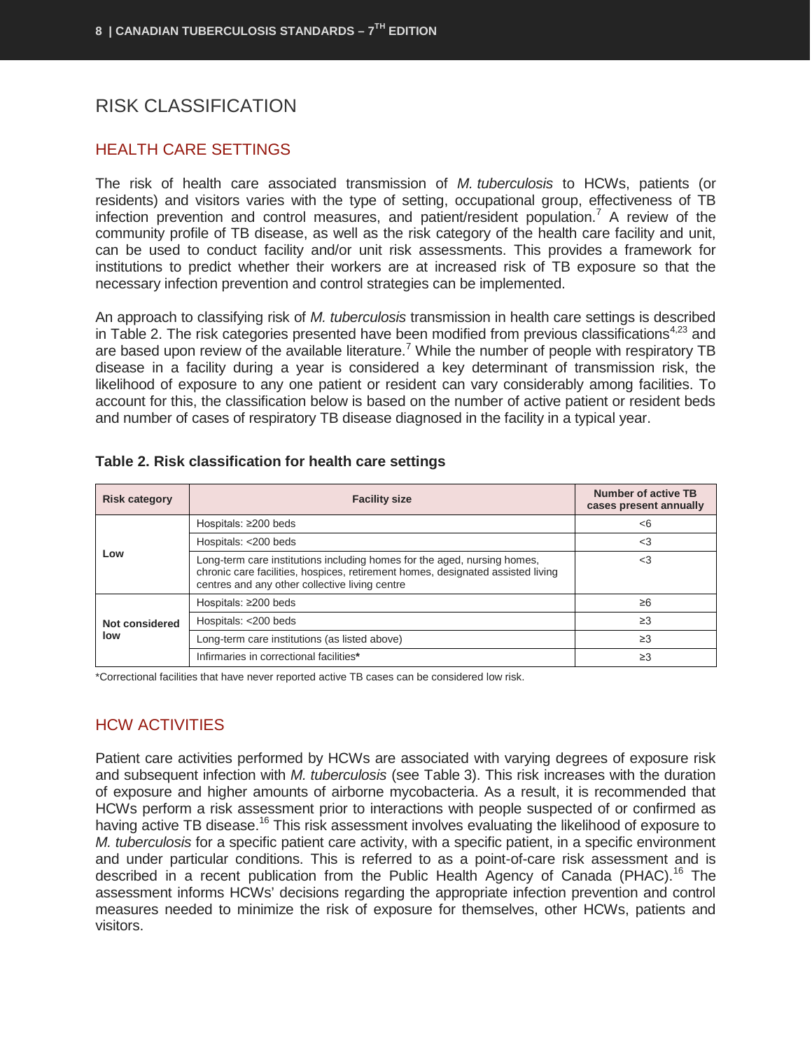## <span id="page-9-0"></span>RISK CLASSIFICATION

#### <span id="page-9-1"></span>HEALTH CARE SETTINGS

The risk of health care associated transmission of *M. tuberculosis* to HCWs, patients (or residents) and visitors varies with the type of setting, occupational group, effectiveness of TB infection prevention and control measures, and patient/resident population.<sup>7</sup> A review of the community profile of TB disease, as well as the risk category of the health care facility and unit, can be used to conduct facility and/or unit risk assessments. This provides a framework for institutions to predict whether their workers are at increased risk of TB exposure so that the necessary infection prevention and control strategies can be implemented.

An approach to classifying risk of *M. tuberculosis* transmission in health care settings is described in Table 2. The risk categories presented have been modified from previous classifications<sup>4,23</sup> and are based upon review of the available literature.<sup>7</sup> While the number of people with respiratory TB disease in a facility during a year is considered a key determinant of transmission risk, the likelihood of exposure to any one patient or resident can vary considerably among facilities. To account for this, the classification below is based on the number of active patient or resident beds and number of cases of respiratory TB disease diagnosed in the facility in a typical year.

| <b>Risk category</b>  | <b>Facility size</b>                                                                                                                                                                                          | Number of active TB<br>cases present annually |
|-----------------------|---------------------------------------------------------------------------------------------------------------------------------------------------------------------------------------------------------------|-----------------------------------------------|
|                       | Hospitals: $\geq$ 200 beds                                                                                                                                                                                    | <6                                            |
|                       | Hospitals: <200 beds                                                                                                                                                                                          | $<$ 3                                         |
| Low                   | Long-term care institutions including homes for the aged, nursing homes,<br>chronic care facilities, hospices, retirement homes, designated assisted living<br>centres and any other collective living centre | $<$ 3                                         |
|                       | Hospitals: $\geq$ 200 beds                                                                                                                                                                                    | $\geq 6$                                      |
| Not considered<br>low | Hospitals: <200 beds                                                                                                                                                                                          | $\geq$ 3                                      |
|                       | Long-term care institutions (as listed above)                                                                                                                                                                 | $\geq$ 3                                      |
|                       | Infirmaries in correctional facilities*                                                                                                                                                                       | $\geq$ 3                                      |

#### **Table 2. Risk classification for health care settings**

\*Correctional facilities that have never reported active TB cases can be considered low risk.

#### <span id="page-9-2"></span>HCW ACTIVITIES

Patient care activities performed by HCWs are associated with varying degrees of exposure risk and subsequent infection with *M. tuberculosis* (see Table 3). This risk increases with the duration of exposure and higher amounts of airborne mycobacteria. As a result, it is recommended that HCWs perform a risk assessment prior to interactions with people suspected of or confirmed as having active TB disease.<sup>16</sup> This risk assessment involves evaluating the likelihood of exposure to *M. tuberculosis* for a specific patient care activity, with a specific patient, in a specific environment and under particular conditions. This is referred to as a point-of-care risk assessment and is described in a recent publication from the Public Health Agency of Canada (PHAC).<sup>16</sup> The assessment informs HCWs' decisions regarding the appropriate infection prevention and control measures needed to minimize the risk of exposure for themselves, other HCWs, patients and visitors.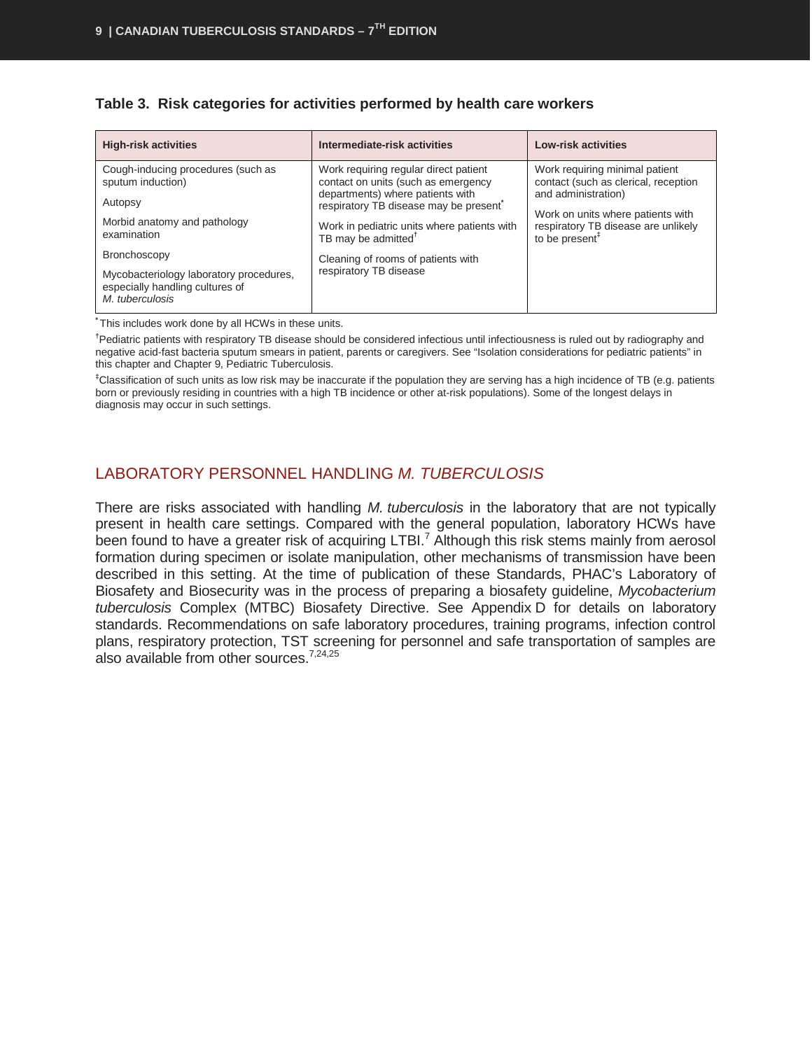| <b>High-risk activities</b>                                                                   | Intermediate-risk activities                                                           | <b>Low-risk activities</b>                                             |
|-----------------------------------------------------------------------------------------------|----------------------------------------------------------------------------------------|------------------------------------------------------------------------|
| Cough-inducing procedures (such as<br>sputum induction)                                       | Work requiring regular direct patient<br>contact on units (such as emergency           | Work requiring minimal patient<br>contact (such as clerical, reception |
| Autopsy                                                                                       | departments) where patients with<br>respiratory TB disease may be present <sup>®</sup> | and administration)<br>Work on units where patients with               |
| Morbid anatomy and pathology<br>examination                                                   | Work in pediatric units where patients with<br>TB may be admitted <sup>†</sup>         |                                                                        |
| <b>Bronchoscopy</b>                                                                           | Cleaning of rooms of patients with                                                     |                                                                        |
| Mycobacteriology laboratory procedures,<br>especially handling cultures of<br>M. tuberculosis | respiratory TB disease                                                                 |                                                                        |

#### **Table 3. Risk categories for activities performed by health care workers**

**\*** This includes work done by all HCWs in these units.

**†** Pediatric patients with respiratory TB disease should be considered infectious until infectiousness is ruled out by radiography and negative acid-fast bacteria sputum smears in patient, parents or caregivers. See "Isolation considerations for pediatric patients" in this chapter and Chapter 9, Pediatric Tuberculosis.

**‡** Classification of such units as low risk may be inaccurate if the population they are serving has a high incidence of TB (e.g. patients born or previously residing in countries with a high TB incidence or other at-risk populations). Some of the longest delays in diagnosis may occur in such settings.

## <span id="page-10-0"></span>LABORATORY PERSONNEL HANDLING *M. TUBERCULOSIS*

There are risks associated with handling *M. tuberculosis* in the laboratory that are not typically present in health care settings. Compared with the general population, laboratory HCWs have been found to have a greater risk of acquiring LTBI.<sup>7</sup> Although this risk stems mainly from aerosol formation during specimen or isolate manipulation, other mechanisms of transmission have been described in this setting. At the time of publication of these Standards, PHAC's Laboratory of Biosafety and Biosecurity was in the process of preparing a biosafety guideline, *Mycobacterium tuberculosis* Complex (MTBC) Biosafety Directive. See Appendix D for details on laboratory standards. Recommendations on safe laboratory procedures, training programs, infection control plans, respiratory protection, TST screening for personnel and safe transportation of samples are also available from other sources.<sup>7,24,25</sup>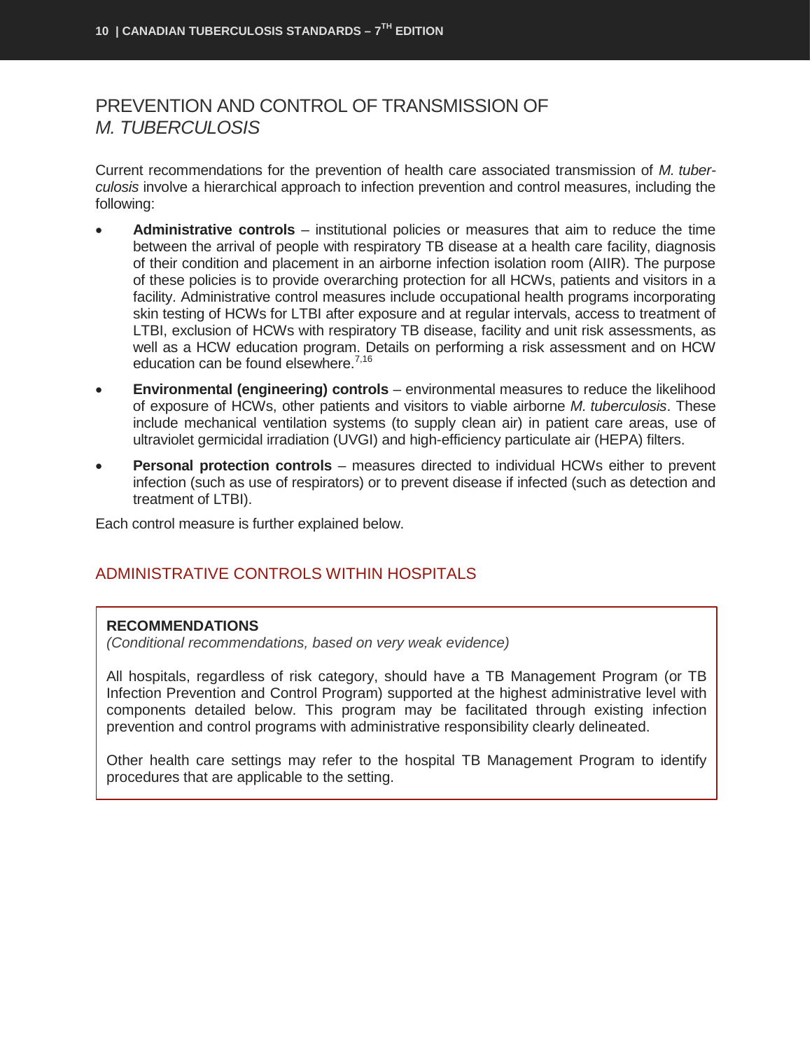## <span id="page-11-0"></span>PREVENTION AND CONTROL OF TRANSMISSION OF *M. TUBERCULOSIS*

Current recommendations for the prevention of health care associated transmission of *M. tuberculosis* involve a hierarchical approach to infection prevention and control measures, including the following:

- **Administrative controls** institutional policies or measures that aim to reduce the time between the arrival of people with respiratory TB disease at a health care facility, diagnosis of their condition and placement in an airborne infection isolation room (AIIR). The purpose of these policies is to provide overarching protection for all HCWs, patients and visitors in a facility. Administrative control measures include occupational health programs incorporating skin testing of HCWs for LTBI after exposure and at regular intervals, access to treatment of LTBI, exclusion of HCWs with respiratory TB disease, facility and unit risk assessments, as well as a HCW education program. Details on performing a risk assessment and on HCW education can be found elsewhere.<sup>7,16</sup>
- **Environmental (engineering) controls** environmental measures to reduce the likelihood of exposure of HCWs, other patients and visitors to viable airborne *M. tuberculosis*. These include mechanical ventilation systems (to supply clean air) in patient care areas, use of ultraviolet germicidal irradiation (UVGI) and high-efficiency particulate air (HEPA) filters.
- **Personal protection controls** measures directed to individual HCWs either to prevent infection (such as use of respirators) or to prevent disease if infected (such as detection and treatment of LTBI).

Each control measure is further explained below.

## <span id="page-11-1"></span>ADMINISTRATIVE CONTROLS WITHIN HOSPITALS

#### **RECOMMENDATIONS**

*(Conditional recommendations, based on very weak evidence)*

All hospitals, regardless of risk category, should have a TB Management Program (or TB Infection Prevention and Control Program) supported at the highest administrative level with components detailed below. This program may be facilitated through existing infection prevention and control programs with administrative responsibility clearly delineated.

Other health care settings may refer to the hospital TB Management Program to identify procedures that are applicable to the setting.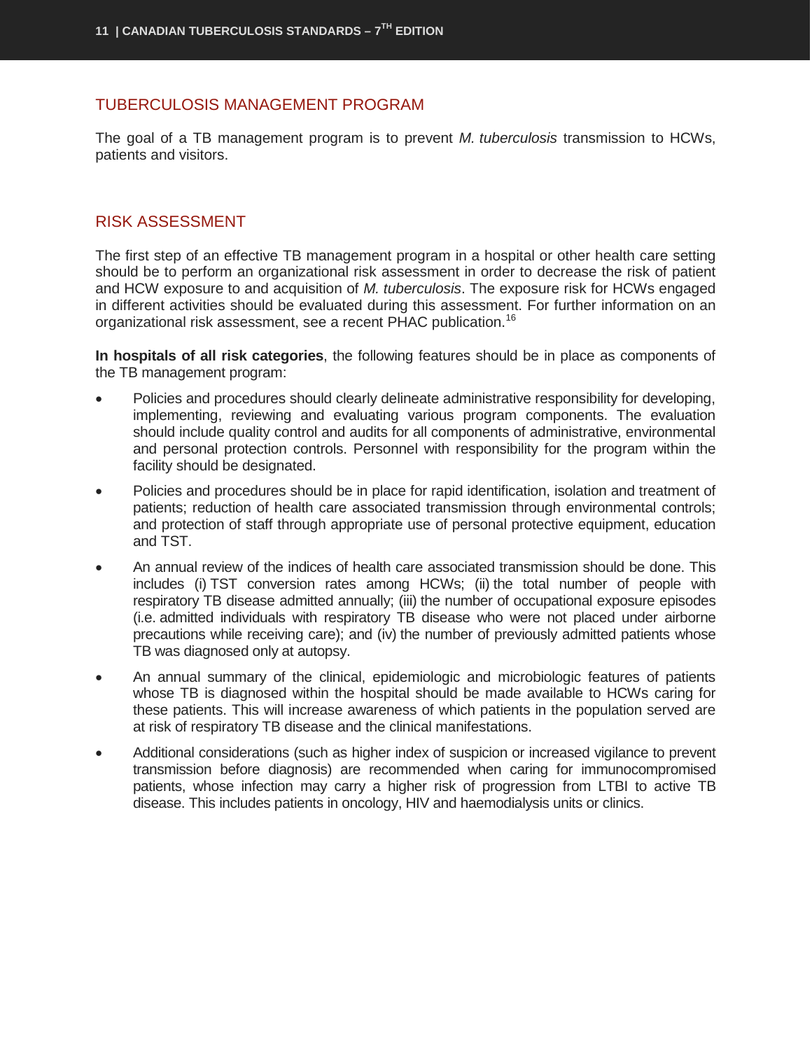#### <span id="page-12-0"></span>TUBERCULOSIS MANAGEMENT PROGRAM

The goal of a TB management program is to prevent *M. tuberculosis* transmission to HCWs, patients and visitors.

#### <span id="page-12-1"></span>RISK ASSESSMENT

The first step of an effective TB management program in a hospital or other health care setting should be to perform an organizational risk assessment in order to decrease the risk of patient and HCW exposure to and acquisition of *M. tuberculosis*. The exposure risk for HCWs engaged in different activities should be evaluated during this assessment. For further information on an organizational risk assessment, see a recent PHAC publication.<sup>16</sup>

**In hospitals of all risk categories**, the following features should be in place as components of the TB management program:

- Policies and procedures should clearly delineate administrative responsibility for developing, implementing, reviewing and evaluating various program components. The evaluation should include quality control and audits for all components of administrative, environmental and personal protection controls. Personnel with responsibility for the program within the facility should be designated.
- Policies and procedures should be in place for rapid identification, isolation and treatment of patients; reduction of health care associated transmission through environmental controls; and protection of staff through appropriate use of personal protective equipment, education and TST.
- An annual review of the indices of health care associated transmission should be done. This includes (i) TST conversion rates among HCWs; (ii) the total number of people with respiratory TB disease admitted annually; (iii) the number of occupational exposure episodes (i.e. admitted individuals with respiratory TB disease who were not placed under airborne precautions while receiving care); and (iv) the number of previously admitted patients whose TB was diagnosed only at autopsy.
- An annual summary of the clinical, epidemiologic and microbiologic features of patients whose TB is diagnosed within the hospital should be made available to HCWs caring for these patients. This will increase awareness of which patients in the population served are at risk of respiratory TB disease and the clinical manifestations.
- Additional considerations (such as higher index of suspicion or increased vigilance to prevent transmission before diagnosis) are recommended when caring for immunocompromised patients, whose infection may carry a higher risk of progression from LTBI to active TB disease. This includes patients in oncology, HIV and haemodialysis units or clinics.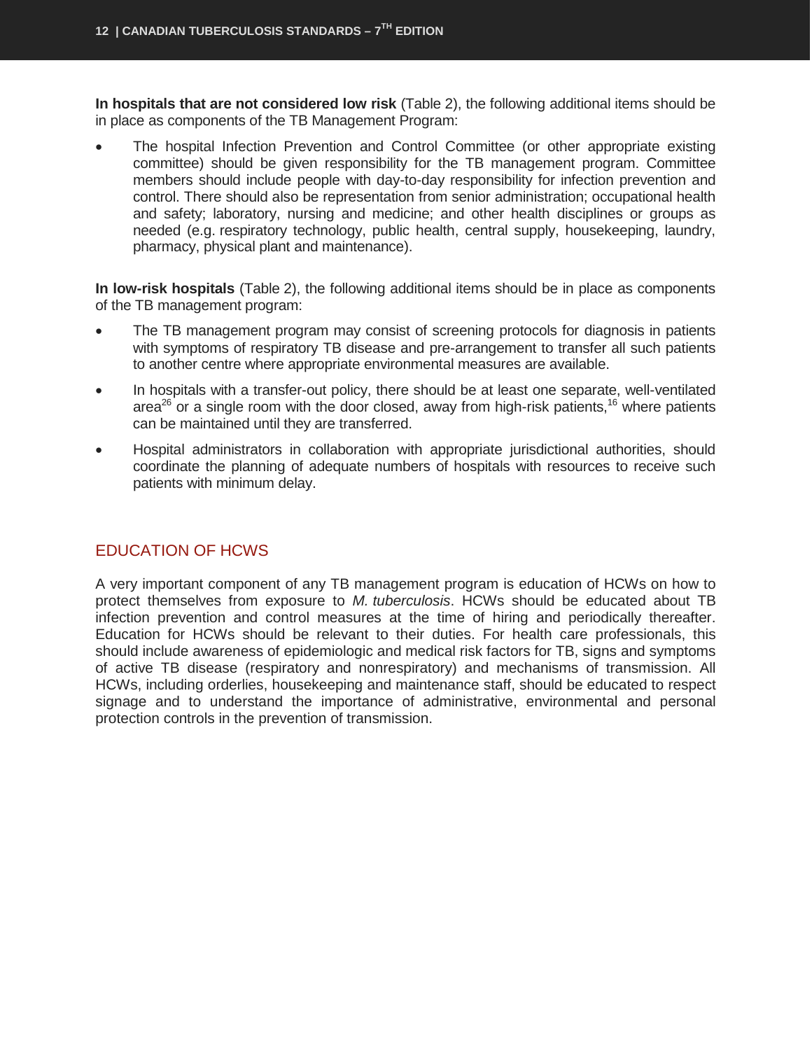**In hospitals that are not considered low risk** (Table 2), the following additional items should be in place as components of the TB Management Program:

• The hospital Infection Prevention and Control Committee (or other appropriate existing committee) should be given responsibility for the TB management program. Committee members should include people with day-to-day responsibility for infection prevention and control. There should also be representation from senior administration; occupational health and safety; laboratory, nursing and medicine; and other health disciplines or groups as needed (e.g. respiratory technology, public health, central supply, housekeeping, laundry, pharmacy, physical plant and maintenance).

**In low-risk hospitals** (Table 2), the following additional items should be in place as components of the TB management program:

- The TB management program may consist of screening protocols for diagnosis in patients with symptoms of respiratory TB disease and pre-arrangement to transfer all such patients to another centre where appropriate environmental measures are available.
- In hospitals with a transfer-out policy, there should be at least one separate, well-ventilated area<sup>26</sup> or a single room with the door closed, away from high-risk patients,<sup>16</sup> where patients can be maintained until they are transferred.
- Hospital administrators in collaboration with appropriate jurisdictional authorities, should coordinate the planning of adequate numbers of hospitals with resources to receive such patients with minimum delay.

#### <span id="page-13-0"></span>EDUCATION OF HCWS

A very important component of any TB management program is education of HCWs on how to protect themselves from exposure to *M. tuberculosis*. HCWs should be educated about TB infection prevention and control measures at the time of hiring and periodically thereafter. Education for HCWs should be relevant to their duties. For health care professionals, this should include awareness of epidemiologic and medical risk factors for TB, signs and symptoms of active TB disease (respiratory and nonrespiratory) and mechanisms of transmission. All HCWs, including orderlies, housekeeping and maintenance staff, should be educated to respect signage and to understand the importance of administrative, environmental and personal protection controls in the prevention of transmission.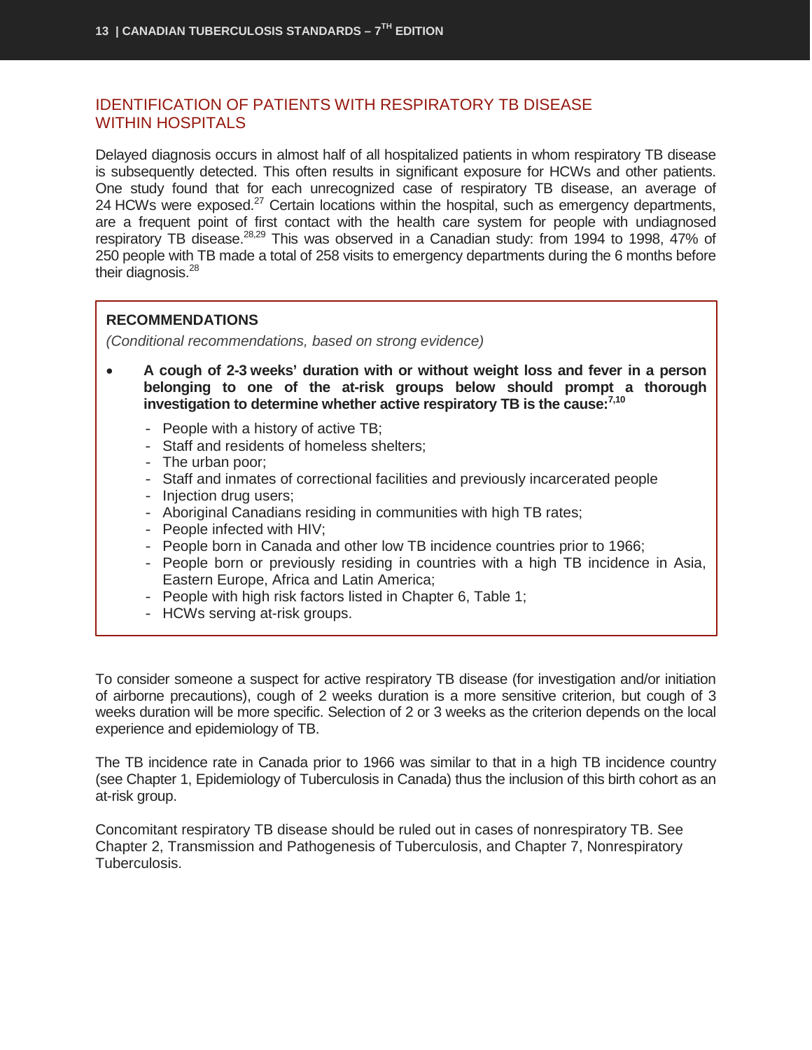### <span id="page-14-0"></span>IDENTIFICATION OF PATIENTS WITH RESPIRATORY TB DISEASE WITHIN HOSPITALS

Delayed diagnosis occurs in almost half of all hospitalized patients in whom respiratory TB disease is subsequently detected. This often results in significant exposure for HCWs and other patients. One study found that for each unrecognized case of respiratory TB disease, an average of 24 HCWs were exposed.<sup>27</sup> Certain locations within the hospital, such as emergency departments, are a frequent point of first contact with the health care system for people with undiagnosed respiratory TB disease.<sup>28,29</sup> This was observed in a Canadian study: from 1994 to 1998, 47% of 250 people with TB made a total of 258 visits to emergency departments during the 6 months before their diagnosis.<sup>28</sup>

#### **RECOMMENDATIONS**

*(Conditional recommendations, based on strong evidence)*

- **A cough of 2-3 weeks' duration with or without weight loss and fever in a person belonging to one of the at-risk groups below should prompt a thorough investigation to determine whether active respiratory TB is the cause:7,10**
	- People with a history of active TB;
	- Staff and residents of homeless shelters;
	- The urban poor;
	- Staff and inmates of correctional facilities and previously incarcerated people
	- Injection drug users;
	- Aboriginal Canadians residing in communities with high TB rates;
	- People infected with HIV;
	- People born in Canada and other low TB incidence countries prior to 1966;
	- People born or previously residing in countries with a high TB incidence in Asia, Eastern Europe, Africa and Latin America;
	- People with high risk factors listed in Chapter 6, Table 1;
	- HCWs serving at-risk groups.

To consider someone a suspect for active respiratory TB disease (for investigation and/or initiation of airborne precautions), cough of 2 weeks duration is a more sensitive criterion, but cough of 3 weeks duration will be more specific. Selection of 2 or 3 weeks as the criterion depends on the local experience and epidemiology of TB.

The TB incidence rate in Canada prior to 1966 was similar to that in a high TB incidence country (see Chapter 1, Epidemiology of Tuberculosis in Canada) thus the inclusion of this birth cohort as an at-risk group.

Concomitant respiratory TB disease should be ruled out in cases of nonrespiratory TB. See Chapter 2, Transmission and Pathogenesis of Tuberculosis, and Chapter 7, Nonrespiratory Tuberculosis.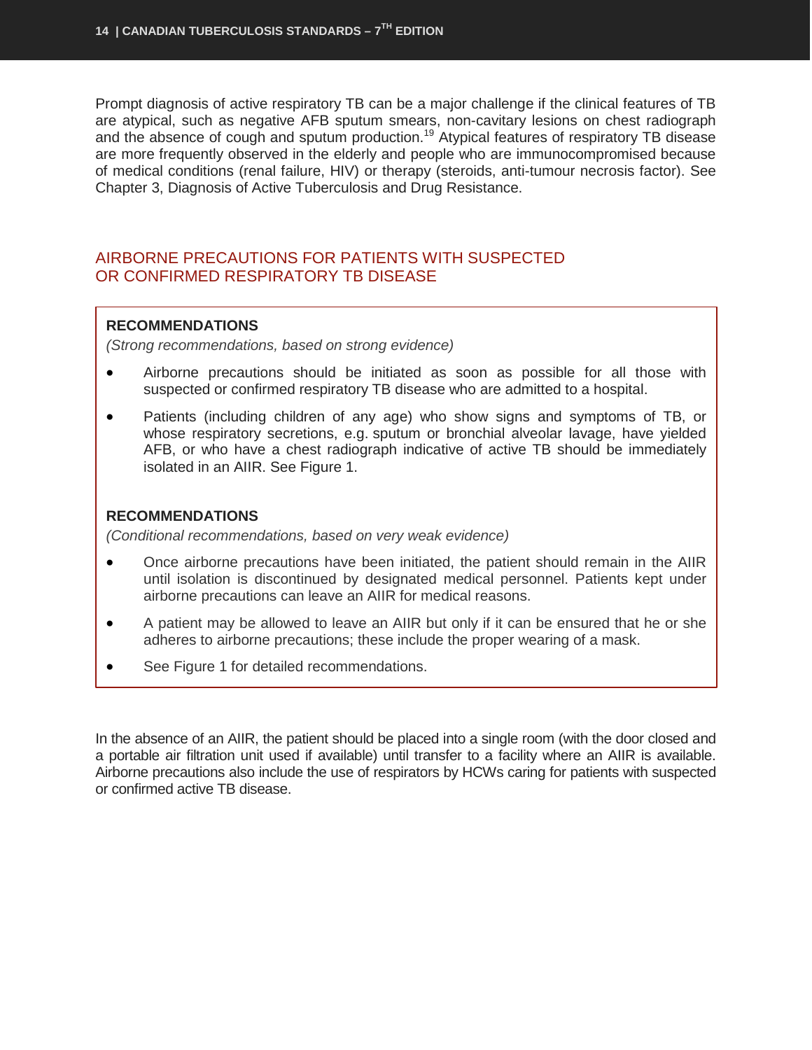Prompt diagnosis of active respiratory TB can be a major challenge if the clinical features of TB are atypical, such as negative AFB sputum smears, non-cavitary lesions on chest radiograph and the absence of cough and sputum production.<sup>19</sup> Atypical features of respiratory TB disease are more frequently observed in the elderly and people who are immunocompromised because of medical conditions (renal failure, HIV) or therapy (steroids, anti-tumour necrosis factor). See Chapter 3, Diagnosis of Active Tuberculosis and Drug Resistance.

### <span id="page-15-0"></span>AIRBORNE PRECAUTIONS FOR PATIENTS WITH SUSPECTED OR CONFIRMED RESPIRATORY TB DISEASE

#### **RECOMMENDATIONS**

*(Strong recommendations, based on strong evidence)*

- Airborne precautions should be initiated as soon as possible for all those with suspected or confirmed respiratory TB disease who are admitted to a hospital.
- Patients (including children of any age) who show signs and symptoms of TB, or whose respiratory secretions, e.g. sputum or bronchial alveolar lavage, have yielded AFB, or who have a chest radiograph indicative of active TB should be immediately isolated in an AIIR. See Figure 1.

#### **RECOMMENDATIONS**

*(Conditional recommendations, based on very weak evidence)*

- Once airborne precautions have been initiated, the patient should remain in the AIIR until isolation is discontinued by designated medical personnel. Patients kept under airborne precautions can leave an AIIR for medical reasons.
- A patient may be allowed to leave an AIIR but only if it can be ensured that he or she adheres to airborne precautions; these include the proper wearing of a mask.
- See Figure 1 for detailed recommendations.

In the absence of an AIIR, the patient should be placed into a single room (with the door closed and a portable air filtration unit used if available) until transfer to a facility where an AIIR is available. Airborne precautions also include the use of respirators by HCWs caring for patients with suspected or confirmed active TB disease.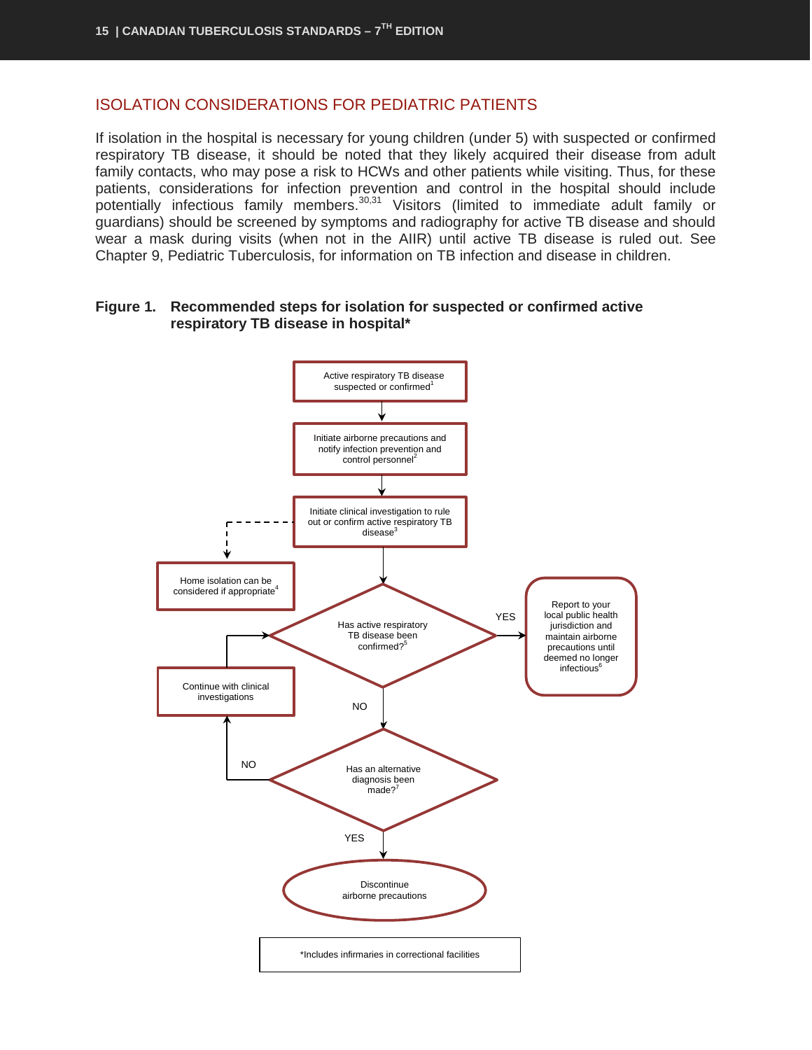### <span id="page-16-0"></span>ISOLATION CONSIDERATIONS FOR PEDIATRIC PATIENTS

If isolation in the hospital is necessary for young children (under 5) with suspected or confirmed respiratory TB disease, it should be noted that they likely acquired their disease from adult family contacts, who may pose a risk to HCWs and other patients while visiting. Thus, for these patients, considerations for infection prevention and control in the hospital should include potentially infectious family members.<sup>30,31</sup> Visitors (limited to immediate adult family or guardians) should be screened by symptoms and radiography for active TB disease and should wear a mask during visits (when not in the AIIR) until active TB disease is ruled out. See Chapter 9, Pediatric Tuberculosis, for information on TB infection and disease in children.

#### **Figure 1. Recommended steps for isolation for suspected or confirmed active respiratory TB disease in hospital\***

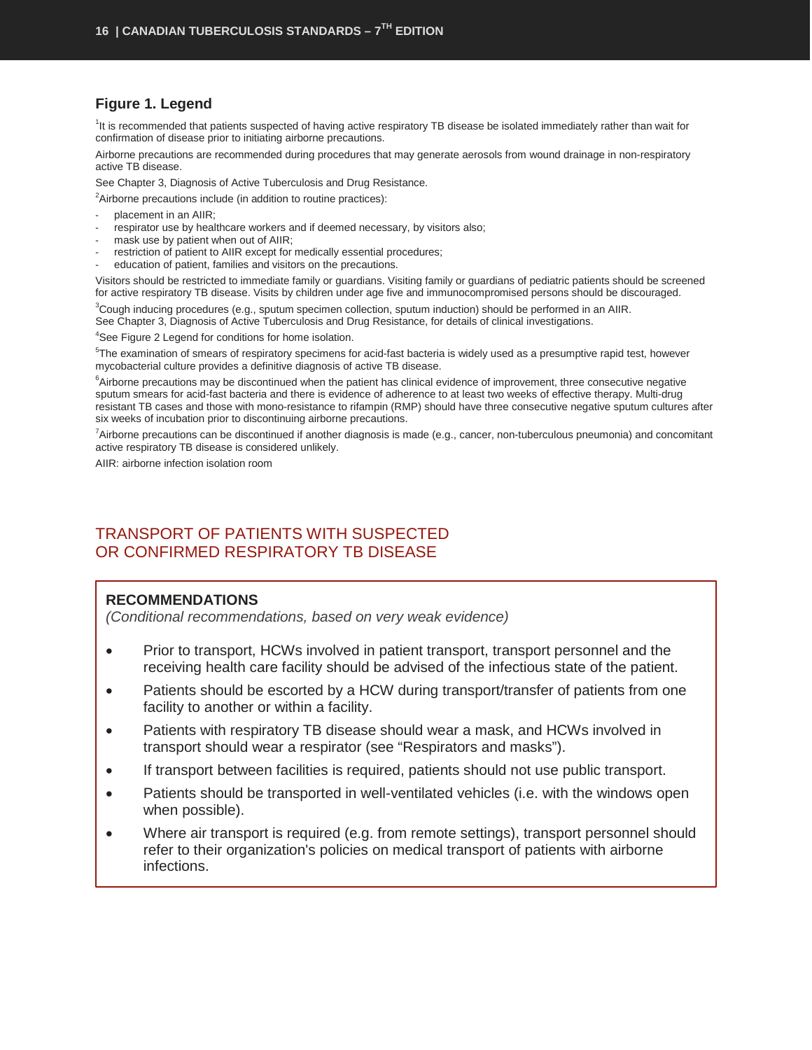#### **Figure 1. Legend**

<sup>1</sup>It is recommended that patients suspected of having active respiratory TB disease be isolated immediately rather than wait for confirmation of disease prior to initiating airborne precautions.

Airborne precautions are recommended during procedures that may generate aerosols from wound drainage in non-respiratory active TB disease.

See Chapter 3, Diagnosis of Active Tuberculosis and Drug Resistance.

<sup>2</sup>Airborne precautions include (in addition to routine practices):

- placement in an AIIR:
- respirator use by healthcare workers and if deemed necessary, by visitors also;
- mask use by patient when out of AIIR;
- restriction of patient to AIIR except for medically essential procedures;
- education of patient, families and visitors on the precautions.

Visitors should be restricted to immediate family or guardians. Visiting family or guardians of pediatric patients should be screened for active respiratory TB disease. Visits by children under age five and immunocompromised persons should be discouraged.

3 Cough inducing procedures (e.g., sputum specimen collection, sputum induction) should be performed in an AIIR. See Chapter 3, Diagnosis of Active Tuberculosis and Drug Resistance, for details of clinical investigations.

<sup>4</sup>See Figure 2 Legend for conditions for home isolation.

<sup>5</sup>The examination of smears of respiratory specimens for acid-fast bacteria is widely used as a presumptive rapid test, however mycobacterial culture provides a definitive diagnosis of active TB disease.

<sup>6</sup>Airborne precautions may be discontinued when the patient has clinical evidence of improvement, three consecutive negative sputum smears for acid-fast bacteria and there is evidence of adherence to at least two weeks of effective therapy. Multi-drug resistant TB cases and those with mono-resistance to rifampin (RMP) should have three consecutive negative sputum cultures after six weeks of incubation prior to discontinuing airborne precautions.

7 Airborne precautions can be discontinued if another diagnosis is made (e.g., cancer, non-tuberculous pneumonia) and concomitant active respiratory TB disease is considered unlikely.

AIIR: airborne infection isolation room

## <span id="page-17-0"></span>TRANSPORT OF PATIENTS WITH SUSPECTED OR CONFIRMED RESPIRATORY TB DISEASE

#### **RECOMMENDATIONS**

*(Conditional recommendations, based on very weak evidence)*

- Prior to transport, HCWs involved in patient transport, transport personnel and the receiving health care facility should be advised of the infectious state of the patient.
- Patients should be escorted by a HCW during transport/transfer of patients from one facility to another or within a facility.
- Patients with respiratory TB disease should wear a mask, and HCWs involved in transport should wear a respirator (see "Respirators and masks").
- If transport between facilities is required, patients should not use public transport.
- Patients should be transported in well-ventilated vehicles (i.e. with the windows open when possible).
- Where air transport is required (e.g. from remote settings), transport personnel should refer to their organization's policies on medical transport of patients with airborne infections.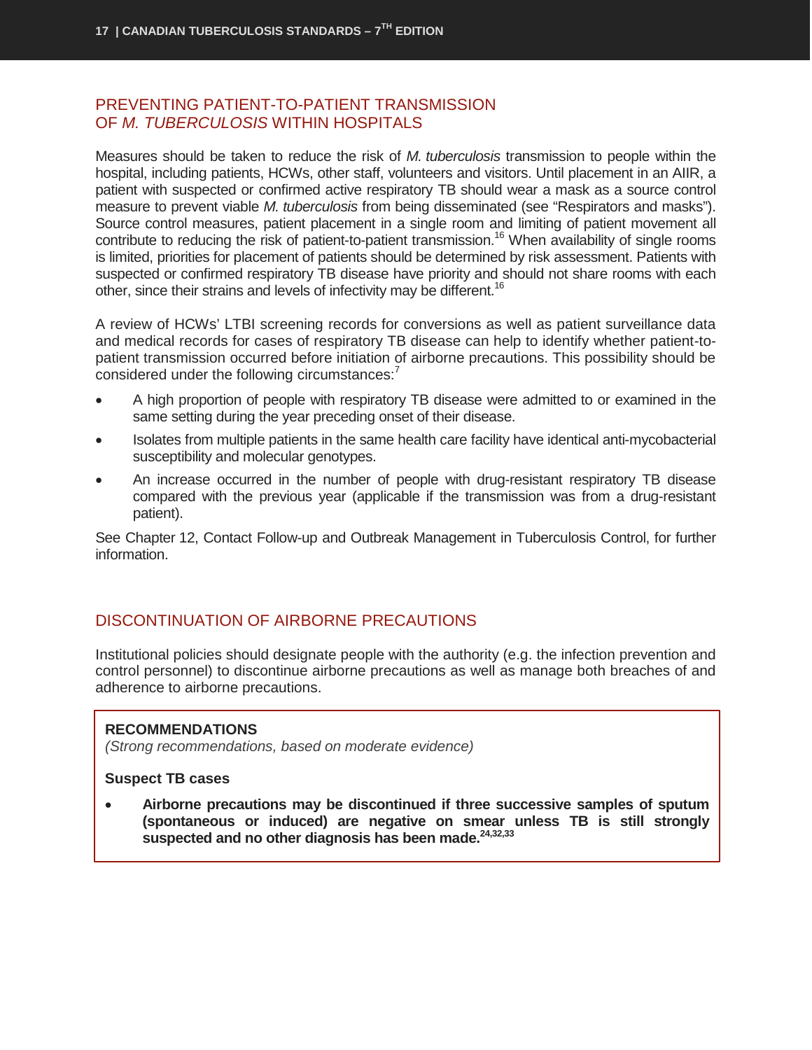#### <span id="page-18-0"></span>PREVENTING PATIENT-TO-PATIENT TRANSMISSION OF *M. TUBERCULOSIS* WITHIN HOSPITALS

Measures should be taken to reduce the risk of *M. tuberculosis* transmission to people within the hospital, including patients, HCWs, other staff, volunteers and visitors. Until placement in an AIIR, a patient with suspected or confirmed active respiratory TB should wear a mask as a source control measure to prevent viable *M. tuberculosis* from being disseminated (see "Respirators and masks"). Source control measures, patient placement in a single room and limiting of patient movement all contribute to reducing the risk of patient-to-patient transmission.<sup>16</sup> When availability of single rooms is limited, priorities for placement of patients should be determined by risk assessment. Patients with suspected or confirmed respiratory TB disease have priority and should not share rooms with each other, since their strains and levels of infectivity may be different.<sup>16</sup>

A review of HCWs' LTBI screening records for conversions as well as patient surveillance data and medical records for cases of respiratory TB disease can help to identify whether patient-topatient transmission occurred before initiation of airborne precautions. This possibility should be considered under the following circumstances:<sup>7</sup>

- A high proportion of people with respiratory TB disease were admitted to or examined in the same setting during the year preceding onset of their disease.
- Isolates from multiple patients in the same health care facility have identical anti-mycobacterial susceptibility and molecular genotypes.
- An increase occurred in the number of people with drug-resistant respiratory TB disease compared with the previous year (applicable if the transmission was from a drug-resistant patient).

See Chapter 12, Contact Follow-up and Outbreak Management in Tuberculosis Control, for further information.

## <span id="page-18-1"></span>DISCONTINUATION OF AIRBORNE PRECAUTIONS

Institutional policies should designate people with the authority (e.g. the infection prevention and control personnel) to discontinue airborne precautions as well as manage both breaches of and adherence to airborne precautions.

#### **RECOMMENDATIONS**

*(Strong recommendations, based on moderate evidence)*

#### **Suspect TB cases**

• **Airborne precautions may be discontinued if three successive samples of sputum (spontaneous or induced) are negative on smear unless TB is still strongly**  suspected and no other diagnosis has been made.<sup>24,32,33</sup>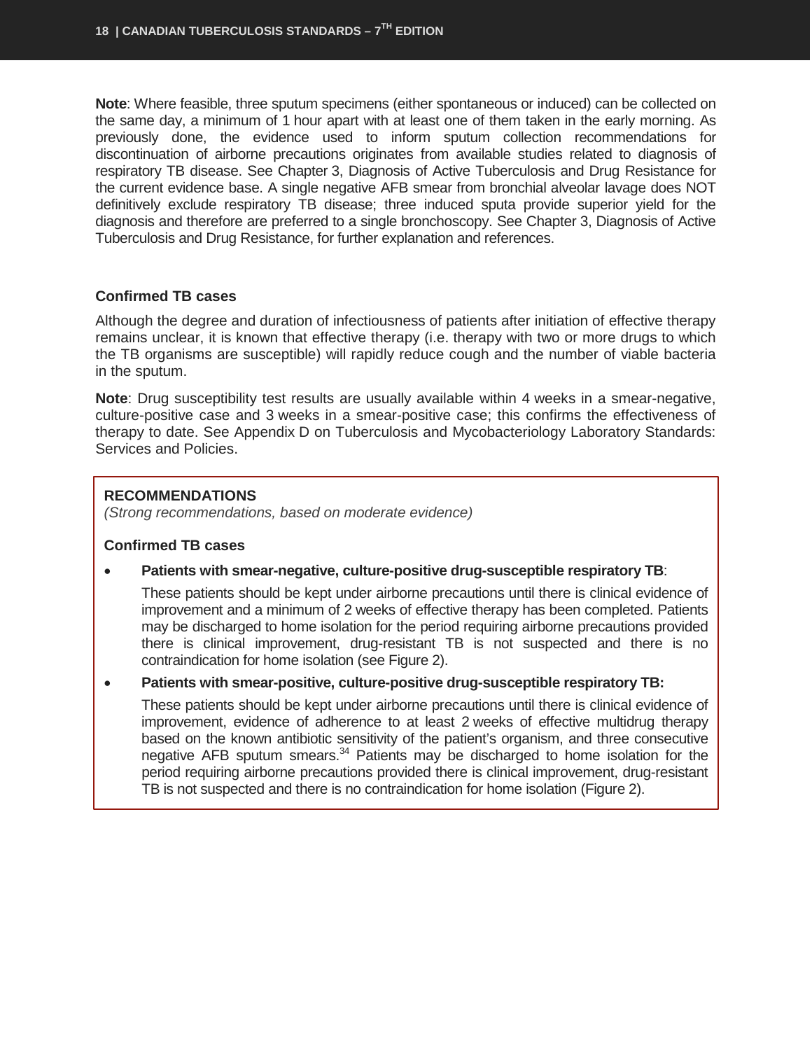**Note**: Where feasible, three sputum specimens (either spontaneous or induced) can be collected on the same day, a minimum of 1 hour apart with at least one of them taken in the early morning. As previously done, the evidence used to inform sputum collection recommendations for discontinuation of airborne precautions originates from available studies related to diagnosis of respiratory TB disease. See Chapter 3, Diagnosis of Active Tuberculosis and Drug Resistance for the current evidence base. A single negative AFB smear from bronchial alveolar lavage does NOT definitively exclude respiratory TB disease; three induced sputa provide superior yield for the diagnosis and therefore are preferred to a single bronchoscopy. See Chapter 3, Diagnosis of Active Tuberculosis and Drug Resistance, for further explanation and references.

#### **Confirmed TB cases**

Although the degree and duration of infectiousness of patients after initiation of effective therapy remains unclear, it is known that effective therapy (i.e. therapy with two or more drugs to which the TB organisms are susceptible) will rapidly reduce cough and the number of viable bacteria in the sputum.

**Note**: Drug susceptibility test results are usually available within 4 weeks in a smear-negative, culture-positive case and 3 weeks in a smear-positive case; this confirms the effectiveness of therapy to date. See Appendix D on Tuberculosis and Mycobacteriology Laboratory Standards: Services and Policies.

#### **RECOMMENDATIONS**

*(Strong recommendations, based on moderate evidence)*

#### **Confirmed TB cases**

• **Patients with smear-negative, culture-positive drug-susceptible respiratory TB**:

These patients should be kept under airborne precautions until there is clinical evidence of improvement and a minimum of 2 weeks of effective therapy has been completed. Patients may be discharged to home isolation for the period requiring airborne precautions provided there is clinical improvement, drug-resistant TB is not suspected and there is no contraindication for home isolation (see Figure 2).

• **Patients with smear-positive, culture-positive drug-susceptible respiratory TB:**

These patients should be kept under airborne precautions until there is clinical evidence of improvement, evidence of adherence to at least 2 weeks of effective multidrug therapy based on the known antibiotic sensitivity of the patient's organism, and three consecutive negative AFB sputum smears.<sup>34</sup> Patients may be discharged to home isolation for the period requiring airborne precautions provided there is clinical improvement, drug-resistant TB is not suspected and there is no contraindication for home isolation (Figure 2).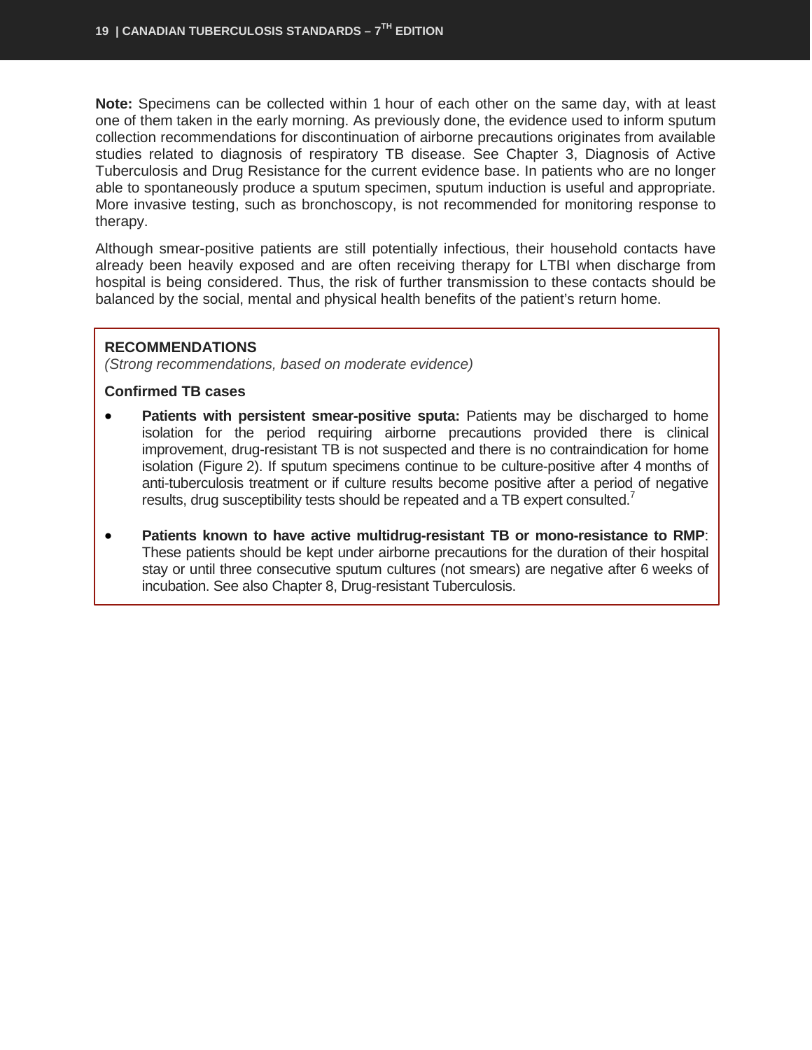**Note:** Specimens can be collected within 1 hour of each other on the same day, with at least one of them taken in the early morning. As previously done, the evidence used to inform sputum collection recommendations for discontinuation of airborne precautions originates from available studies related to diagnosis of respiratory TB disease. See Chapter 3, Diagnosis of Active Tuberculosis and Drug Resistance for the current evidence base. In patients who are no longer able to spontaneously produce a sputum specimen, sputum induction is useful and appropriate. More invasive testing, such as bronchoscopy, is not recommended for monitoring response to therapy.

Although smear-positive patients are still potentially infectious, their household contacts have already been heavily exposed and are often receiving therapy for LTBI when discharge from hospital is being considered. Thus, the risk of further transmission to these contacts should be balanced by the social, mental and physical health benefits of the patient's return home.

#### **RECOMMENDATIONS**

*(Strong recommendations, based on moderate evidence)*

#### **Confirmed TB cases**

- **Patients with persistent smear-positive sputa:** Patients may be discharged to home isolation for the period requiring airborne precautions provided there is clinical improvement, drug-resistant TB is not suspected and there is no contraindication for home isolation (Figure 2). If sputum specimens continue to be culture-positive after 4 months of anti-tuberculosis treatment or if culture results become positive after a period of negative results, drug susceptibility tests should be repeated and a TB expert consulted.<sup>7</sup>
- **Patients known to have active multidrug-resistant TB or mono-resistance to RMP**: These patients should be kept under airborne precautions for the duration of their hospital stay or until three consecutive sputum cultures (not smears) are negative after 6 weeks of incubation. See also Chapter 8, Drug-resistant Tuberculosis.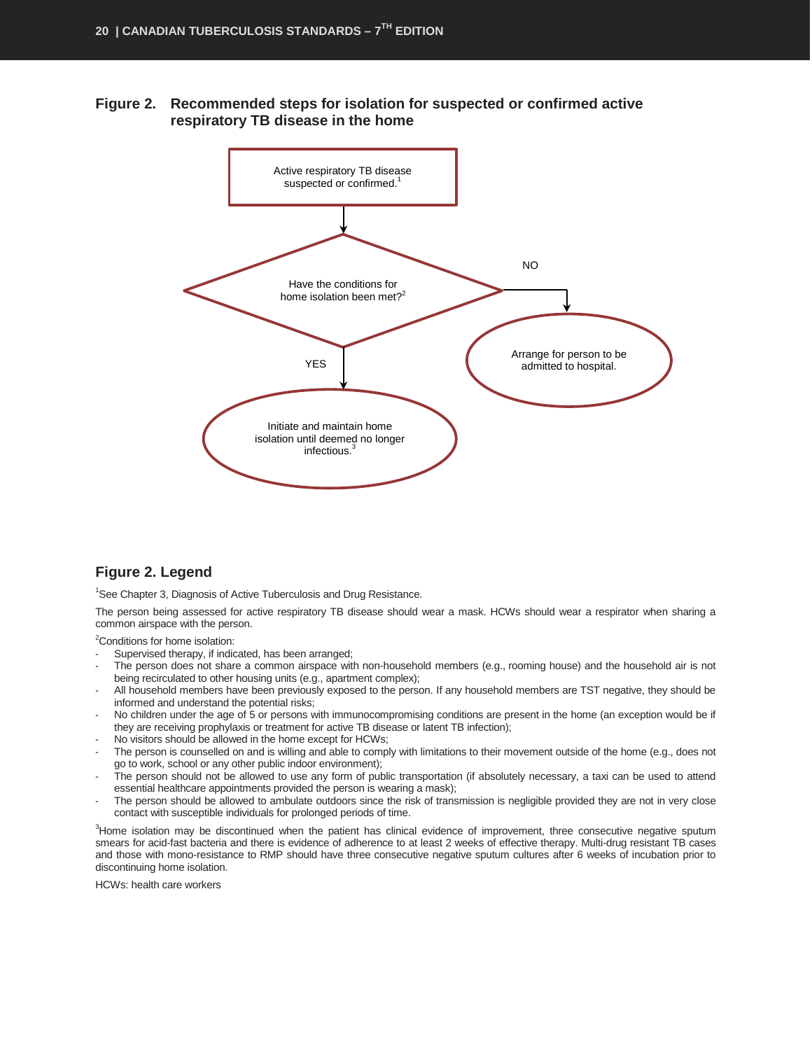**Figure 2. Recommended steps for isolation for suspected or confirmed active respiratory TB disease in the home**



#### **Figure 2. Legend**

<sup>1</sup>See Chapter 3, Diagnosis of Active Tuberculosis and Drug Resistance.

The person being assessed for active respiratory TB disease should wear a mask. HCWs should wear a respirator when sharing a common airspace with the person.

<sup>2</sup>Conditions for home isolation:

- Supervised therapy, if indicated, has been arranged;
- The person does not share a common airspace with non-household members (e.g., rooming house) and the household air is not being recirculated to other housing units (e.g., apartment complex);
- All household members have been previously exposed to the person. If any household members are TST negative, they should be informed and understand the potential risks;
- No children under the age of 5 or persons with immunocompromising conditions are present in the home (an exception would be if they are receiving prophylaxis or treatment for active TB disease or latent TB infection);
- No visitors should be allowed in the home except for HCWs;
- The person is counselled on and is willing and able to comply with limitations to their movement outside of the home (e.g., does not go to work, school or any other public indoor environment);
- The person should not be allowed to use any form of public transportation (if absolutely necessary, a taxi can be used to attend essential healthcare appointments provided the person is wearing a mask);
- The person should be allowed to ambulate outdoors since the risk of transmission is negligible provided they are not in very close contact with susceptible individuals for prolonged periods of time.

3 Home isolation may be discontinued when the patient has clinical evidence of improvement, three consecutive negative sputum smears for acid-fast bacteria and there is evidence of adherence to at least 2 weeks of effective therapy. Multi-drug resistant TB cases and those with mono-resistance to RMP should have three consecutive negative sputum cultures after 6 weeks of incubation prior to discontinuing home isolation.

HCWs: health care workers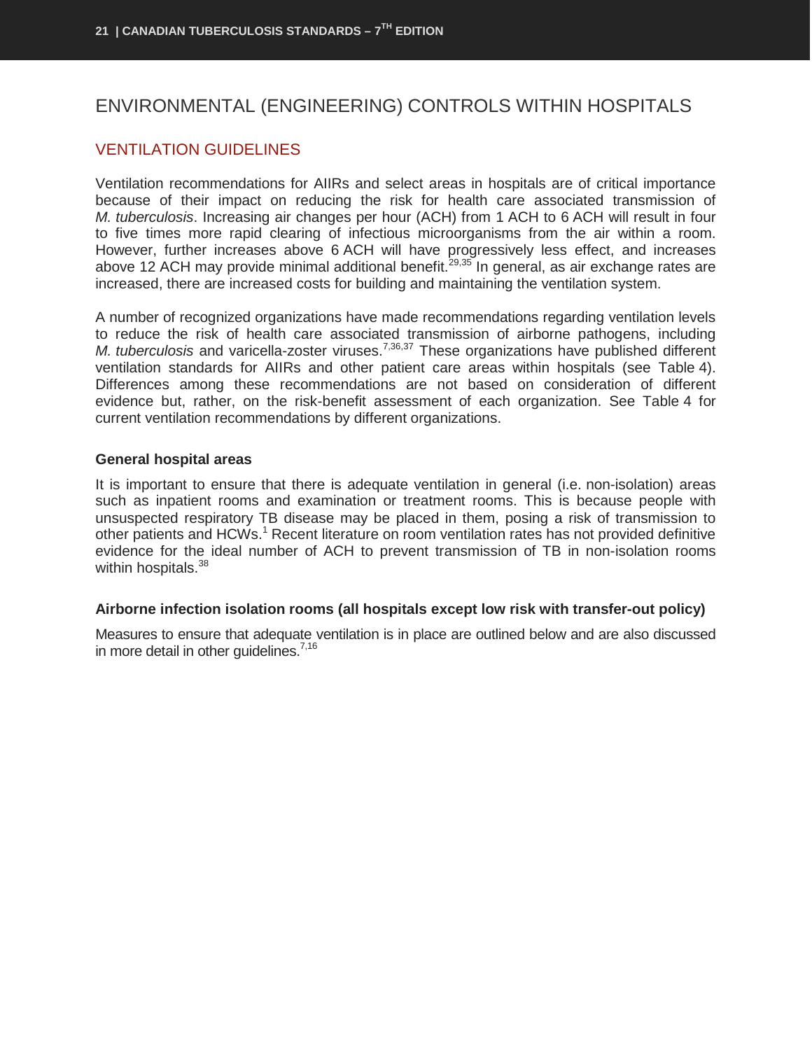## <span id="page-22-0"></span>ENVIRONMENTAL (ENGINEERING) CONTROLS WITHIN HOSPITALS

## <span id="page-22-1"></span>VENTILATION GUIDELINES

Ventilation recommendations for AIIRs and select areas in hospitals are of critical importance because of their impact on reducing the risk for health care associated transmission of *M. tuberculosis*. Increasing air changes per hour (ACH) from 1 ACH to 6 ACH will result in four to five times more rapid clearing of infectious microorganisms from the air within a room. However, further increases above 6 ACH will have progressively less effect, and increases above 12 ACH may provide minimal additional benefit.<sup>29,35</sup> In general, as air exchange rates are increased, there are increased costs for building and maintaining the ventilation system.

A number of recognized organizations have made recommendations regarding ventilation levels to reduce the risk of health care associated transmission of airborne pathogens, including *M. tuberculosis* and varicella-zoster viruses.<sup>7,36,37</sup> These organizations have published different ventilation standards for AIIRs and other patient care areas within hospitals (see Table 4). Differences among these recommendations are not based on consideration of different evidence but, rather, on the risk-benefit assessment of each organization. See Table 4 for current ventilation recommendations by different organizations.

#### **General hospital areas**

It is important to ensure that there is adequate ventilation in general (i.e. non-isolation) areas such as inpatient rooms and examination or treatment rooms. This is because people with unsuspected respiratory TB disease may be placed in them, posing a risk of transmission to other patients and HCWs.<sup>1</sup> Recent literature on room ventilation rates has not provided definitive evidence for the ideal number of ACH to prevent transmission of TB in non-isolation rooms within hospitals.<sup>38</sup>

#### **Airborne infection isolation rooms (all hospitals except low risk with transfer-out policy)**

Measures to ensure that adequate ventilation is in place are outlined below and are also discussed in more detail in other quidelines.<sup>7,16</sup>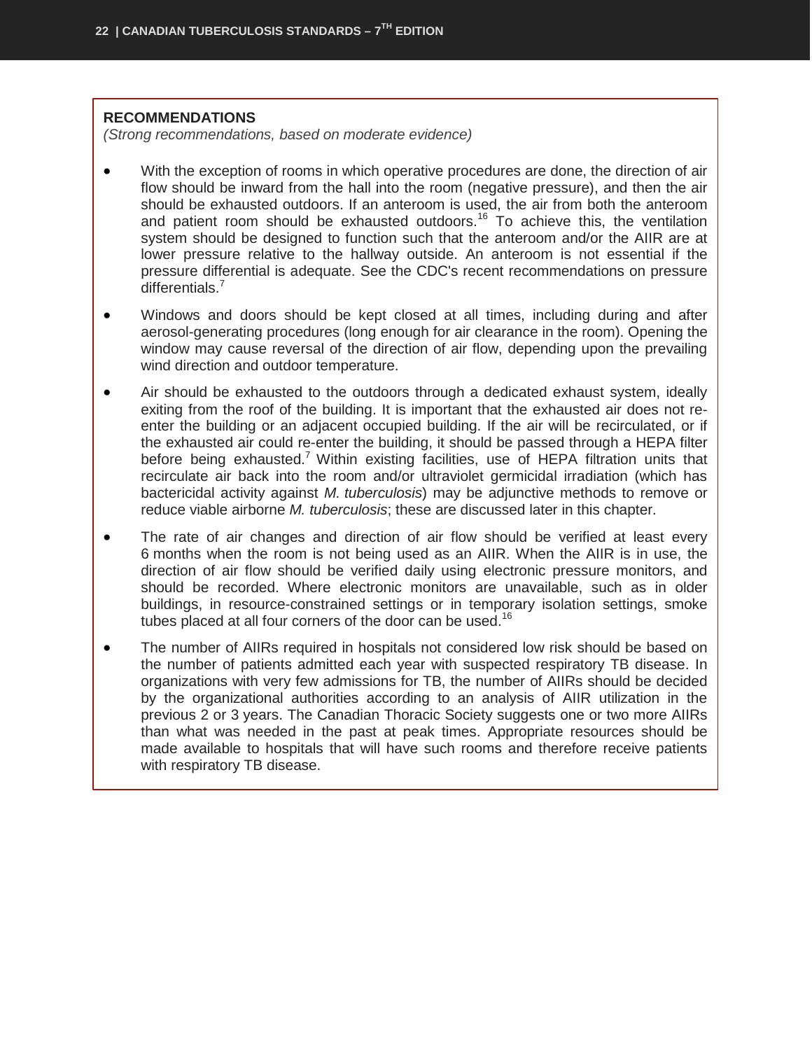#### **RECOMMENDATIONS**

*(Strong recommendations, based on moderate evidence)*

- With the exception of rooms in which operative procedures are done, the direction of air flow should be inward from the hall into the room (negative pressure), and then the air should be exhausted outdoors. If an anteroom is used, the air from both the anteroom and patient room should be exhausted outdoors.<sup>16</sup> To achieve this, the ventilation system should be designed to function such that the anteroom and/or the AIIR are at lower pressure relative to the hallway outside. An anteroom is not essential if the pressure differential is adequate. See the CDC's recent recommendations on pressure  $differentials.<sup>7</sup>$
- Windows and doors should be kept closed at all times, including during and after aerosol-generating procedures (long enough for air clearance in the room). Opening the window may cause reversal of the direction of air flow, depending upon the prevailing wind direction and outdoor temperature.
- Air should be exhausted to the outdoors through a dedicated exhaust system, ideally exiting from the roof of the building. It is important that the exhausted air does not reenter the building or an adjacent occupied building. If the air will be recirculated, or if the exhausted air could re-enter the building, it should be passed through a HEPA filter before being exhausted.<sup>7</sup> Within existing facilities, use of HEPA filtration units that recirculate air back into the room and/or ultraviolet germicidal irradiation (which has bactericidal activity against *M. tuberculosis*) may be adjunctive methods to remove or reduce viable airborne *M. tuberculosis*; these are discussed later in this chapter.
- The rate of air changes and direction of air flow should be verified at least every 6 months when the room is not being used as an AIIR. When the AIIR is in use, the direction of air flow should be verified daily using electronic pressure monitors, and should be recorded. Where electronic monitors are unavailable, such as in older buildings, in resource-constrained settings or in temporary isolation settings, smoke tubes placed at all four corners of the door can be used.<sup>16</sup>
- The number of AIIRs required in hospitals not considered low risk should be based on the number of patients admitted each year with suspected respiratory TB disease. In organizations with very few admissions for TB, the number of AIIRs should be decided by the organizational authorities according to an analysis of AIIR utilization in the previous 2 or 3 years. The Canadian Thoracic Society suggests one or two more AIIRs than what was needed in the past at peak times. Appropriate resources should be made available to hospitals that will have such rooms and therefore receive patients with respiratory TB disease.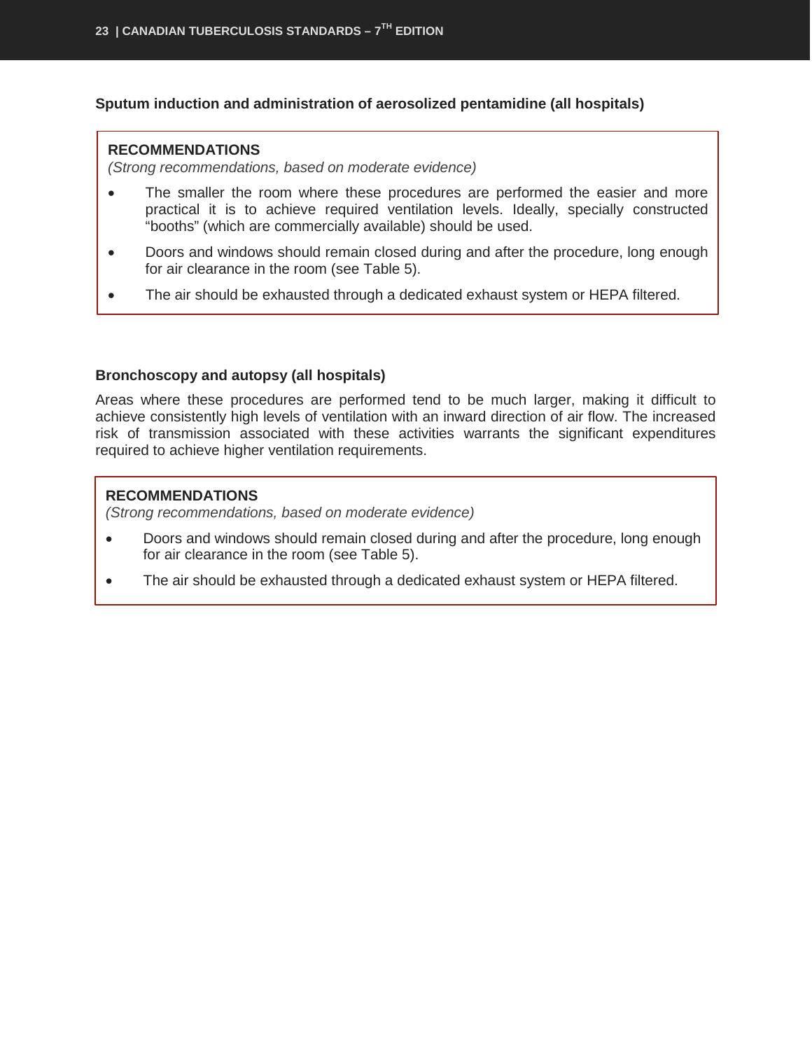#### **Sputum induction and administration of aerosolized pentamidine (all hospitals)**

#### **RECOMMENDATIONS**

*(Strong recommendations, based on moderate evidence)*

- The smaller the room where these procedures are performed the easier and more practical it is to achieve required ventilation levels. Ideally, specially constructed "booths" (which are commercially available) should be used.
- Doors and windows should remain closed during and after the procedure, long enough for air clearance in the room (see Table 5).
- The air should be exhausted through a dedicated exhaust system or HEPA filtered.

#### **Bronchoscopy and autopsy (all hospitals)**

Areas where these procedures are performed tend to be much larger, making it difficult to achieve consistently high levels of ventilation with an inward direction of air flow. The increased risk of transmission associated with these activities warrants the significant expenditures required to achieve higher ventilation requirements.

#### **RECOMMENDATIONS**

*(Strong recommendations, based on moderate evidence)*

- Doors and windows should remain closed during and after the procedure, long enough for air clearance in the room (see Table 5).
- The air should be exhausted through a dedicated exhaust system or HEPA filtered.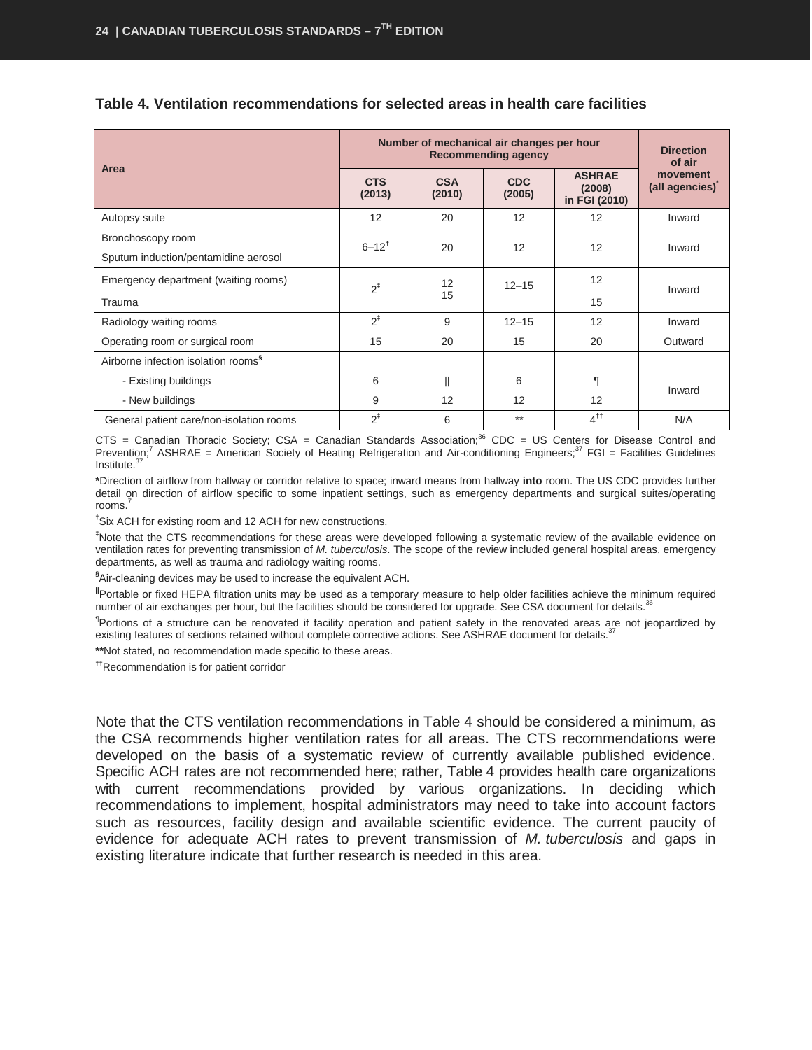|                                                           |                      | Number of mechanical air changes per hour | <b>Recommending agency</b> |                                          | <b>Direction</b><br>of air |  |  |
|-----------------------------------------------------------|----------------------|-------------------------------------------|----------------------------|------------------------------------------|----------------------------|--|--|
| Area                                                      | <b>CTS</b><br>(2013) | <b>CSA</b><br>(2010)                      | <b>CDC</b><br>(2005)       | <b>ASHRAE</b><br>(2008)<br>in FGI (2010) | movement<br>(all agencies) |  |  |
| Autopsy suite                                             | 12                   | 20                                        | 12                         | 12                                       | Inward                     |  |  |
| Bronchoscopy room<br>Sputum induction/pentamidine aerosol | $6 - 12^{t}$         | 20                                        | 12                         | 12                                       | Inward                     |  |  |
| Emergency department (waiting rooms)<br>Trauma            | $2^{\ddagger}$       | $12 \overline{ }$<br>15                   | $12 - 15$                  | 12<br>15                                 | Inward                     |  |  |
| Radiology waiting rooms                                   | $2^{\ddagger}$       | 9                                         | $12 - 15$                  | 12                                       | Inward                     |  |  |
| Operating room or surgical room                           | 15                   | 20                                        | 15                         | 20                                       | Outward                    |  |  |
| Airborne infection isolation rooms <sup>§</sup>           |                      |                                           |                            |                                          |                            |  |  |
| - Existing buildings                                      | 6                    | $\parallel$                               | 6                          | ſ                                        | Inward                     |  |  |
| - New buildings                                           | 9                    | 12                                        | 12                         | 12                                       |                            |  |  |
| General patient care/non-isolation rooms                  | $2^{\ddagger}$       | 6                                         | $***$                      | 4 <sup>tt</sup>                          | N/A                        |  |  |

#### **Table 4. Ventilation recommendations for selected areas in health care facilities**

 $CTS$  = Canadian Thoracic Society;  $CSA$  = Canadian Standards Association;<sup>36</sup> CDC = US Centers for Disease Control and Prevention;<sup>7</sup> ASHRAE = American Society of Heating Refrigeration and Air-conditioning Engineers;<sup>37</sup> FGI = Facilities Guidelines Institute.<sup>3</sup>

**\***Direction of airflow from hallway or corridor relative to space; inward means from hallway **into** room. The US CDC provides further detail on direction of airflow specific to some inpatient settings, such as emergency departments and surgical suites/operating rooms.<sup>7</sup>

**†** Six ACH for existing room and 12 ACH for new constructions.

**‡** Note that the CTS recommendations for these areas were developed following a systematic review of the available evidence on ventilation rates for preventing transmission of *M. tuberculosis*. The scope of the review included general hospital areas, emergency departments, as well as trauma and radiology waiting rooms.

**§** Air-cleaning devices may be used to increase the equivalent ACH.

**||**Portable or fixed HEPA filtration units may be used as a temporary measure to help older facilities achieve the minimum required number of air exchanges per hour, but the facilities should be considered for upgrade. See CSA document for details.<sup>36</sup>

**¶** Portions of a structure can be renovated if facility operation and patient safety in the renovated areas are not jeopardized by existing features of sections retained without complete corrective actions. See ASHRAE document for details.<sup>37</sup>

**\*\***Not stated, no recommendation made specific to these areas.

**††**Recommendation is for patient corridor

Note that the CTS ventilation recommendations in Table 4 should be considered a minimum, as the CSA recommends higher ventilation rates for all areas. The CTS recommendations were developed on the basis of a systematic review of currently available published evidence. Specific ACH rates are not recommended here; rather, Table 4 provides health care organizations with current recommendations provided by various organizations. In deciding which recommendations to implement, hospital administrators may need to take into account factors such as resources, facility design and available scientific evidence. The current paucity of evidence for adequate ACH rates to prevent transmission of *M. tuberculosis* and gaps in existing literature indicate that further research is needed in this area.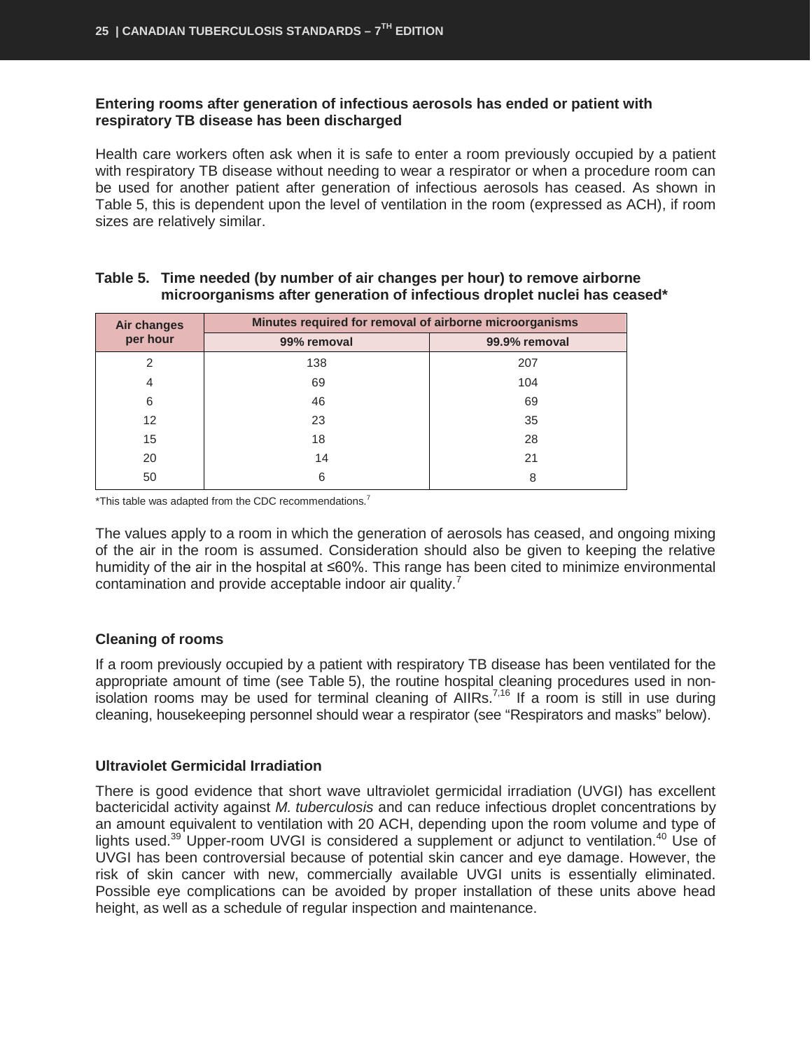#### **Entering rooms after generation of infectious aerosols has ended or patient with respiratory TB disease has been discharged**

Health care workers often ask when it is safe to enter a room previously occupied by a patient with respiratory TB disease without needing to wear a respirator or when a procedure room can be used for another patient after generation of infectious aerosols has ceased. As shown in Table 5, this is dependent upon the level of ventilation in the room (expressed as ACH), if room sizes are relatively similar.

| <b>Air changes</b> | Minutes required for removal of airborne microorganisms |               |  |  |
|--------------------|---------------------------------------------------------|---------------|--|--|
| per hour           | 99% removal                                             | 99.9% removal |  |  |
| 2                  | 138                                                     | 207           |  |  |
| 4                  | 69                                                      | 104           |  |  |
| 6                  | 46                                                      | 69            |  |  |
| 12 <sup>2</sup>    | 23                                                      | 35            |  |  |
| 15                 | 18                                                      | 28            |  |  |
| 20                 | 14                                                      | 21            |  |  |
| 50                 | 6                                                       | 8             |  |  |

#### **Table 5. Time needed (by number of air changes per hour) to remove airborne microorganisms after generation of infectious droplet nuclei has ceased\***

 $*$ This table was adapted from the CDC recommendations.<sup>7</sup>

The values apply to a room in which the generation of aerosols has ceased, and ongoing mixing of the air in the room is assumed. Consideration should also be given to keeping the relative humidity of the air in the hospital at ≤60%. This range has been cited to minimize environmental contamination and provide acceptable indoor air quality.<sup>7</sup>

#### **Cleaning of rooms**

If a room previously occupied by a patient with respiratory TB disease has been ventilated for the appropriate amount of time (see Table 5), the routine hospital cleaning procedures used in nonisolation rooms may be used for terminal cleaning of AIIRs.<sup>7,16</sup> If a room is still in use during cleaning, housekeeping personnel should wear a respirator (see "Respirators and masks" below).

#### **Ultraviolet Germicidal Irradiation**

There is good evidence that short wave ultraviolet germicidal irradiation (UVGI) has excellent bactericidal activity against *M. tuberculosis* and can reduce infectious droplet concentrations by an amount equivalent to ventilation with 20 ACH, depending upon the room volume and type of lights used.<sup>39</sup> Upper-room UVGI is considered a supplement or adjunct to ventilation.<sup>40</sup> Use of UVGI has been controversial because of potential skin cancer and eye damage. However, the risk of skin cancer with new, commercially available UVGI units is essentially eliminated. Possible eye complications can be avoided by proper installation of these units above head height, as well as a schedule of regular inspection and maintenance.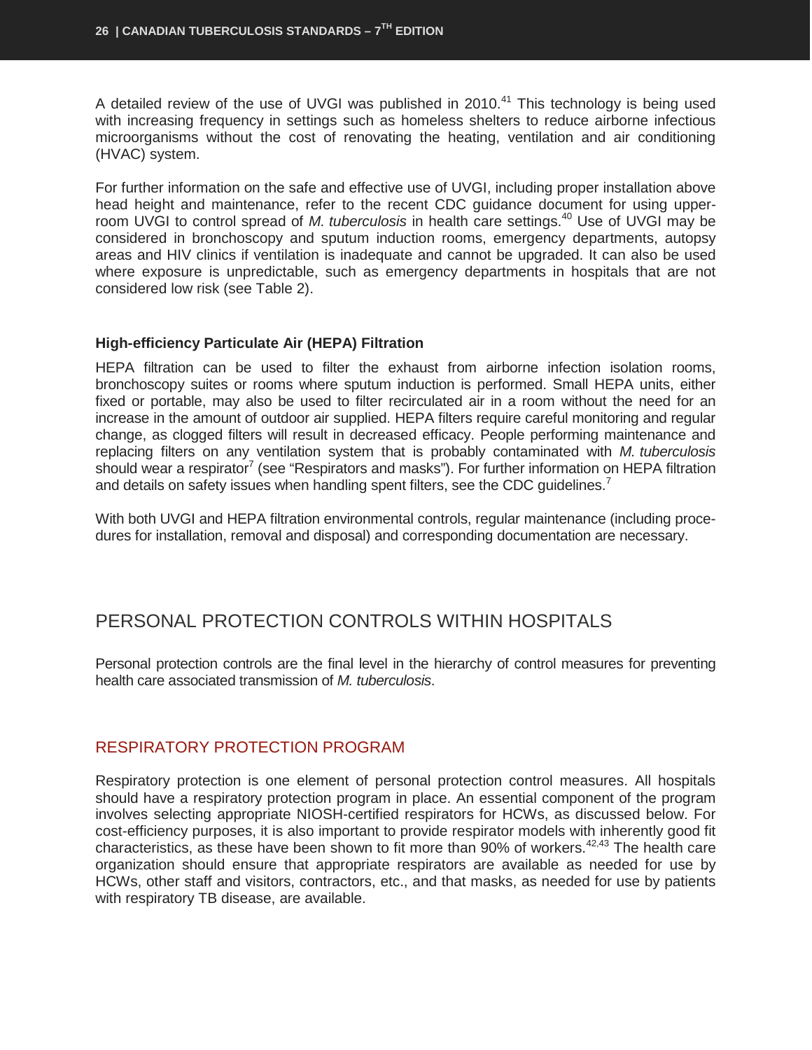A detailed review of the use of UVGI was published in 2010.<sup>41</sup> This technology is being used with increasing frequency in settings such as homeless shelters to reduce airborne infectious microorganisms without the cost of renovating the heating, ventilation and air conditioning (HVAC) system.

For further information on the safe and effective use of UVGI, including proper installation above head height and maintenance, refer to the recent CDC guidance document for using upperroom UVGI to control spread of *M. tuberculosis* in health care settings. <sup>40</sup> Use of UVGI may be considered in bronchoscopy and sputum induction rooms, emergency departments, autopsy areas and HIV clinics if ventilation is inadequate and cannot be upgraded. It can also be used where exposure is unpredictable, such as emergency departments in hospitals that are not considered low risk (see Table 2).

#### **High-efficiency Particulate Air (HEPA) Filtration**

HEPA filtration can be used to filter the exhaust from airborne infection isolation rooms, bronchoscopy suites or rooms where sputum induction is performed. Small HEPA units, either fixed or portable, may also be used to filter recirculated air in a room without the need for an increase in the amount of outdoor air supplied. HEPA filters require careful monitoring and regular change, as clogged filters will result in decreased efficacy. People performing maintenance and replacing filters on any ventilation system that is probably contaminated with *M. tuberculosis* should wear a respirator<sup>7</sup> (see "Respirators and masks"). For further information on HEPA filtration and details on safety issues when handling spent filters, see the CDC quidelines.<sup>7</sup>

With both UVGI and HEPA filtration environmental controls, regular maintenance (including procedures for installation, removal and disposal) and corresponding documentation are necessary.

## <span id="page-27-0"></span>PERSONAL PROTECTION CONTROLS WITHIN HOSPITALS

Personal protection controls are the final level in the hierarchy of control measures for preventing health care associated transmission of *M. tuberculosis*.

#### <span id="page-27-1"></span>RESPIRATORY PROTECTION PROGRAM

Respiratory protection is one element of personal protection control measures. All hospitals should have a respiratory protection program in place. An essential component of the program involves selecting appropriate NIOSH-certified respirators for HCWs, as discussed below. For cost-efficiency purposes, it is also important to provide respirator models with inherently good fit characteristics, as these have been shown to fit more than 90% of workers.<sup>42,43</sup> The health care organization should ensure that appropriate respirators are available as needed for use by HCWs, other staff and visitors, contractors, etc., and that masks, as needed for use by patients with respiratory TB disease, are available.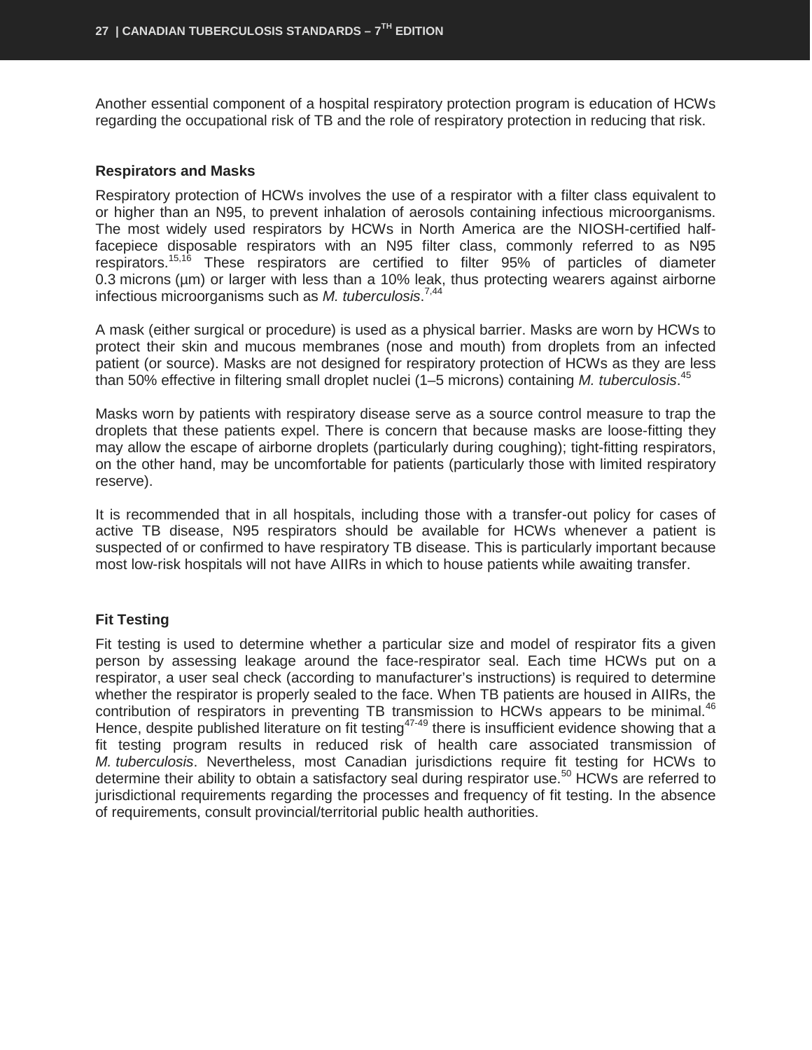Another essential component of a hospital respiratory protection program is education of HCWs regarding the occupational risk of TB and the role of respiratory protection in reducing that risk.

#### **Respirators and Masks**

Respiratory protection of HCWs involves the use of a respirator with a filter class equivalent to or higher than an N95, to prevent inhalation of aerosols containing infectious microorganisms. The most widely used respirators by HCWs in North America are the NIOSH-certified halffacepiece disposable respirators with an N95 filter class, commonly referred to as N95 respirators.15,16 These respirators are certified to filter 95% of particles of diameter 0.3 microns ( $\mu$ m) or larger with less than a 10% leak, thus protecting wearers against airborne infectious microorganisms such as *M. tuberculosis*. 7,44

A mask (either surgical or procedure) is used as a physical barrier. Masks are worn by HCWs to protect their skin and mucous membranes (nose and mouth) from droplets from an infected patient (or source). Masks are not designed for respiratory protection of HCWs as they are less than 50% effective in filtering small droplet nuclei (1–5 microns) containing *M. tuberculosis*. 45

Masks worn by patients with respiratory disease serve as a source control measure to trap the droplets that these patients expel. There is concern that because masks are loose-fitting they may allow the escape of airborne droplets (particularly during coughing); tight-fitting respirators, on the other hand, may be uncomfortable for patients (particularly those with limited respiratory reserve).

It is recommended that in all hospitals, including those with a transfer-out policy for cases of active TB disease, N95 respirators should be available for HCWs whenever a patient is suspected of or confirmed to have respiratory TB disease. This is particularly important because most low-risk hospitals will not have AIIRs in which to house patients while awaiting transfer.

#### **Fit Testing**

Fit testing is used to determine whether a particular size and model of respirator fits a given person by assessing leakage around the face-respirator seal. Each time HCWs put on a respirator, a user seal check (according to manufacturer's instructions) is required to determine whether the respirator is properly sealed to the face. When TB patients are housed in AIIRs, the contribution of respirators in preventing TB transmission to HCWs appears to be minimal.<sup>46</sup> Hence, despite published literature on fit testing<sup>47-49</sup> there is insufficient evidence showing that a fit testing program results in reduced risk of health care associated transmission of *M. tuberculosis*. Nevertheless, most Canadian jurisdictions require fit testing for HCWs to determine their ability to obtain a satisfactory seal during respirator use.<sup>50</sup> HCWs are referred to jurisdictional requirements regarding the processes and frequency of fit testing. In the absence of requirements, consult provincial/territorial public health authorities.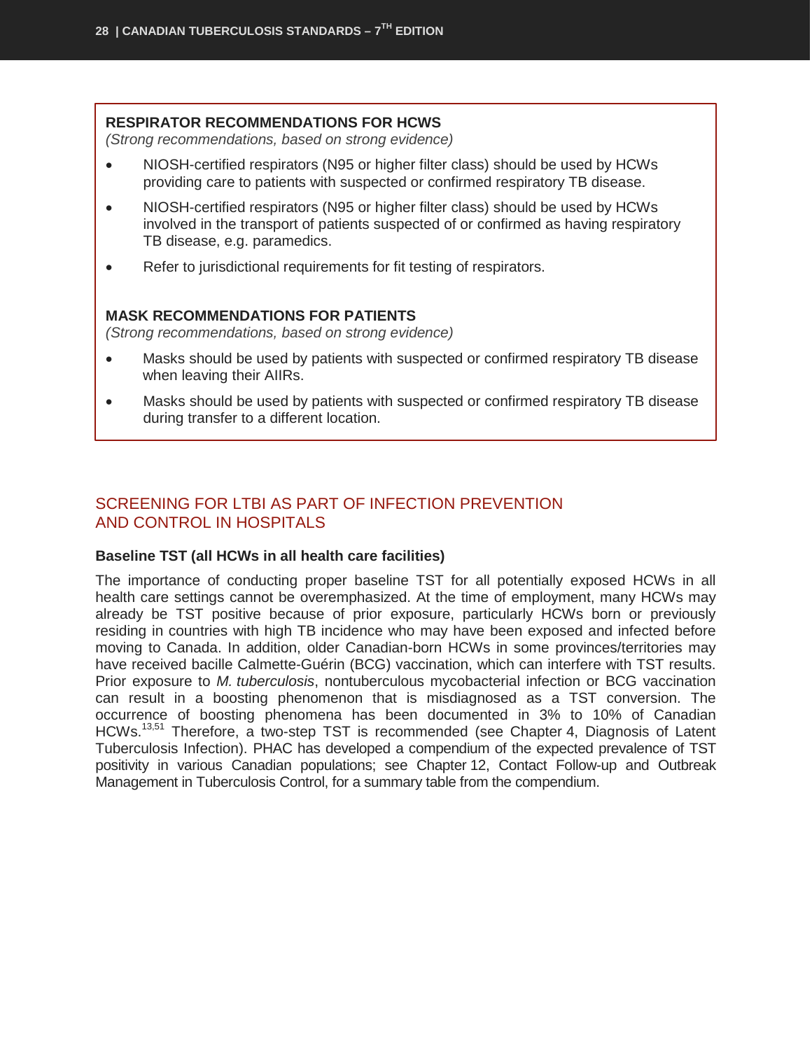#### **RESPIRATOR RECOMMENDATIONS FOR HCWS**

*(Strong recommendations, based on strong evidence)*

- NIOSH-certified respirators (N95 or higher filter class) should be used by HCWs providing care to patients with suspected or confirmed respiratory TB disease.
- NIOSH-certified respirators (N95 or higher filter class) should be used by HCWs involved in the transport of patients suspected of or confirmed as having respiratory TB disease, e.g. paramedics.
- Refer to jurisdictional requirements for fit testing of respirators.

#### **MASK RECOMMENDATIONS FOR PATIENTS**

*(Strong recommendations, based on strong evidence)*

- Masks should be used by patients with suspected or confirmed respiratory TB disease when leaving their AIIRs.
- Masks should be used by patients with suspected or confirmed respiratory TB disease during transfer to a different location.

## <span id="page-29-0"></span>SCREENING FOR LTBI AS PART OF INFECTION PREVENTION AND CONTROL IN HOSPITALS

#### **Baseline TST (all HCWs in all health care facilities)**

The importance of conducting proper baseline TST for all potentially exposed HCWs in all health care settings cannot be overemphasized. At the time of employment, many HCWs may already be TST positive because of prior exposure, particularly HCWs born or previously residing in countries with high TB incidence who may have been exposed and infected before moving to Canada. In addition, older Canadian-born HCWs in some provinces/territories may have received bacille Calmette-Guérin (BCG) vaccination, which can interfere with TST results. Prior exposure to *M. tuberculosis*, nontuberculous mycobacterial infection or BCG vaccination can result in a boosting phenomenon that is misdiagnosed as a TST conversion. The occurrence of boosting phenomena has been documented in 3% to 10% of Canadian HCWs.<sup>13,51</sup> Therefore, a two-step TST is recommended (see Chapter 4, Diagnosis of Latent Tuberculosis Infection). PHAC has developed a compendium of the expected prevalence of TST positivity in various Canadian populations; see Chapter 12, Contact Follow-up and Outbreak Management in Tuberculosis Control, for a summary table from the compendium.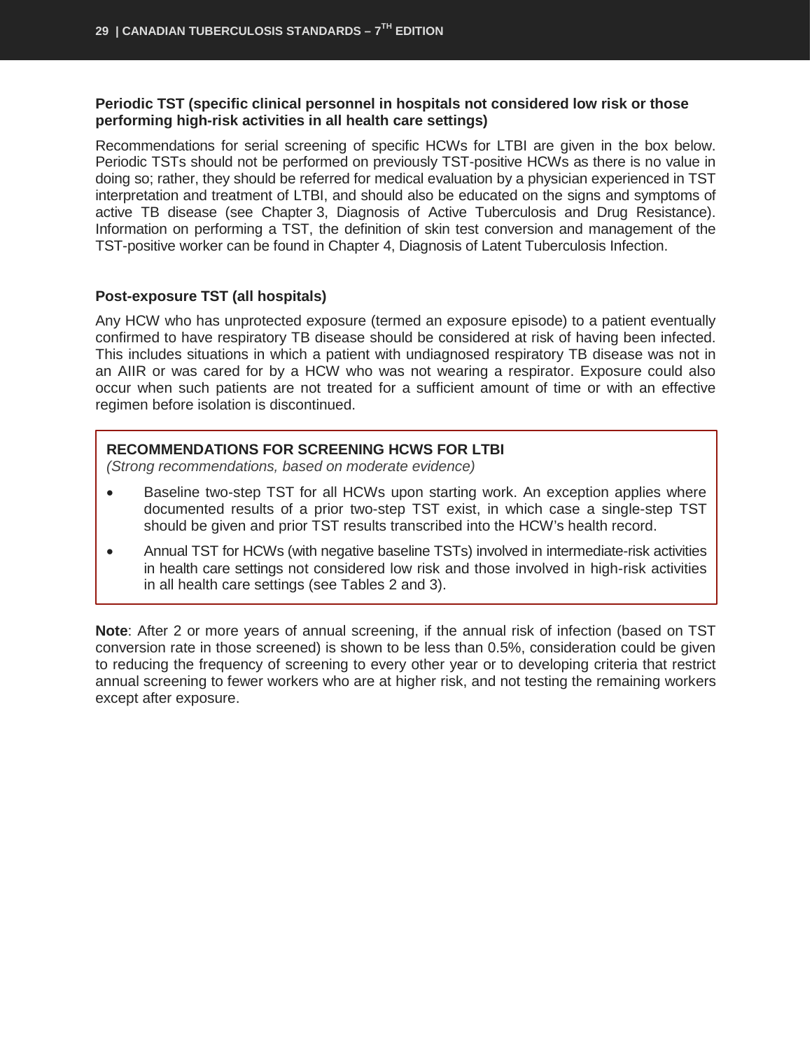#### **Periodic TST (specific clinical personnel in hospitals not considered low risk or those performing high-risk activities in all health care settings)**

Recommendations for serial screening of specific HCWs for LTBI are given in the box below. Periodic TSTs should not be performed on previously TST-positive HCWs as there is no value in doing so; rather, they should be referred for medical evaluation by a physician experienced in TST interpretation and treatment of LTBI, and should also be educated on the signs and symptoms of active TB disease (see Chapter 3, Diagnosis of Active Tuberculosis and Drug Resistance). Information on performing a TST, the definition of skin test conversion and management of the TST-positive worker can be found in Chapter 4, Diagnosis of Latent Tuberculosis Infection.

#### **Post-exposure TST (all hospitals)**

Any HCW who has unprotected exposure (termed an exposure episode) to a patient eventually confirmed to have respiratory TB disease should be considered at risk of having been infected. This includes situations in which a patient with undiagnosed respiratory TB disease was not in an AIIR or was cared for by a HCW who was not wearing a respirator. Exposure could also occur when such patients are not treated for a sufficient amount of time or with an effective regimen before isolation is discontinued.

#### **RECOMMENDATIONS FOR SCREENING HCWS FOR LTBI**

*(Strong recommendations, based on moderate evidence)*

- Baseline two-step TST for all HCWs upon starting work. An exception applies where documented results of a prior two-step TST exist, in which case a single-step TST should be given and prior TST results transcribed into the HCW's health record.
- Annual TST for HCWs (with negative baseline TSTs) involved in intermediate-risk activities in health care settings not considered low risk and those involved in high-risk activities in all health care settings (see Tables 2 and 3).

**Note**: After 2 or more years of annual screening, if the annual risk of infection (based on TST conversion rate in those screened) is shown to be less than 0.5%, consideration could be given to reducing the frequency of screening to every other year or to developing criteria that restrict annual screening to fewer workers who are at higher risk, and not testing the remaining workers except after exposure.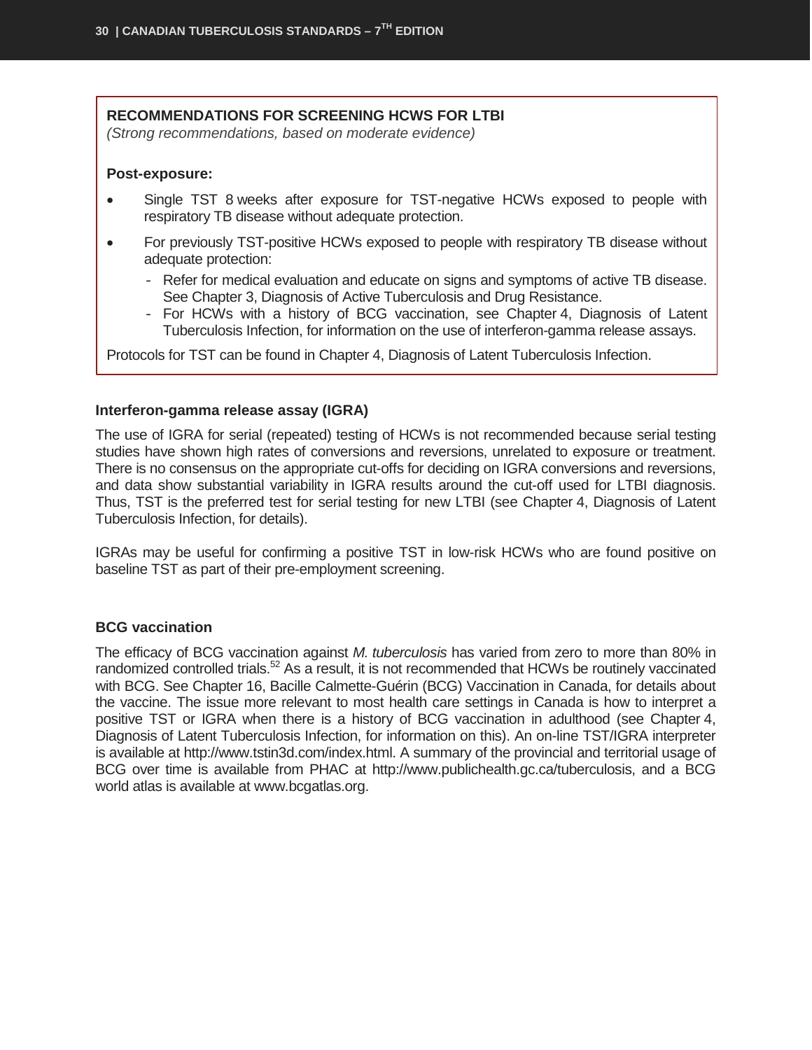#### **RECOMMENDATIONS FOR SCREENING HCWS FOR LTBI**

*(Strong recommendations, based on moderate evidence)*

#### **Post-exposure:**

- Single TST 8 weeks after exposure for TST-negative HCWs exposed to people with respiratory TB disease without adequate protection.
- For previously TST-positive HCWs exposed to people with respiratory TB disease without adequate protection:
	- Refer for medical evaluation and educate on signs and symptoms of active TB disease. See Chapter 3, Diagnosis of Active Tuberculosis and Drug Resistance.
	- For HCWs with a history of BCG vaccination, see Chapter 4, Diagnosis of Latent Tuberculosis Infection, for information on the use of interferon-gamma release assays.

Protocols for TST can be found in Chapter 4, Diagnosis of Latent Tuberculosis Infection.

#### **Interferon-gamma release assay (IGRA)**

The use of IGRA for serial (repeated) testing of HCWs is not recommended because serial testing studies have shown high rates of conversions and reversions, unrelated to exposure or treatment. There is no consensus on the appropriate cut-offs for deciding on IGRA conversions and reversions, and data show substantial variability in IGRA results around the cut-off used for LTBI diagnosis. Thus, TST is the preferred test for serial testing for new LTBI (see Chapter 4, Diagnosis of Latent Tuberculosis Infection, for details).

IGRAs may be useful for confirming a positive TST in low-risk HCWs who are found positive on baseline TST as part of their pre-employment screening.

#### **BCG vaccination**

The efficacy of BCG vaccination against *M. tuberculosis* has varied from zero to more than 80% in randomized controlled trials.<sup>52</sup> As a result, it is not recommended that HCWs be routinely vaccinated with BCG. See Chapter 16, Bacille Calmette-Guérin (BCG) Vaccination in Canada, for details about the vaccine. The issue more relevant to most health care settings in Canada is how to interpret a positive TST or IGRA when there is a history of BCG vaccination in adulthood (see Chapter 4, Diagnosis of Latent Tuberculosis Infection, for information on this). An on-line TST/IGRA interpreter is available at [http://www.tstin3d.com/index.html.](http://www.tstin3d.com/index.html) A summary of the provincial and territorial usage of BCG over time is available from PHAC at [http://www.publichealth.gc.ca/tuberculosis,](http://www.publichealth.gc.ca/tuberculosis) and a BCG world atlas is available at [www.bcgatlas.org.](http://www.bcgatlas.org/#_blank)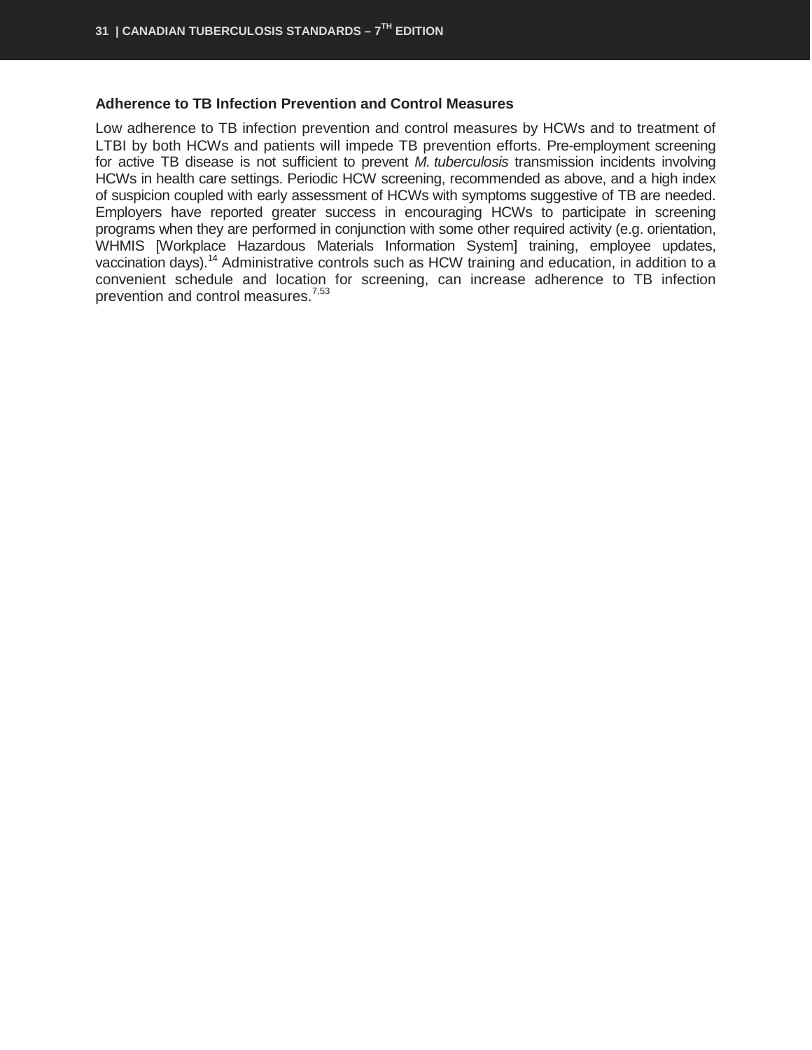#### **Adherence to TB Infection Prevention and Control Measures**

Low adherence to TB infection prevention and control measures by HCWs and to treatment of LTBI by both HCWs and patients will impede TB prevention efforts. Pre-employment screening for active TB disease is not sufficient to prevent *M. tuberculosis* transmission incidents involving HCWs in health care settings. Periodic HCW screening, recommended as above, and a high index of suspicion coupled with early assessment of HCWs with symptoms suggestive of TB are needed. Employers have reported greater success in encouraging HCWs to participate in screening programs when they are performed in conjunction with some other required activity (e.g. orientation, WHMIS [Workplace Hazardous Materials Information System] training, employee updates, vaccination days).<sup>14</sup> Administrative controls such as HCW training and education, in addition to a convenient schedule and location for screening, can increase adherence to TB infection prevention and control measures.<sup>7,53</sup>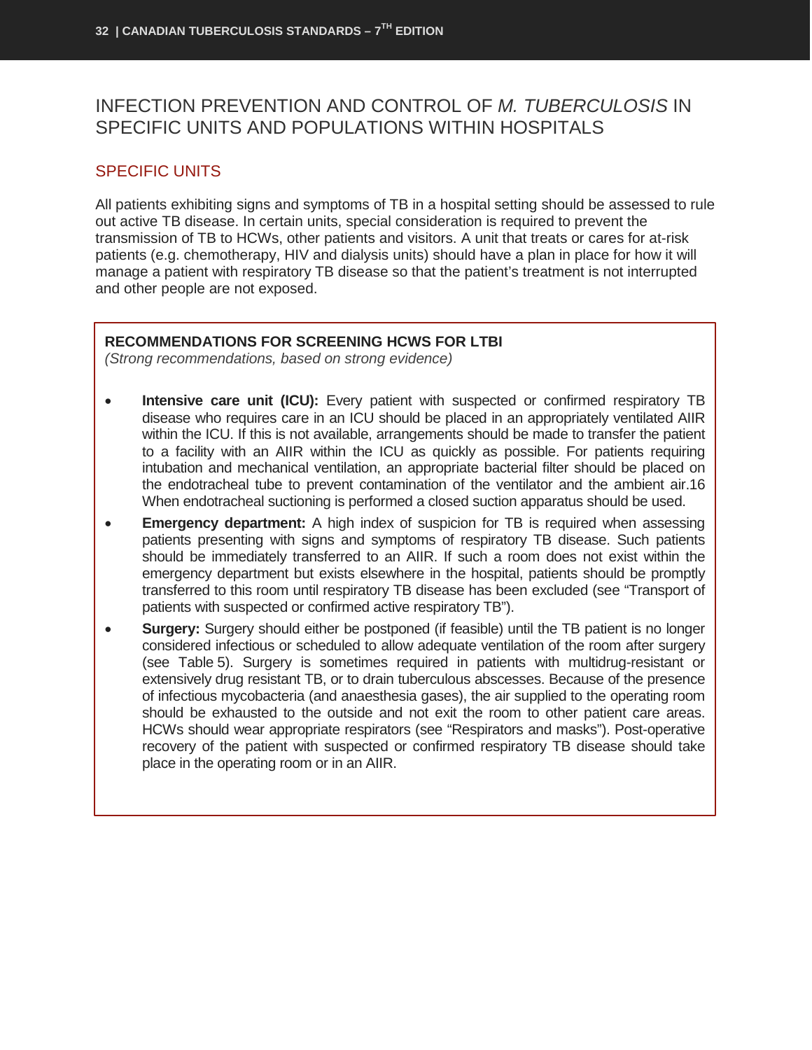## <span id="page-33-0"></span>INFECTION PREVENTION AND CONTROL OF *M. TUBERCULOSIS* IN SPECIFIC UNITS AND POPULATIONS WITHIN HOSPITALS

### <span id="page-33-1"></span>SPECIFIC UNITS

All patients exhibiting signs and symptoms of TB in a hospital setting should be assessed to rule out active TB disease. In certain units, special consideration is required to prevent the transmission of TB to HCWs, other patients and visitors. A unit that treats or cares for at-risk patients (e.g. chemotherapy, HIV and dialysis units) should have a plan in place for how it will manage a patient with respiratory TB disease so that the patient's treatment is not interrupted and other people are not exposed.

#### **RECOMMENDATIONS FOR SCREENING HCWS FOR LTBI**

*(Strong recommendations, based on strong evidence)*

- **Intensive care unit (ICU):** Every patient with suspected or confirmed respiratory TB disease who requires care in an ICU should be placed in an appropriately ventilated AIIR within the ICU. If this is not available, arrangements should be made to transfer the patient to a facility with an AIIR within the ICU as quickly as possible. For patients requiring intubation and mechanical ventilation, an appropriate bacterial filter should be placed on the endotracheal tube to prevent contamination of the ventilator and the ambient air.16 When endotracheal suctioning is performed a closed suction apparatus should be used.
- **Emergency department:** A high index of suspicion for TB is required when assessing patients presenting with signs and symptoms of respiratory TB disease. Such patients should be immediately transferred to an AIIR. If such a room does not exist within the emergency department but exists elsewhere in the hospital, patients should be promptly transferred to this room until respiratory TB disease has been excluded (see "Transport of patients with suspected or confirmed active respiratory TB").
- **Surgery:** Surgery should either be postponed (if feasible) until the TB patient is no longer considered infectious or scheduled to allow adequate ventilation of the room after surgery (see Table 5). Surgery is sometimes required in patients with multidrug-resistant or extensively drug resistant TB, or to drain tuberculous abscesses. Because of the presence of infectious mycobacteria (and anaesthesia gases), the air supplied to the operating room should be exhausted to the outside and not exit the room to other patient care areas. HCWs should wear appropriate respirators (see "Respirators and masks"). Post-operative recovery of the patient with suspected or confirmed respiratory TB disease should take place in the operating room or in an AIIR.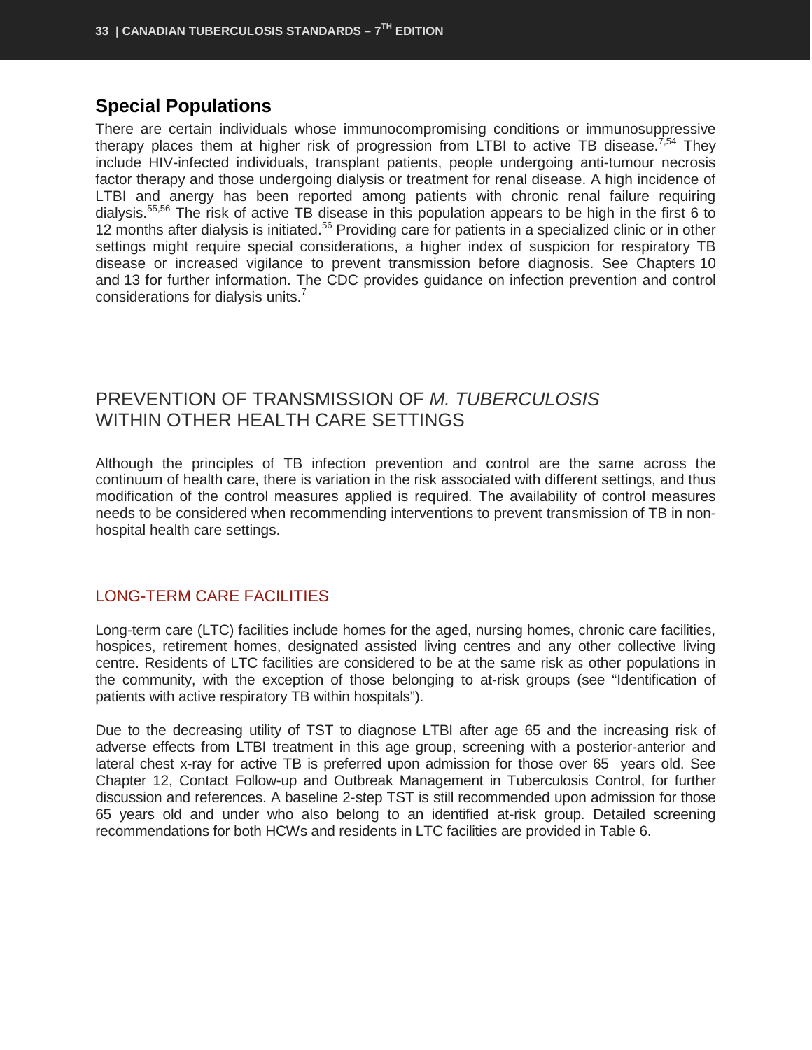## **Special Populations**

There are certain individuals whose immunocompromising conditions or immunosuppressive therapy places them at higher risk of progression from LTBI to active TB disease.<sup>7,54</sup> They include HIV-infected individuals, transplant patients, people undergoing anti-tumour necrosis factor therapy and those undergoing dialysis or treatment for renal disease. A high incidence of LTBI and anergy has been reported among patients with chronic renal failure requiring dialysis.55,56 The risk of active TB disease in this population appears to be high in the first 6 to 12 months after dialysis is initiated.<sup>56</sup> Providing care for patients in a specialized clinic or in other settings might require special considerations, a higher index of suspicion for respiratory TB disease or increased vigilance to prevent transmission before diagnosis. See Chapters 10 and 13 for further information. The CDC provides guidance on infection prevention and control considerations for dialysis units.<sup>7</sup>

## <span id="page-34-0"></span>PREVENTION OF TRANSMISSION OF *M. TUBERCULOSIS* WITHIN OTHER HEALTH CARE SETTINGS

Although the principles of TB infection prevention and control are the same across the continuum of health care, there is variation in the risk associated with different settings, and thus modification of the control measures applied is required. The availability of control measures needs to be considered when recommending interventions to prevent transmission of TB in nonhospital health care settings.

## <span id="page-34-1"></span>LONG-TERM CARE FACILITIES

Long-term care (LTC) facilities include homes for the aged, nursing homes, chronic care facilities, hospices, retirement homes, designated assisted living centres and any other collective living centre. Residents of LTC facilities are considered to be at the same risk as other populations in the community, with the exception of those belonging to at-risk groups (see "Identification of patients with active respiratory TB within hospitals").

Due to the decreasing utility of TST to diagnose LTBI after age 65 and the increasing risk of adverse effects from LTBI treatment in this age group, screening with a posterior-anterior and lateral chest x-ray for active TB is preferred upon admission for those over 65 years old. See Chapter 12, Contact Follow-up and Outbreak Management in Tuberculosis Control, for further discussion and references. A baseline 2-step TST is still recommended upon admission for those 65 years old and under who also belong to an identified at-risk group. Detailed screening recommendations for both HCWs and residents in LTC facilities are provided in Table 6.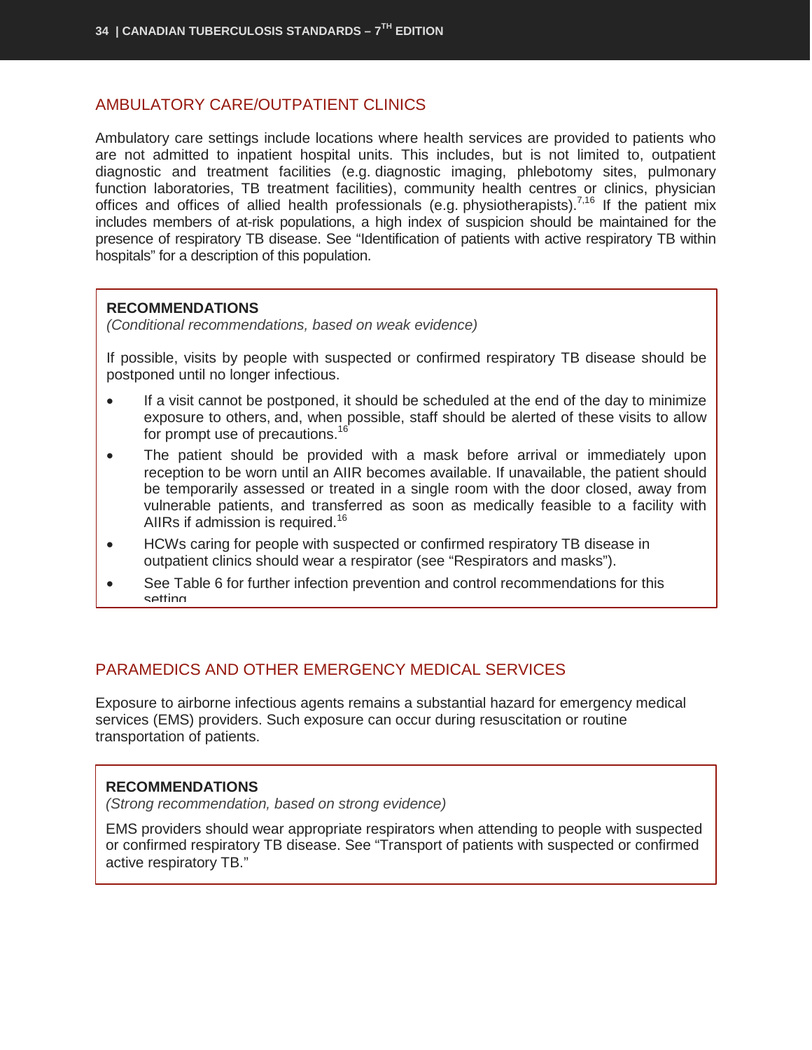#### <span id="page-35-0"></span>AMBULATORY CARE/OUTPATIENT CLINICS

Ambulatory care settings include locations where health services are provided to patients who are not admitted to inpatient hospital units. This includes, but is not limited to, outpatient diagnostic and treatment facilities (e.g. diagnostic imaging, phlebotomy sites, pulmonary function laboratories, TB treatment facilities), community health centres or clinics, physician offices and offices of allied health professionals (e.g. physiotherapists).<sup>7,16</sup> If the patient mix includes members of at-risk populations, a high index of suspicion should be maintained for the presence of respiratory TB disease. See "Identification of patients with active respiratory TB within hospitals" for a description of this population.

#### **RECOMMENDATIONS**

*(Conditional recommendations, based on weak evidence)*

If possible, visits by people with suspected or confirmed respiratory TB disease should be postponed until no longer infectious.

- If a visit cannot be postponed, it should be scheduled at the end of the day to minimize exposure to others, and, when possible, staff should be alerted of these visits to allow for prompt use of precautions.<sup>16</sup>
- The patient should be provided with a mask before arrival or immediately upon reception to be worn until an AIIR becomes available. If unavailable, the patient should be temporarily assessed or treated in a single room with the door closed, away from vulnerable patients, and transferred as soon as medically feasible to a facility with AIIRs if admission is required.<sup>16</sup>
- HCWs caring for people with suspected or confirmed respiratory TB disease in outpatient clinics should wear a respirator (see "Respirators and masks").
- See Table 6 for further infection prevention and control recommendations for this setting

## <span id="page-35-1"></span>PARAMEDICS AND OTHER EMERGENCY MEDICAL SERVICES

Exposure to airborne infectious agents remains a substantial hazard for emergency medical services (EMS) providers. Such exposure can occur during resuscitation or routine transportation of patients.

#### **RECOMMENDATIONS**

*(Strong recommendation, based on strong evidence)*

EMS providers should wear appropriate respirators when attending to people with suspected or confirmed respiratory TB disease. See "Transport of patients with suspected or confirmed active respiratory TB."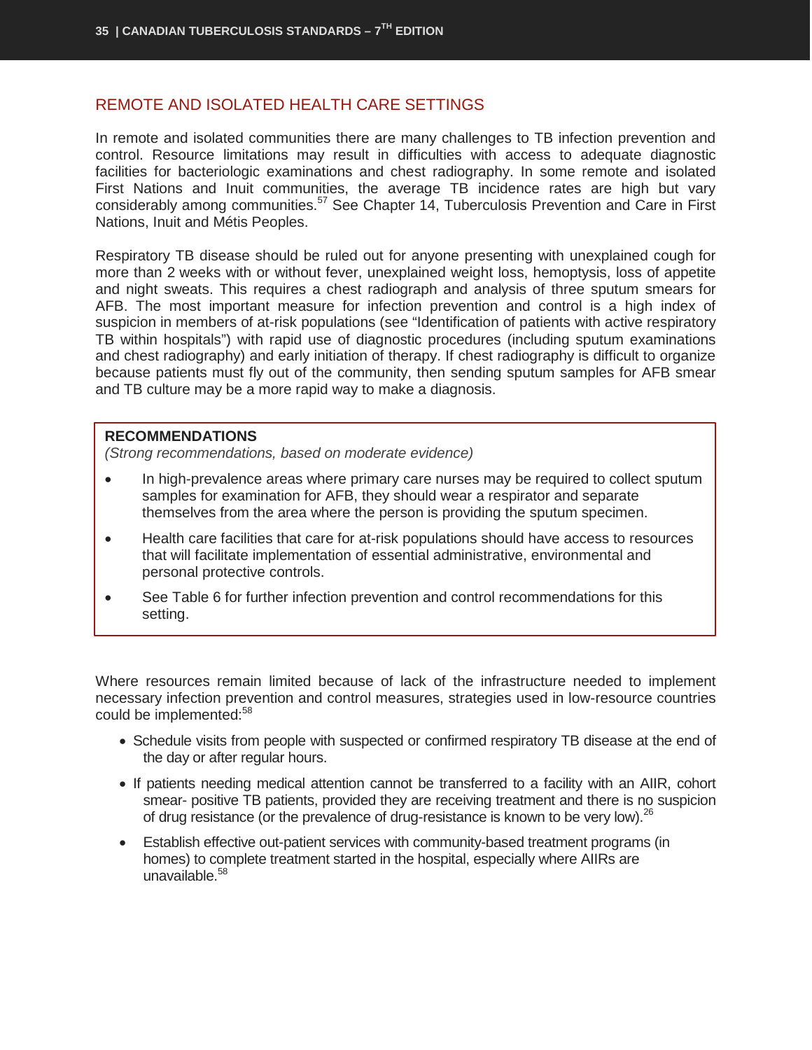#### <span id="page-36-0"></span>REMOTE AND ISOLATED HEALTH CARE SETTINGS

In remote and isolated communities there are many challenges to TB infection prevention and control. Resource limitations may result in difficulties with access to adequate diagnostic facilities for bacteriologic examinations and chest radiography. In some remote and isolated First Nations and Inuit communities, the average TB incidence rates are high but vary considerably among communities.<sup>57</sup> See Chapter 14, Tuberculosis Prevention and Care in First Nations, Inuit and Métis Peoples.

Respiratory TB disease should be ruled out for anyone presenting with unexplained cough for more than 2 weeks with or without fever, unexplained weight loss, hemoptysis, loss of appetite and night sweats. This requires a chest radiograph and analysis of three sputum smears for AFB. The most important measure for infection prevention and control is a high index of suspicion in members of at-risk populations (see "Identification of patients with active respiratory TB within hospitals") with rapid use of diagnostic procedures (including sputum examinations and chest radiography) and early initiation of therapy. If chest radiography is difficult to organize because patients must fly out of the community, then sending sputum samples for AFB smear and TB culture may be a more rapid way to make a diagnosis.

#### **RECOMMENDATIONS**

*(Strong recommendations, based on moderate evidence)*

- In high-prevalence areas where primary care nurses may be required to collect sputum samples for examination for AFB, they should wear a respirator and separate themselves from the area where the person is providing the sputum specimen.
- Health care facilities that care for at-risk populations should have access to resources that will facilitate implementation of essential administrative, environmental and personal protective controls.
- See Table 6 for further infection prevention and control recommendations for this setting.

Where resources remain limited because of lack of the infrastructure needed to implement necessary infection prevention and control measures, strategies used in low-resource countries could be implemented:<sup>58</sup>

- Schedule visits from people with suspected or confirmed respiratory TB disease at the end of the day or after regular hours.
- If patients needing medical attention cannot be transferred to a facility with an AIIR, cohort smear- positive TB patients, provided they are receiving treatment and there is no suspicion of drug resistance (or the prevalence of drug-resistance is known to be very low).<sup>26</sup>
- Establish effective out-patient services with community-based treatment programs (in homes) to complete treatment started in the hospital, especially where AIIRs are unavailable. $58$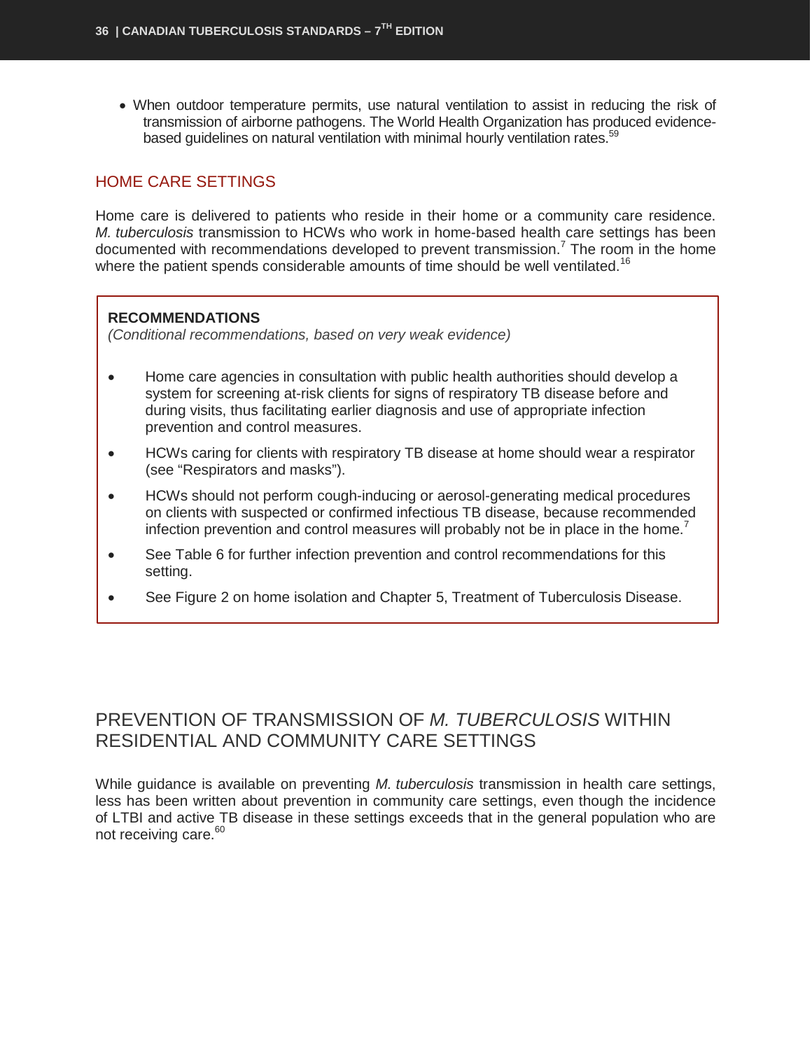• When outdoor temperature permits, use natural ventilation to assist in reducing the risk of transmission of airborne pathogens. The World Health Organization has produced evidencebased guidelines on natural ventilation with minimal hourly ventilation rates.<sup>59</sup>

### <span id="page-37-0"></span>HOME CARE SETTINGS

Home care is delivered to patients who reside in their home or a community care residence. *M. tuberculosis* transmission to HCWs who work in home-based health care settings has been documented with recommendations developed to prevent transmission.<sup>7</sup> The room in the home where the patient spends considerable amounts of time should be well ventilated.<sup>16</sup>

#### **RECOMMENDATIONS**

*(Conditional recommendations, based on very weak evidence)*

- Home care agencies in consultation with public health authorities should develop a system for screening at-risk clients for signs of respiratory TB disease before and during visits, thus facilitating earlier diagnosis and use of appropriate infection prevention and control measures.
- HCWs caring for clients with respiratory TB disease at home should wear a respirator (see "Respirators and masks").
- HCWs should not perform cough-inducing or aerosol-generating medical procedures on clients with suspected or confirmed infectious TB disease, because recommended infection prevention and control measures will probably not be in place in the home.<sup>7</sup>
- See Table 6 for further infection prevention and control recommendations for this setting.
- See Figure 2 on home isolation and Chapter 5, Treatment of Tuberculosis Disease.

## <span id="page-37-1"></span>PREVENTION OF TRANSMISSION OF *M. TUBERCULOSIS* WITHIN RESIDENTIAL AND COMMUNITY CARE SETTINGS

While guidance is available on preventing *M. tuberculosis* transmission in health care settings, less has been written about prevention in community care settings, even though the incidence of LTBI and active TB disease in these settings exceeds that in the general population who are not receiving care.<sup>60</sup>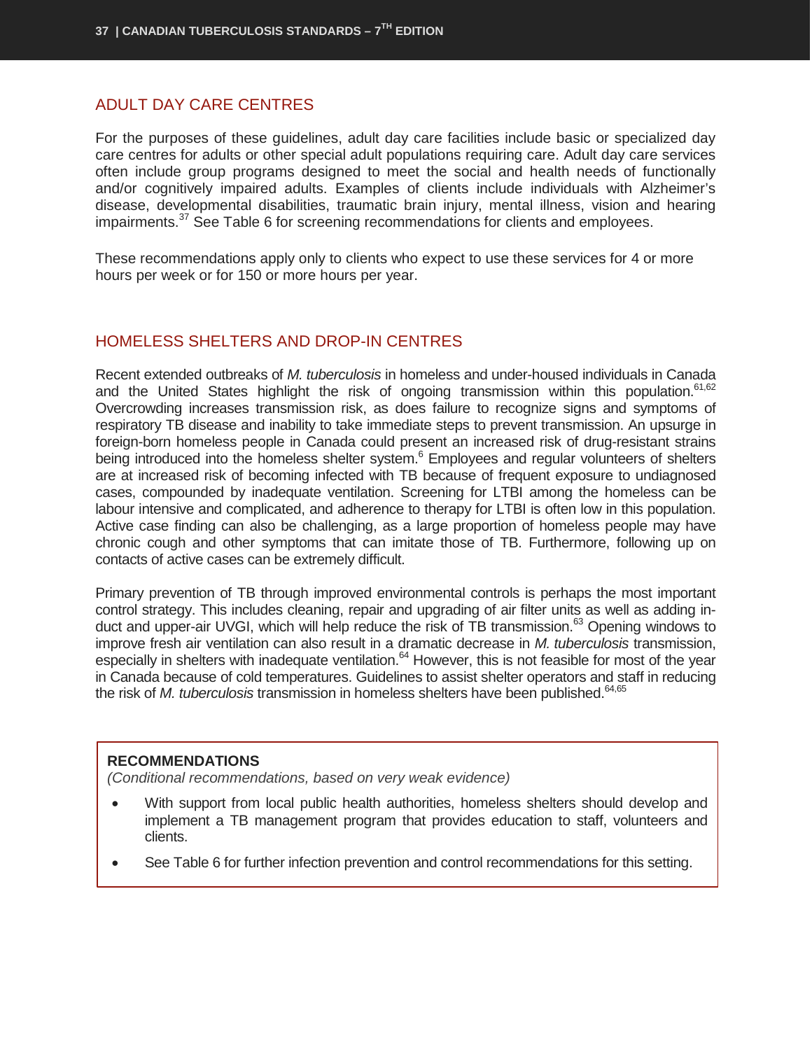#### <span id="page-38-0"></span>ADULT DAY CARE CENTRES

For the purposes of these guidelines, adult day care facilities include basic or specialized day care centres for adults or other special adult populations requiring care. Adult day care services often include group programs designed to meet the social and health needs of functionally and/or cognitively impaired adults. Examples of clients include individuals with Alzheimer's disease, developmental disabilities, traumatic brain injury, mental illness, vision and hearing impairments.<sup>37</sup> See Table 6 for screening recommendations for clients and employees.

These recommendations apply only to clients who expect to use these services for 4 or more hours per week or for 150 or more hours per year.

#### <span id="page-38-1"></span>HOMELESS SHELTERS AND DROP-IN CENTRES

Recent extended outbreaks of *M. tuberculosis* in homeless and under-housed individuals in Canada and the United States highlight the risk of ongoing transmission within this population.<sup>61,62</sup> Overcrowding increases transmission risk, as does failure to recognize signs and symptoms of respiratory TB disease and inability to take immediate steps to prevent transmission. An upsurge in foreign-born homeless people in Canada could present an increased risk of drug-resistant strains being introduced into the homeless shelter system.<sup>6</sup> Employees and regular volunteers of shelters are at increased risk of becoming infected with TB because of frequent exposure to undiagnosed cases, compounded by inadequate ventilation. Screening for LTBI among the homeless can be labour intensive and complicated, and adherence to therapy for LTBI is often low in this population. Active case finding can also be challenging, as a large proportion of homeless people may have chronic cough and other symptoms that can imitate those of TB. Furthermore, following up on contacts of active cases can be extremely difficult.

Primary prevention of TB through improved environmental controls is perhaps the most important control strategy. This includes cleaning, repair and upgrading of air filter units as well as adding induct and upper-air UVGI, which will help reduce the risk of TB transmission.<sup>63</sup> Opening windows to improve fresh air ventilation can also result in a dramatic decrease in *M. tuberculosis* transmission, especially in shelters with inadequate ventilation.<sup>64</sup> However, this is not feasible for most of the year in Canada because of cold temperatures. Guidelines to assist shelter operators and staff in reducing the risk of *M. tuberculosis* transmission in homeless shelters have been published.<sup>64,65</sup>

#### **RECOMMENDATIONS**

*(Conditional recommendations, based on very weak evidence)*

- With support from local public health authorities, homeless shelters should develop and implement a TB management program that provides education to staff, volunteers and clients.
- See Table 6 for further infection prevention and control recommendations for this setting.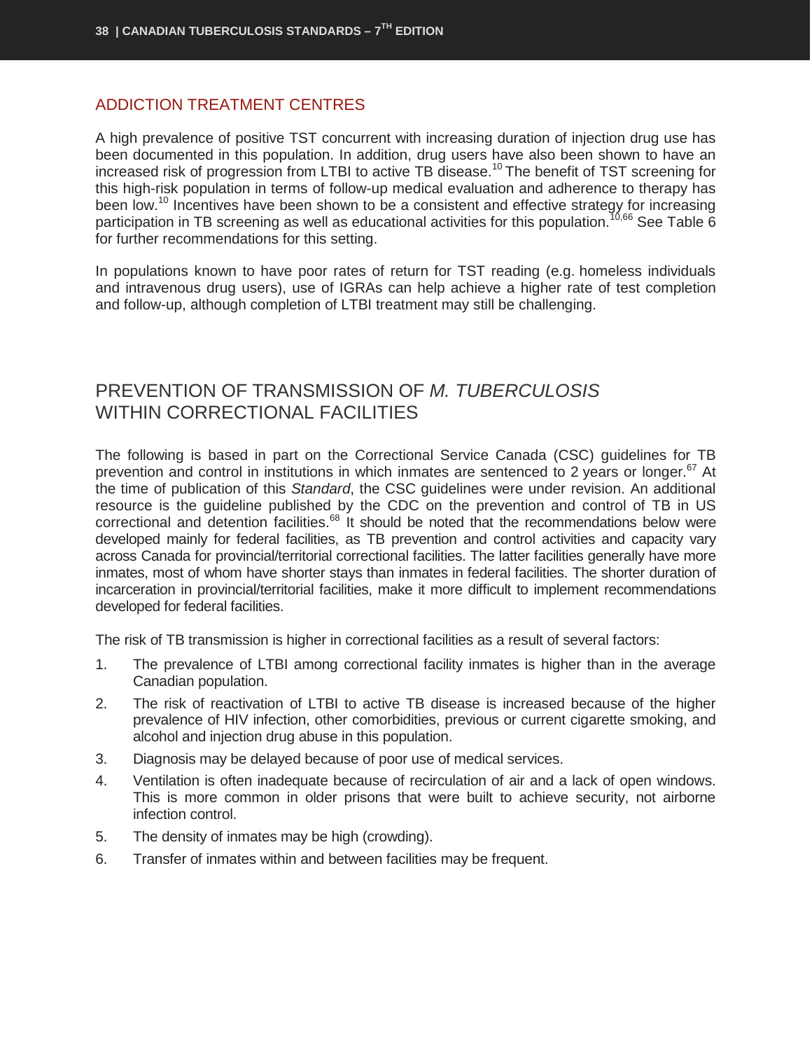#### <span id="page-39-0"></span>ADDICTION TREATMENT CENTRES

A high prevalence of positive TST concurrent with increasing duration of injection drug use has been documented in this population. In addition, drug users have also been shown to have an increased risk of progression from LTBI to active TB disease.<sup>10</sup> The benefit of TST screening for this high-risk population in terms of follow-up medical evaluation and adherence to therapy has been low.<sup>10</sup> Incentives have been shown to be a consistent and effective strategy for increasing participation in TB screening as well as educational activities for this population.<sup>10,66</sup> See Table 6 for further recommendations for this setting.

In populations known to have poor rates of return for TST reading (e.g. homeless individuals and intravenous drug users), use of IGRAs can help achieve a higher rate of test completion and follow-up, although completion of LTBI treatment may still be challenging.

## <span id="page-39-1"></span>PREVENTION OF TRANSMISSION OF *M. TUBERCULOSIS* WITHIN CORRECTIONAL FACILITIES

The following is based in part on the Correctional Service Canada (CSC) guidelines for TB prevention and control in institutions in which inmates are sentenced to 2 years or longer.<sup>67</sup> At the time of publication of this *Standard*, the CSC guidelines were under revision. An additional resource is the guideline published by the CDC on the prevention and control of TB in US correctional and detention facilities.<sup>68</sup> It should be noted that the recommendations below were developed mainly for federal facilities, as TB prevention and control activities and capacity vary across Canada for provincial/territorial correctional facilities. The latter facilities generally have more inmates, most of whom have shorter stays than inmates in federal facilities. The shorter duration of incarceration in provincial/territorial facilities, make it more difficult to implement recommendations developed for federal facilities.

The risk of TB transmission is higher in correctional facilities as a result of several factors:

- 1. The prevalence of LTBI among correctional facility inmates is higher than in the average Canadian population.
- 2. The risk of reactivation of LTBI to active TB disease is increased because of the higher prevalence of HIV infection, other comorbidities, previous or current cigarette smoking, and alcohol and injection drug abuse in this population.
- 3. Diagnosis may be delayed because of poor use of medical services.
- 4. Ventilation is often inadequate because of recirculation of air and a lack of open windows. This is more common in older prisons that were built to achieve security, not airborne infection control.
- 5. The density of inmates may be high (crowding).
- 6. Transfer of inmates within and between facilities may be frequent.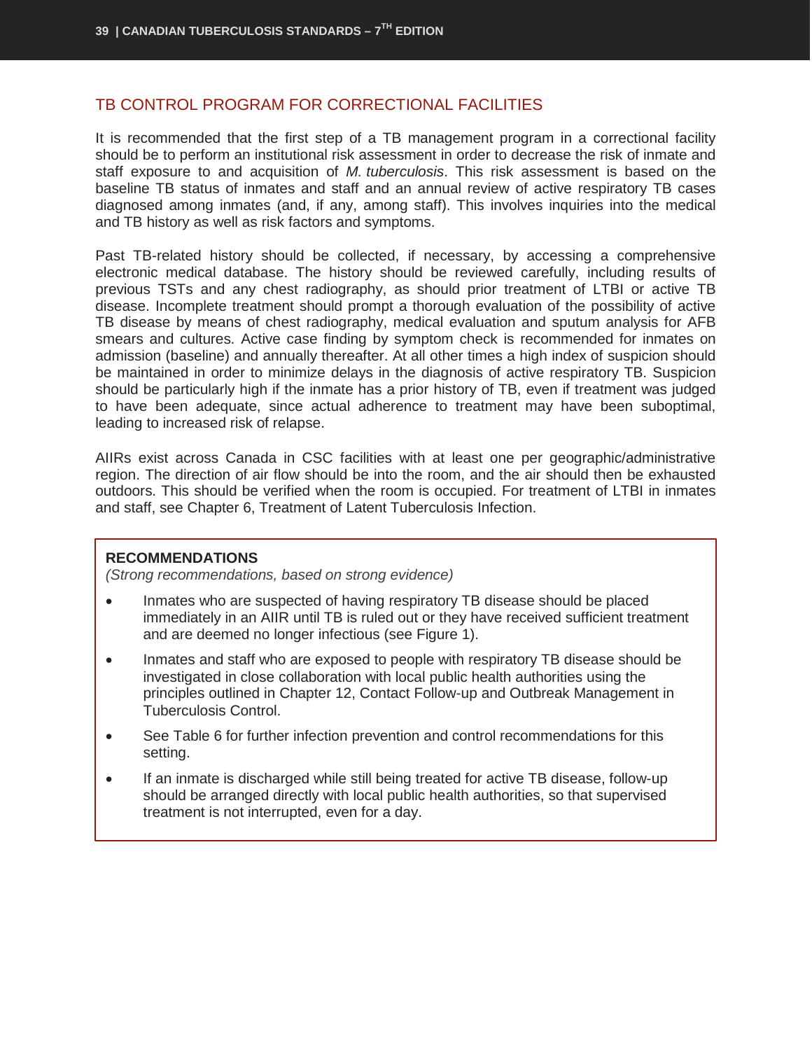#### <span id="page-40-0"></span>TB CONTROL PROGRAM FOR CORRECTIONAL FACILITIES

It is recommended that the first step of a TB management program in a correctional facility should be to perform an institutional risk assessment in order to decrease the risk of inmate and staff exposure to and acquisition of *M. tuberculosis*. This risk assessment is based on the baseline TB status of inmates and staff and an annual review of active respiratory TB cases diagnosed among inmates (and, if any, among staff). This involves inquiries into the medical and TB history as well as risk factors and symptoms.

Past TB-related history should be collected, if necessary, by accessing a comprehensive electronic medical database. The history should be reviewed carefully, including results of previous TSTs and any chest radiography, as should prior treatment of LTBI or active TB disease. Incomplete treatment should prompt a thorough evaluation of the possibility of active TB disease by means of chest radiography, medical evaluation and sputum analysis for AFB smears and cultures. Active case finding by symptom check is recommended for inmates on admission (baseline) and annually thereafter. At all other times a high index of suspicion should be maintained in order to minimize delays in the diagnosis of active respiratory TB. Suspicion should be particularly high if the inmate has a prior history of TB, even if treatment was judged to have been adequate, since actual adherence to treatment may have been suboptimal, leading to increased risk of relapse.

AIIRs exist across Canada in CSC facilities with at least one per geographic/administrative region. The direction of air flow should be into the room, and the air should then be exhausted outdoors. This should be verified when the room is occupied. For treatment of LTBI in inmates and staff, see Chapter 6, Treatment of Latent Tuberculosis Infection.

#### **RECOMMENDATIONS**

*(Strong recommendations, based on strong evidence)*

- Inmates who are suspected of having respiratory TB disease should be placed immediately in an AIIR until TB is ruled out or they have received sufficient treatment and are deemed no longer infectious (see Figure 1).
- Inmates and staff who are exposed to people with respiratory TB disease should be investigated in close collaboration with local public health authorities using the principles outlined in Chapter 12, Contact Follow-up and Outbreak Management in Tuberculosis Control.
- See Table 6 for further infection prevention and control recommendations for this setting.
- If an inmate is discharged while still being treated for active TB disease, follow-up should be arranged directly with local public health authorities, so that supervised treatment is not interrupted, even for a day.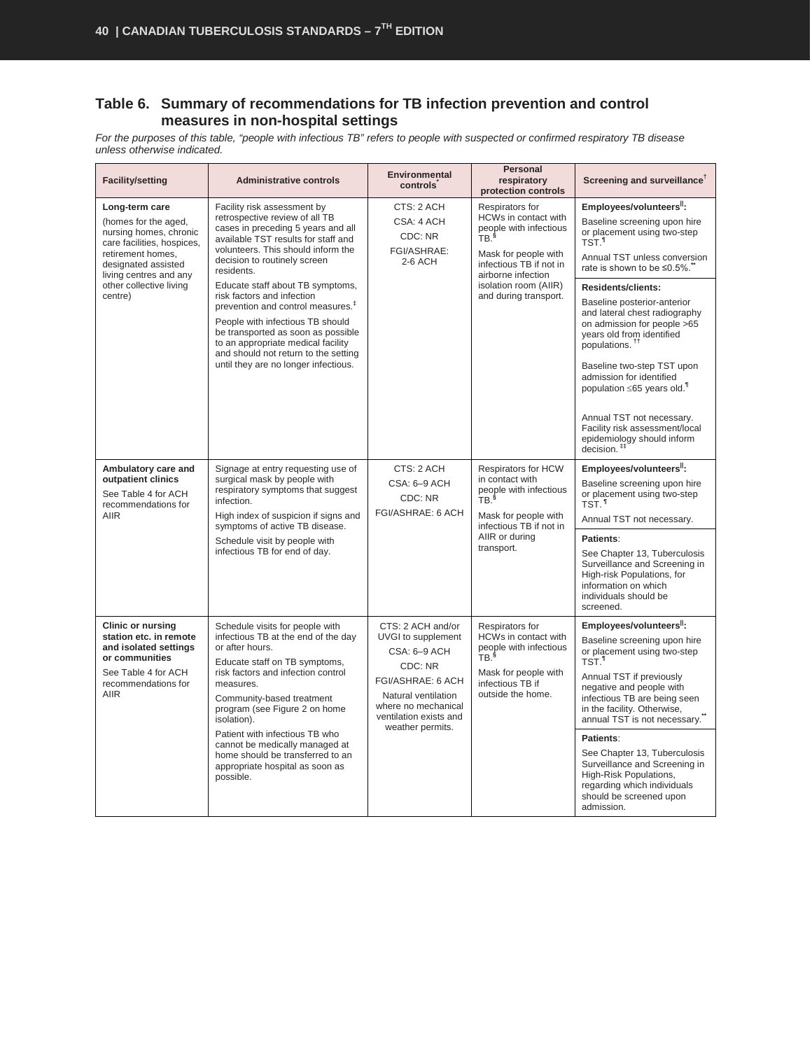#### **Table 6. Summary of recommendations for TB infection prevention and control measures in non-hospital settings**

*For the purposes of this table, "people with infectious TB" refers to people with suspected or confirmed respiratory TB disease unless otherwise indicated.* 

| <b>Facility/setting</b>                                                                                                                                    | <b>Administrative controls</b>                                                                                                                                                                                                                                                                                                                                                                                     | <b>Environmental</b><br><b>controls</b>                                                                                                                                             | Personal<br>respiratory<br>protection controls                                                                                                                                                                          | Screening and surveillance <sup>†</sup>                                                                                                                                                                                                                                                                                                                                                                                                                 |
|------------------------------------------------------------------------------------------------------------------------------------------------------------|--------------------------------------------------------------------------------------------------------------------------------------------------------------------------------------------------------------------------------------------------------------------------------------------------------------------------------------------------------------------------------------------------------------------|-------------------------------------------------------------------------------------------------------------------------------------------------------------------------------------|-------------------------------------------------------------------------------------------------------------------------------------------------------------------------------------------------------------------------|---------------------------------------------------------------------------------------------------------------------------------------------------------------------------------------------------------------------------------------------------------------------------------------------------------------------------------------------------------------------------------------------------------------------------------------------------------|
| Long-term care<br>(homes for the aged,<br>nursing homes, chronic<br>care facilities, hospices,<br>retirement homes,<br>designated assisted                 | Facility risk assessment by<br>retrospective review of all TB<br>cases in preceding 5 years and all<br>available TST results for staff and<br>volunteers. This should inform the<br>decision to routinely screen<br>residents.                                                                                                                                                                                     | CTS: 2 ACH<br>CSA: 4 ACH<br>CDC: NR<br>FGI/ASHRAE:<br>2-6 ACH                                                                                                                       | Respirators for<br><b>HCWs in contact with</b><br>people with infectious<br>TB. <sup>§</sup><br>Mask for people with<br>infectious TB if not in<br>airborne infection<br>isolation room (AIIR)<br>and during transport. | Employees/volunteers":<br>Baseline screening upon hire<br>or placement using two-step<br>TST. <sup>1</sup><br>Annual TST unless conversion<br>rate is shown to be ≤0.5%.                                                                                                                                                                                                                                                                                |
| living centres and any<br>other collective living<br>centre)                                                                                               | Educate staff about TB symptoms,<br>risk factors and infection<br>prevention and control measures. <sup>#</sup><br>People with infectious TB should<br>be transported as soon as possible<br>to an appropriate medical facility<br>and should not return to the setting<br>until they are no longer infectious.                                                                                                    |                                                                                                                                                                                     |                                                                                                                                                                                                                         | <b>Residents/clients:</b><br>Baseline posterior-anterior<br>and lateral chest radiography<br>on admission for people >65<br>years old from identified<br>populations. <sup>11</sup><br>Baseline two-step TST upon<br>admission for identified<br>population $\leq 65$ years old. <sup>1</sup><br>Annual TST not necessary.<br>Facility risk assessment/local                                                                                            |
|                                                                                                                                                            |                                                                                                                                                                                                                                                                                                                                                                                                                    |                                                                                                                                                                                     |                                                                                                                                                                                                                         | epidemiology should inform<br>decision. <sup>##</sup>                                                                                                                                                                                                                                                                                                                                                                                                   |
| Ambulatory care and<br>outpatient clinics<br>See Table 4 for ACH<br>recommendations for<br><b>AIIR</b>                                                     | Signage at entry requesting use of<br>surgical mask by people with<br>respiratory symptoms that suggest<br>infection.<br>High index of suspicion if signs and                                                                                                                                                                                                                                                      | CTS: 2 ACH<br>CSA: 6-9 ACH<br>CDC: NR<br>FGI/ASHRAE: 6 ACH                                                                                                                          | Respirators for HCW<br>in contact with<br>people with infectious<br>TB. <sup>§</sup><br>Mask for people with                                                                                                            | Employees/volunteers <sup>  </sup> :<br>Baseline screening upon hire<br>or placement using two-step<br>TST. <sup>1</sup><br>Annual TST not necessary.                                                                                                                                                                                                                                                                                                   |
|                                                                                                                                                            | symptoms of active TB disease.<br>Schedule visit by people with<br>infectious TB for end of day.                                                                                                                                                                                                                                                                                                                   |                                                                                                                                                                                     | infectious TB if not in<br>AIIR or during<br>transport.                                                                                                                                                                 | Patients:<br>See Chapter 13, Tuberculosis<br>Surveillance and Screening in<br>High-risk Populations, for<br>information on which<br>individuals should be<br>screened.                                                                                                                                                                                                                                                                                  |
| <b>Clinic or nursing</b><br>station etc. in remote<br>and isolated settings<br>or communities<br>See Table 4 for ACH<br>recommendations for<br><b>AIIR</b> | Schedule visits for people with<br>infectious TB at the end of the day<br>or after hours.<br>Educate staff on TB symptoms,<br>risk factors and infection control<br>measures.<br>Community-based treatment<br>program (see Figure 2 on home<br>isolation).<br>Patient with infectious TB who<br>cannot be medically managed at<br>home should be transferred to an<br>appropriate hospital as soon as<br>possible. | CTS: 2 ACH and/or<br>UVGI to supplement<br>CSA: 6-9 ACH<br>CDC: NR<br>FGI/ASHRAE: 6 ACH<br>Natural ventilation<br>where no mechanical<br>ventilation exists and<br>weather permits. | Respirators for<br>HCWs in contact with<br>people with infectious<br>TB. <sup>§</sup><br>Mask for people with<br>infectious TB if<br>outside the home.                                                                  | Employees/volunteers":<br>Baseline screening upon hire<br>or placement using two-step<br><b>TST</b> <sup>1</sup><br>Annual TST if previously<br>negative and people with<br>infectious TB are being seen<br>in the facility. Otherwise,<br>annual TST is not necessary.<br>Patients:<br>See Chapter 13, Tuberculosis<br>Surveillance and Screening in<br>High-Risk Populations,<br>regarding which individuals<br>should be screened upon<br>admission. |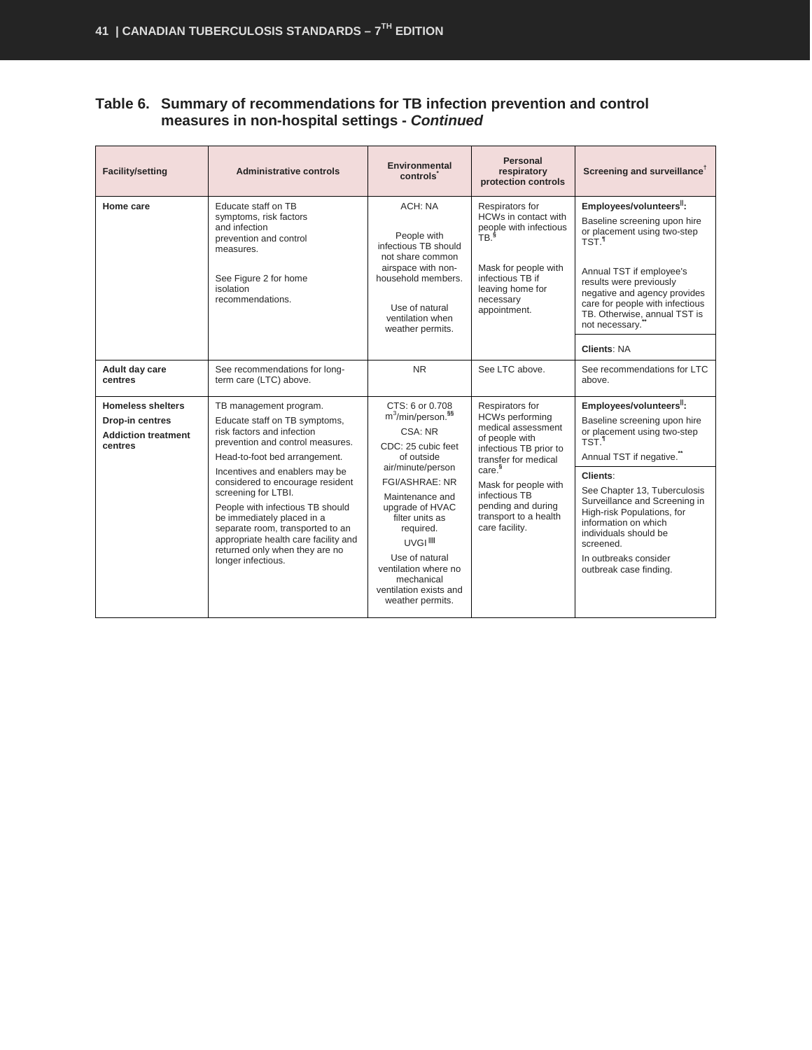#### **Table 6. Summary of recommendations for TB infection prevention and control measures in non-hospital settings -** *Continued*

| <b>Facility/setting</b>                                                              | <b>Administrative controls</b>                                                                                                                                                                                                                                                                                                                                                                                                                                | Environmental<br>controls                                                                                                                                                                                                                                                                                                                                          | Personal<br>respiratory<br>protection controls                                                                                                                                                                                                                      | Screening and surveillance <sup>†</sup>                                                                                                                                                                                                                                                                                                                                          |
|--------------------------------------------------------------------------------------|---------------------------------------------------------------------------------------------------------------------------------------------------------------------------------------------------------------------------------------------------------------------------------------------------------------------------------------------------------------------------------------------------------------------------------------------------------------|--------------------------------------------------------------------------------------------------------------------------------------------------------------------------------------------------------------------------------------------------------------------------------------------------------------------------------------------------------------------|---------------------------------------------------------------------------------------------------------------------------------------------------------------------------------------------------------------------------------------------------------------------|----------------------------------------------------------------------------------------------------------------------------------------------------------------------------------------------------------------------------------------------------------------------------------------------------------------------------------------------------------------------------------|
| Home care                                                                            | Educate staff on TB<br>symptoms, risk factors<br>and infection<br>prevention and control<br>measures.<br>See Figure 2 for home<br>isolation<br>recommendations.                                                                                                                                                                                                                                                                                               | ACH: NA<br>People with<br>infectious TB should<br>not share common<br>airspace with non-<br>household members.<br>Use of natural<br>ventilation when<br>weather permits.                                                                                                                                                                                           | Respirators for<br>HCWs in contact with<br>people with infectious<br>TR <sup>§</sup><br>Mask for people with<br>infectious TB if<br>leaving home for<br>necessary<br>appointment.                                                                                   | Employees/volunteers <sup>11</sup> :<br>Baseline screening upon hire<br>or placement using two-step<br>TST <sup>1</sup><br>Annual TST if employee's<br>results were previously<br>negative and agency provides<br>care for people with infectious<br>TB. Otherwise, annual TST is<br>not necessary.                                                                              |
| Adult day care<br>centres                                                            | See recommendations for long-<br>term care (LTC) above.                                                                                                                                                                                                                                                                                                                                                                                                       | <b>NR</b>                                                                                                                                                                                                                                                                                                                                                          | See LTC above.                                                                                                                                                                                                                                                      | <b>Clients: NA</b><br>See recommendations for LTC<br>above.                                                                                                                                                                                                                                                                                                                      |
| <b>Homeless shelters</b><br>Drop-in centres<br><b>Addiction treatment</b><br>centres | TB management program.<br>Educate staff on TB symptoms,<br>risk factors and infection<br>prevention and control measures.<br>Head-to-foot bed arrangement.<br>Incentives and enablers may be<br>considered to encourage resident<br>screening for LTBI.<br>People with infectious TB should<br>be immediately placed in a<br>separate room, transported to an<br>appropriate health care facility and<br>returned only when they are no<br>longer infectious. | CTS: 6 or 0.708<br>m <sup>3</sup> /min/person. <sup>§§</sup><br>CSA: NR<br>CDC: 25 cubic feet<br>of outside<br>air/minute/person<br><b>FGI/ASHRAE: NR</b><br>Maintenance and<br>upgrade of HVAC<br>filter units as<br>required.<br><b>UVGI<sup>III</sup></b><br>Use of natural<br>ventilation where no<br>mechanical<br>ventilation exists and<br>weather permits. | Respirators for<br><b>HCWs performing</b><br>medical assessment<br>of people with<br>infectious TB prior to<br>transfer for medical<br>care. <sup>§</sup><br>Mask for people with<br>infectious TB<br>pending and during<br>transport to a health<br>care facility. | Employees/volunteers <sup>11</sup> :<br>Baseline screening upon hire<br>or placement using two-step<br>TST. <sup>1</sup><br>Annual TST if negative."<br>Clients:<br>See Chapter 13, Tuberculosis<br>Surveillance and Screening in<br>High-risk Populations, for<br>information on which<br>individuals should be<br>screened.<br>In outbreaks consider<br>outbreak case finding. |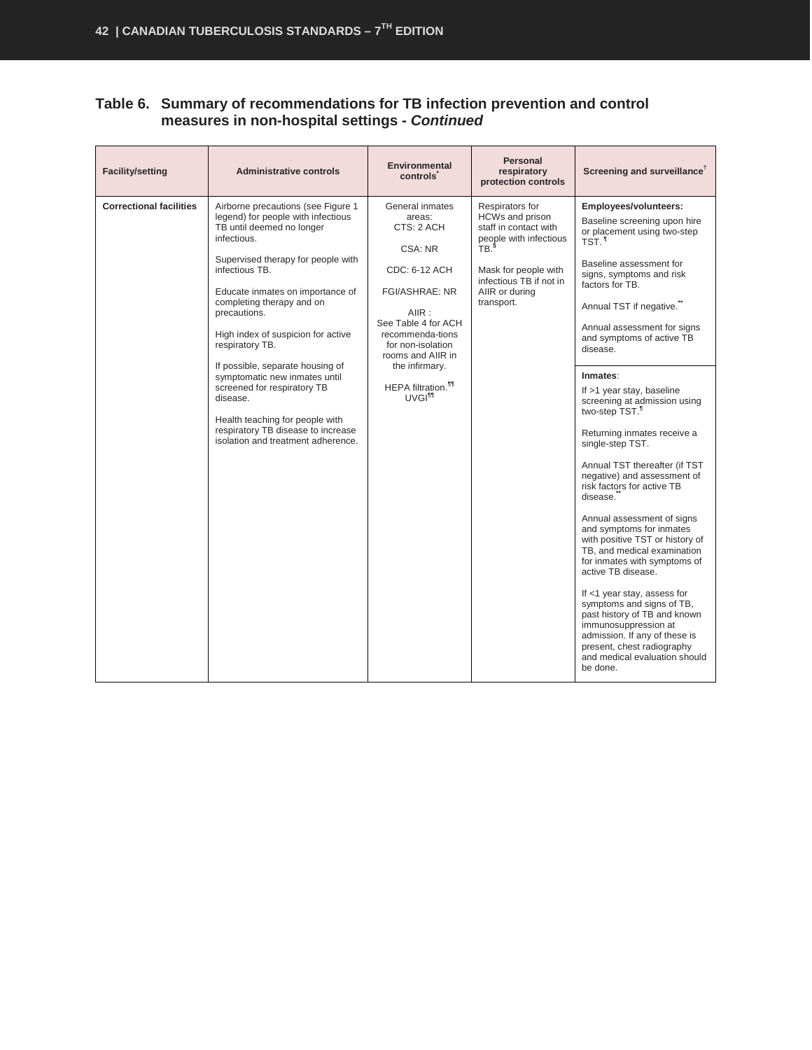#### **Table 6. Summary of recommendations for TB infection prevention and control measures in non-hospital settings -** *Continued*

| <b>Facility/setting</b>        | <b>Administrative controls</b>                                                                                                                                                                                                                                                                                                                                                                                                                                                                                                                        | <b>Environmental</b><br><b>controls</b>                                                                                                                                                                                                                                  | <b>Personal</b><br>respiratory<br>protection controls                                                                                                                                        | Screening and surveillance <sup>T</sup>                                                                                                                                                                                                                                                                                                                                                                                                                                                                                                                                                                                                                                                                                                                                                                                                                                                                                                                                       |
|--------------------------------|-------------------------------------------------------------------------------------------------------------------------------------------------------------------------------------------------------------------------------------------------------------------------------------------------------------------------------------------------------------------------------------------------------------------------------------------------------------------------------------------------------------------------------------------------------|--------------------------------------------------------------------------------------------------------------------------------------------------------------------------------------------------------------------------------------------------------------------------|----------------------------------------------------------------------------------------------------------------------------------------------------------------------------------------------|-------------------------------------------------------------------------------------------------------------------------------------------------------------------------------------------------------------------------------------------------------------------------------------------------------------------------------------------------------------------------------------------------------------------------------------------------------------------------------------------------------------------------------------------------------------------------------------------------------------------------------------------------------------------------------------------------------------------------------------------------------------------------------------------------------------------------------------------------------------------------------------------------------------------------------------------------------------------------------|
| <b>Correctional facilities</b> | Airborne precautions (see Figure 1<br>legend) for people with infectious<br>TB until deemed no longer<br>infectious.<br>Supervised therapy for people with<br>infectious TB.<br>Educate inmates on importance of<br>completing therapy and on<br>precautions.<br>High index of suspicion for active<br>respiratory TB.<br>If possible, separate housing of<br>symptomatic new inmates until<br>screened for respiratory TB<br>disease.<br>Health teaching for people with<br>respiratory TB disease to increase<br>isolation and treatment adherence. | General inmates<br>areas:<br>CTS: 2 ACH<br>CSA: NR<br>CDC: 6-12 ACH<br><b>FGI/ASHRAE: NR</b><br>A IIR:<br>See Table 4 for ACH<br>recommenda-tions<br>for non-isolation<br>rooms and AIIR in<br>the infirmary.<br><b>HEPA</b> filtration. <sup>111</sup><br><b>UVGITT</b> | Respirators for<br>HCWs and prison<br>staff in contact with<br>people with infectious<br>T <sub>B</sub> .<br>Mask for people with<br>infectious TB if not in<br>AIIR or during<br>transport. | Employees/volunteers:<br>Baseline screening upon hire<br>or placement using two-step<br>TST. <sup>1</sup><br>Baseline assessment for<br>signs, symptoms and risk<br>factors for TB.<br>Annual TST if negative."<br>Annual assessment for signs<br>and symptoms of active TB<br>disease.<br>Inmates:<br>If >1 year stay, baseline<br>screening at admission using<br>two-step TST. <sup>1</sup><br>Returning inmates receive a<br>single-step TST.<br>Annual TST thereafter (if TST<br>negative) and assessment of<br>risk factors for active TB<br>disease.<br>Annual assessment of signs<br>and symptoms for inmates<br>with positive TST or history of<br>TB, and medical examination<br>for inmates with symptoms of<br>active TB disease.<br>If <1 year stay, assess for<br>symptoms and signs of TB,<br>past history of TB and known<br>immunosuppression at<br>admission. If any of these is<br>present, chest radiography<br>and medical evaluation should<br>be done. |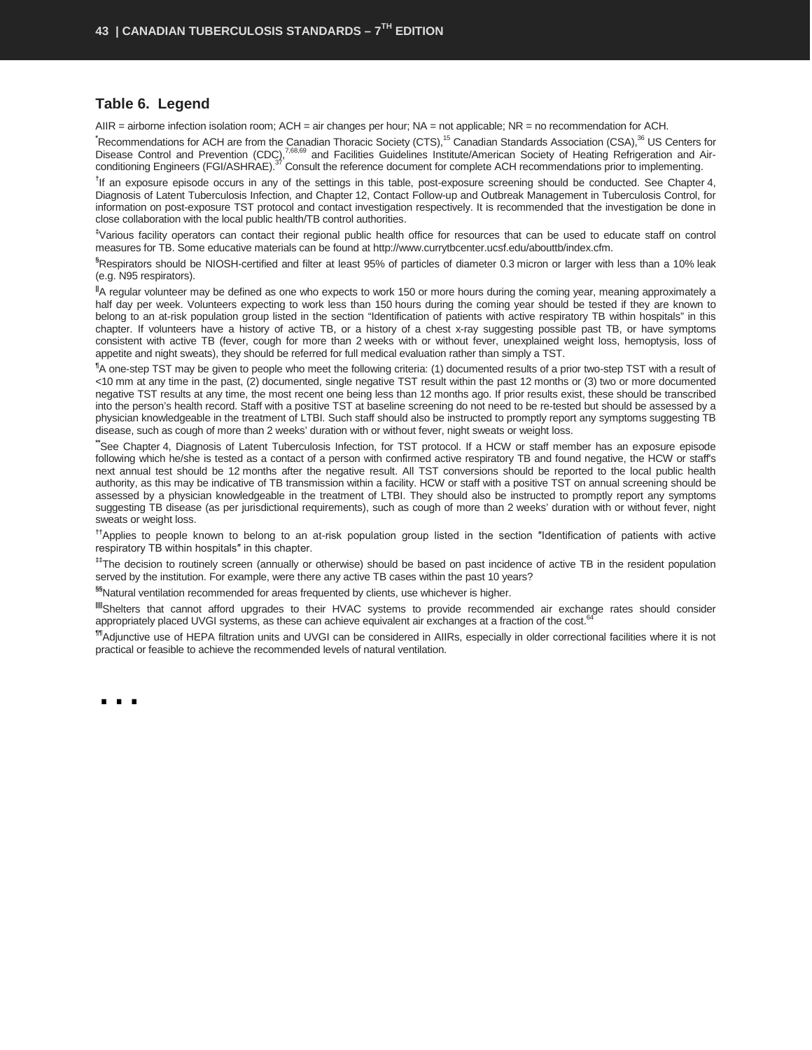#### **Table 6. Legend**

AIIR = airborne infection isolation room; ACH = air changes per hour; NA = not applicable; NR = no recommendation for ACH.

<sup>\*</sup>Recommendations for ACH are from the Canadian Thoracic Society (CTS),<sup>15</sup> Canadian Standards Association (CSA),<sup>36</sup> US Centers for Disease Control and Prevention (CDC),<sup>7,68,69</sup> and Facilities Guidelines Institute/American Society of Heating Refrigeration and Airconditioning Engineers (FGI/ASHRAE).<sup>37</sup> Consult the reference document for complete ACH recommendations prior to implementing.

<sup>†</sup>If an exposure episode occurs in any of the settings in this table, post-exposure screening should be conducted. See Chapter 4, Diagnosis of Latent Tuberculosis Infection, and Chapter 12, Contact Follow-up and Outbreak Management in Tuberculosis Control, for information on post-exposure TST protocol and contact investigation respectively. It is recommended that the investigation be done in close collaboration with the local public health/TB control authorities.

**‡** Various facility operators can contact their regional public health office for resources that can be used to educate staff on control measures for TB. Some educative materials can be found a[t http://www.currytbcenter.ucsf.edu/abouttb/index.cfm.](http://www.currytbcenter.ucsf.edu/abouttb/index.cfm)

**§** Respirators should be NIOSH-certified and filter at least 95% of particles of diameter 0.3 micron or larger with less than a 10% leak (e.g. N95 respirators).

**||**A regular volunteer may be defined as one who expects to work 150 or more hours during the coming year, meaning approximately a half day per week. Volunteers expecting to work less than 150 hours during the coming year should be tested if they are known to belong to an at-risk population group listed in the section "Identification of patients with active respiratory TB within hospitals" in this chapter. If volunteers have a history of active TB, or a history of a chest x-ray suggesting possible past TB, or have symptoms consistent with active TB (fever, cough for more than 2 weeks with or without fever, unexplained weight loss, hemoptysis, loss of appetite and night sweats), they should be referred for full medical evaluation rather than simply a TST.

**¶** A one-step TST may be given to people who meet the following criteria: (1) documented results of a prior two-step TST with a result of <10 mm at any time in the past, (2) documented, single negative TST result within the past 12 months or (3) two or more documented negative TST results at any time, the most recent one being less than 12 months ago. If prior results exist, these should be transcribed into the person's health record. Staff with a positive TST at baseline screening do not need to be re-tested but should be assessed by a physician knowledgeable in the treatment of LTBI. Such staff should also be instructed to promptly report any symptoms suggesting TB disease, such as cough of more than 2 weeks' duration with or without fever, night sweats or weight loss.

**\*\***See Chapter 4, Diagnosis of Latent Tuberculosis Infection, for TST protocol. If a HCW or staff member has an exposure episode following which he/she is tested as a contact of a person with confirmed active respiratory TB and found negative, the HCW or staff's next annual test should be 12 months after the negative result. All TST conversions should be reported to the local public health authority, as this may be indicative of TB transmission within a facility. HCW or staff with a positive TST on annual screening should be assessed by a physician knowledgeable in the treatment of LTBI. They should also be instructed to promptly report any symptoms suggesting TB disease (as per jurisdictional requirements), such as cough of more than 2 weeks' duration with or without fever, night sweats or weight loss.

**††**Applies to people known to belong to an at-risk population group listed in the section ″Identification of patients with active respiratory TB within hospitals″ in this chapter.

**‡‡**The decision to routinely screen (annually or otherwise) should be based on past incidence of active TB in the resident population served by the institution. For example, were there any active TB cases within the past 10 years?

**§§**Natural ventilation recommended for areas frequented by clients, use whichever is higher.

IllShelters that cannot afford upgrades to their HVAC systems to provide recommended air exchange rates should consider appropriately placed UVGI systems, as these can achieve equivalent air exchanges at a fraction of the cost.<sup>64</sup>

**¶¶**Adjunctive use of HEPA filtration units and UVGI can be considered in AIIRs, especially in older correctional facilities where it is not practical or feasible to achieve the recommended levels of natural ventilation.

<span id="page-44-0"></span>…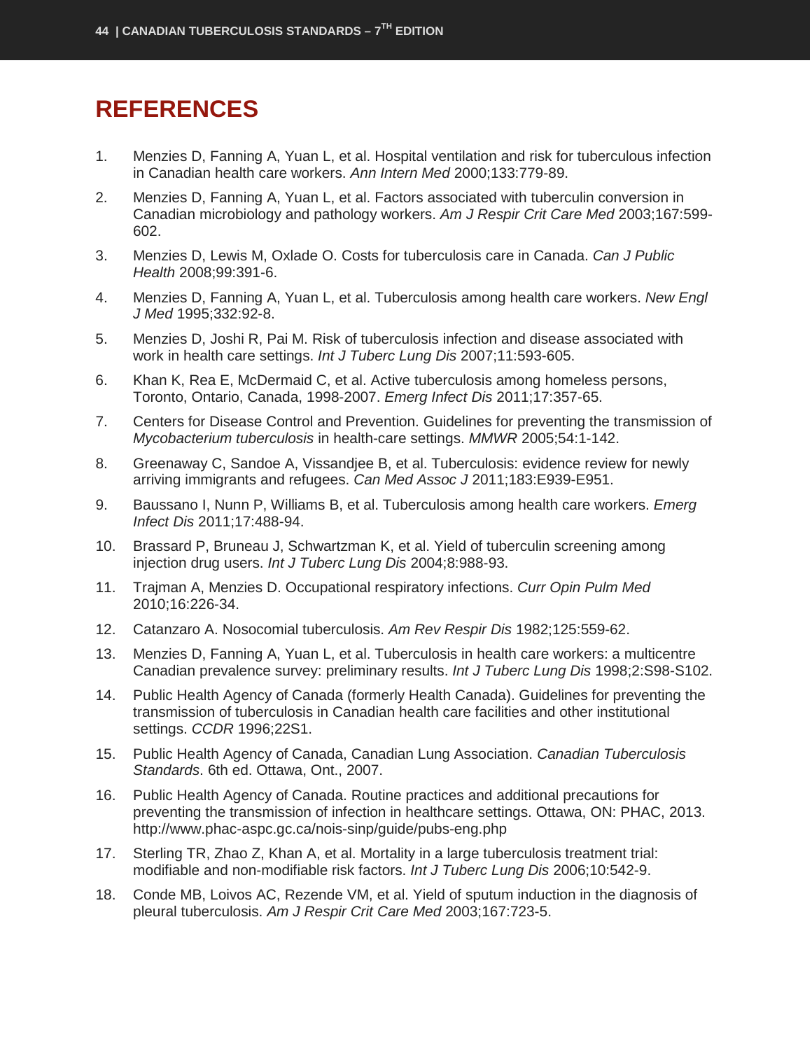## **REFERENCES**

- 1. Menzies D, Fanning A, Yuan L, et al. Hospital ventilation and risk for tuberculous infection in Canadian health care workers. *Ann Intern Med* 2000;133:779-89.
- 2. Menzies D, Fanning A, Yuan L, et al. Factors associated with tuberculin conversion in Canadian microbiology and pathology workers. *Am J Respir Crit Care Med* 2003;167:599- 602.
- 3. Menzies D, Lewis M, Oxlade O. Costs for tuberculosis care in Canada. *Can J Public Health* 2008;99:391-6.
- 4. Menzies D, Fanning A, Yuan L, et al. Tuberculosis among health care workers. *New Engl J Med* 1995;332:92-8.
- 5. Menzies D, Joshi R, Pai M. Risk of tuberculosis infection and disease associated with work in health care settings. *Int J Tuberc Lung Dis* 2007;11:593-605.
- 6. Khan K, Rea E, McDermaid C, et al. Active tuberculosis among homeless persons, Toronto, Ontario, Canada, 1998-2007. *Emerg Infect Dis* 2011;17:357-65.
- 7. Centers for Disease Control and Prevention. Guidelines for preventing the transmission of *Mycobacterium tuberculosis* in health-care settings. *MMWR* 2005;54:1-142.
- 8. Greenaway C, Sandoe A, Vissandjee B, et al. Tuberculosis: evidence review for newly arriving immigrants and refugees. *Can Med Assoc J* 2011;183:E939-E951.
- 9. Baussano I, Nunn P, Williams B, et al. Tuberculosis among health care workers. *Emerg Infect Dis* 2011;17:488-94.
- 10. Brassard P, Bruneau J, Schwartzman K, et al. Yield of tuberculin screening among injection drug users. *Int J Tuberc Lung Dis* 2004;8:988-93.
- 11. Trajman A, Menzies D. Occupational respiratory infections. *Curr Opin Pulm Med* 2010;16:226-34.
- 12. Catanzaro A. Nosocomial tuberculosis. *Am Rev Respir Dis* 1982;125:559-62.
- 13. Menzies D, Fanning A, Yuan L, et al. Tuberculosis in health care workers: a multicentre Canadian prevalence survey: preliminary results. *Int J Tuberc Lung Dis* 1998;2:S98-S102.
- 14. Public Health Agency of Canada (formerly Health Canada). Guidelines for preventing the transmission of tuberculosis in Canadian health care facilities and other institutional settings. *CCDR* 1996;22S1.
- 15. Public Health Agency of Canada, Canadian Lung Association. *Canadian Tuberculosis Standards*. 6th ed. Ottawa, Ont., 2007.
- 16. Public Health Agency of Canada. Routine practices and additional precautions for preventing the transmission of infection in healthcare settings. Ottawa, ON: PHAC, 2013. http://www.phac-aspc.gc.ca/nois-sinp/guide/pubs-eng.php
- 17. Sterling TR, Zhao Z, Khan A, et al. Mortality in a large tuberculosis treatment trial: modifiable and non-modifiable risk factors. *Int J Tuberc Lung Dis* 2006;10:542-9.
- 18. Conde MB, Loivos AC, Rezende VM, et al. Yield of sputum induction in the diagnosis of pleural tuberculosis. *Am J Respir Crit Care Med* 2003;167:723-5.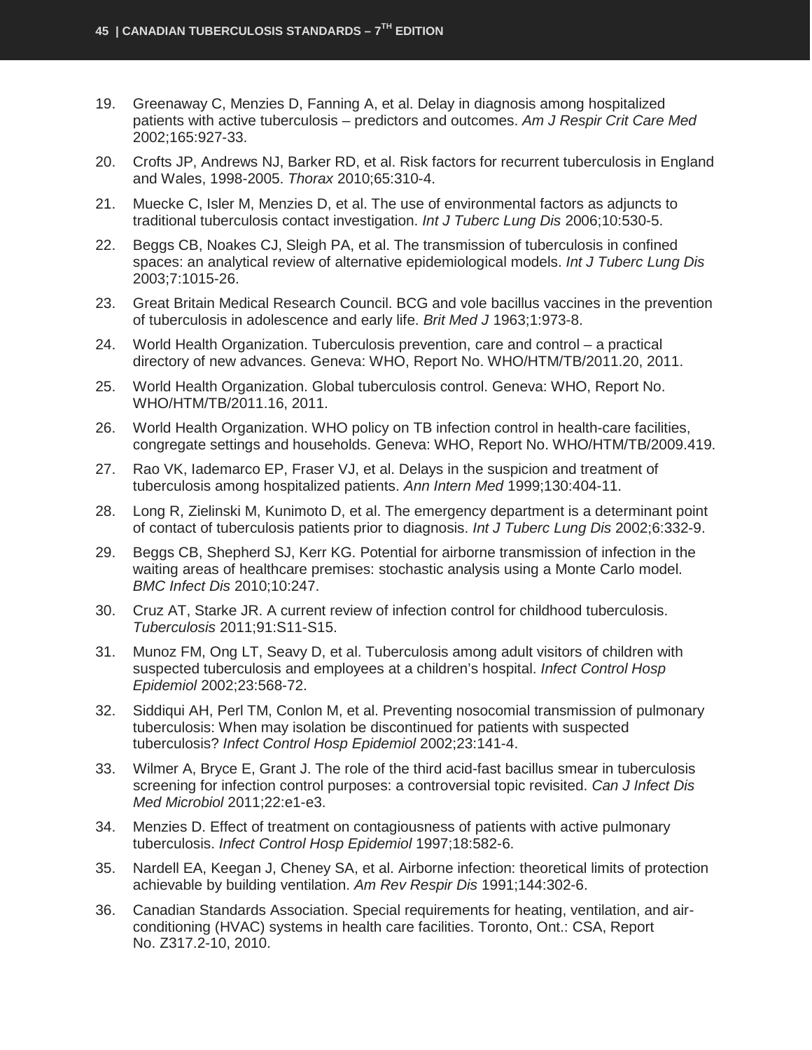- 19. Greenaway C, Menzies D, Fanning A, et al. Delay in diagnosis among hospitalized patients with active tuberculosis – predictors and outcomes. *Am J Respir Crit Care Med* 2002;165:927-33.
- 20. Crofts JP, Andrews NJ, Barker RD, et al. Risk factors for recurrent tuberculosis in England and Wales, 1998-2005. *Thorax* 2010;65:310-4.
- 21. Muecke C, Isler M, Menzies D, et al. The use of environmental factors as adjuncts to traditional tuberculosis contact investigation. *Int J Tuberc Lung Dis* 2006;10:530-5.
- 22. Beggs CB, Noakes CJ, Sleigh PA, et al. The transmission of tuberculosis in confined spaces: an analytical review of alternative epidemiological models. *Int J Tuberc Lung Dis* 2003;7:1015-26.
- 23. Great Britain Medical Research Council. BCG and vole bacillus vaccines in the prevention of tuberculosis in adolescence and early life. *Brit Med J* 1963;1:973-8.
- 24. World Health Organization. Tuberculosis prevention, care and control a practical directory of new advances. Geneva: WHO, Report No. WHO/HTM/TB/2011.20, 2011.
- 25. World Health Organization. Global tuberculosis control. Geneva: WHO, Report No. WHO/HTM/TB/2011.16, 2011.
- 26. World Health Organization. WHO policy on TB infection control in health-care facilities, congregate settings and households. Geneva: WHO, Report No. WHO/HTM/TB/2009.419.
- 27. Rao VK, Iademarco EP, Fraser VJ, et al. Delays in the suspicion and treatment of tuberculosis among hospitalized patients. *Ann Intern Med* 1999;130:404-11.
- 28. Long R, Zielinski M, Kunimoto D, et al. The emergency department is a determinant point of contact of tuberculosis patients prior to diagnosis. *Int J Tuberc Lung Dis* 2002;6:332-9.
- 29. Beggs CB, Shepherd SJ, Kerr KG. Potential for airborne transmission of infection in the waiting areas of healthcare premises: stochastic analysis using a Monte Carlo model. *BMC Infect Dis* 2010;10:247.
- 30. Cruz AT, Starke JR. A current review of infection control for childhood tuberculosis. *Tuberculosis* 2011;91:S11-S15.
- 31. Munoz FM, Ong LT, Seavy D, et al. Tuberculosis among adult visitors of children with suspected tuberculosis and employees at a children's hospital. *Infect Control Hosp Epidemiol* 2002;23:568-72.
- 32. Siddiqui AH, Perl TM, Conlon M, et al. Preventing nosocomial transmission of pulmonary tuberculosis: When may isolation be discontinued for patients with suspected tuberculosis? *Infect Control Hosp Epidemiol* 2002;23:141-4.
- 33. Wilmer A, Bryce E, Grant J. The role of the third acid-fast bacillus smear in tuberculosis screening for infection control purposes: a controversial topic revisited. *Can J Infect Dis Med Microbiol* 2011;22:e1-e3.
- 34. Menzies D. Effect of treatment on contagiousness of patients with active pulmonary tuberculosis. *Infect Control Hosp Epidemiol* 1997;18:582-6.
- 35. Nardell EA, Keegan J, Cheney SA, et al. Airborne infection: theoretical limits of protection achievable by building ventilation. *Am Rev Respir Dis* 1991;144:302-6.
- 36. Canadian Standards Association. Special requirements for heating, ventilation, and airconditioning (HVAC) systems in health care facilities. Toronto, Ont.: CSA, Report No. Z317.2-10, 2010.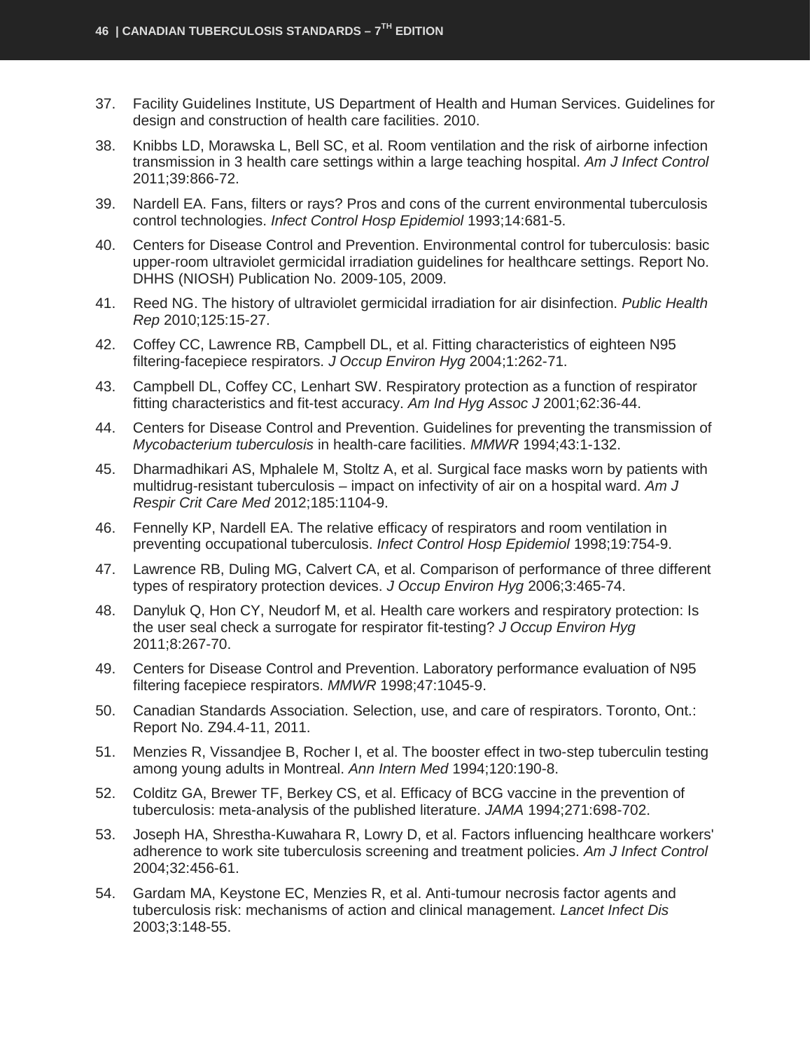- 37. Facility Guidelines Institute, US Department of Health and Human Services. Guidelines for design and construction of health care facilities. 2010.
- 38. Knibbs LD, Morawska L, Bell SC, et al. Room ventilation and the risk of airborne infection transmission in 3 health care settings within a large teaching hospital. *Am J Infect Control* 2011;39:866-72.
- 39. Nardell EA. Fans, filters or rays? Pros and cons of the current environmental tuberculosis control technologies. *Infect Control Hosp Epidemiol* 1993;14:681-5.
- 40. Centers for Disease Control and Prevention. Environmental control for tuberculosis: basic upper-room ultraviolet germicidal irradiation guidelines for healthcare settings. Report No. DHHS (NIOSH) Publication No. 2009-105, 2009.
- 41. Reed NG. The history of ultraviolet germicidal irradiation for air disinfection. *Public Health Rep* 2010;125:15-27.
- 42. Coffey CC, Lawrence RB, Campbell DL, et al. Fitting characteristics of eighteen N95 filtering-facepiece respirators. *J Occup Environ Hyg* 2004;1:262-71.
- 43. Campbell DL, Coffey CC, Lenhart SW. Respiratory protection as a function of respirator fitting characteristics and fit-test accuracy. *Am Ind Hyg Assoc J* 2001;62:36-44.
- 44. Centers for Disease Control and Prevention. Guidelines for preventing the transmission of *Mycobacterium tuberculosis* in health-care facilities. *MMWR* 1994;43:1-132.
- 45. Dharmadhikari AS, Mphalele M, Stoltz A, et al. Surgical face masks worn by patients with multidrug-resistant tuberculosis – impact on infectivity of air on a hospital ward. *Am J Respir Crit Care Med* 2012;185:1104-9.
- 46. Fennelly KP, Nardell EA. The relative efficacy of respirators and room ventilation in preventing occupational tuberculosis. *Infect Control Hosp Epidemiol* 1998;19:754-9.
- 47. Lawrence RB, Duling MG, Calvert CA, et al. Comparison of performance of three different types of respiratory protection devices. *J Occup Environ Hyg* 2006;3:465-74.
- 48. Danyluk Q, Hon CY, Neudorf M, et al. Health care workers and respiratory protection: Is the user seal check a surrogate for respirator fit-testing? *J Occup Environ Hyg* 2011;8:267-70.
- 49. Centers for Disease Control and Prevention. Laboratory performance evaluation of N95 filtering facepiece respirators. *MMWR* 1998;47:1045-9.
- 50. Canadian Standards Association. Selection, use, and care of respirators. Toronto, Ont.: Report No. Z94.4-11, 2011.
- 51. Menzies R, Vissandjee B, Rocher I, et al. The booster effect in two-step tuberculin testing among young adults in Montreal. *Ann Intern Med* 1994;120:190-8.
- 52. Colditz GA, Brewer TF, Berkey CS, et al. Efficacy of BCG vaccine in the prevention of tuberculosis: meta-analysis of the published literature. *JAMA* 1994;271:698-702.
- 53. Joseph HA, Shrestha-Kuwahara R, Lowry D, et al. Factors influencing healthcare workers' adherence to work site tuberculosis screening and treatment policies. *Am J Infect Control* 2004;32:456-61.
- 54. Gardam MA, Keystone EC, Menzies R, et al. Anti-tumour necrosis factor agents and tuberculosis risk: mechanisms of action and clinical management. *Lancet Infect Dis* 2003;3:148-55.